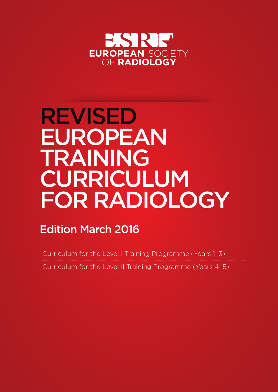

# REVISED EUROPEAN TRAINING CURRICULUM FOR RADIOLOGY

# Edition March 2016

Curriculum for the Level I Training Programme (Years 1–3) Curriculum for the Level II Training Programme (Years 4–5)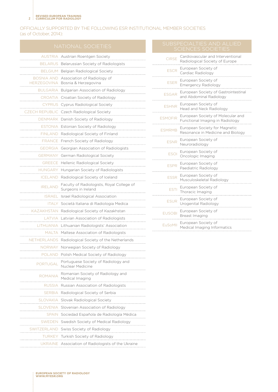m.

#### OFFICIALLY SUPPORTED BY THE FOLLOWING ESR INSTITUTIONAL MEMBER SOCIETIES (as of October, 2014):

 $\mathcal{L}_{\mathcal{A}}$ 

|                | <b>NATIONAL SOCIETIES</b>                                                  |                | SUBSPECIALHES AND ALLIED<br><b>SCIENCES SOCIETIES</b>               |
|----------------|----------------------------------------------------------------------------|----------------|---------------------------------------------------------------------|
|                | AUSTRIA Austrian Roentgen Society                                          | <b>CIRSE</b>   | Cardiovascular and Interventional<br>Radiological Society of Europe |
|                | BELARUS Belarussian Society of Radiologists                                |                |                                                                     |
|                | BELGIUM Belgian Radiological Society                                       | <b>FSCR</b>    | European Society of<br>Cardiac Radiology                            |
|                | BOSNIA AND Association of Radiology of<br>HERZEGOVINA Bosnia & Herzegovina | <b>ESER</b>    | European Society of<br><b>Emergency Radiology</b>                   |
|                | BULGARIA Bulgarian Association of Radiology                                |                | European Society of Gastrointestir                                  |
|                | CROATIA Croatian Society of Radiology                                      | <b>ESGAR</b>   | and Abdominal Radiology                                             |
|                | CYPRUS Cyprus Radiological Society                                         | <b>ESHNR</b>   | European Society of<br>Head and Neck Radiology                      |
|                | CZECH REPUBLIC Czech Radiological Society                                  |                | European Society of Molecular an                                    |
|                | DENMARK Danish Society of Radiology                                        | <b>ESMOFIR</b> | Functional Imaging in Radiology                                     |
|                | ESTONIA Estonian Society of Radiology                                      | <b>ESMRMB</b>  | European Society for Magnetic                                       |
|                | FINLAND Radiological Society of Finland                                    |                | Resonance in Medicine and Biolog                                    |
|                | FRANCE French Society of Radiology                                         | <b>ESNR</b>    | European Society of<br>Neuroradiology                               |
|                | GEORGIA Georgian Association of Radiologists                               |                | European Society of                                                 |
|                | GERMANY German Radiological Society                                        | <b>ESOI</b>    | Oncologic Imaging                                                   |
|                | <b>GREECE</b> Hellenic Radiological Society                                | <b>ESPR</b>    | European Society of                                                 |
|                | HUNGARY Hungarian Society of Radiologists                                  |                | Paediatric Radiology                                                |
|                | ICELAND Radiological Society of Iceland                                    | <b>ESSR</b>    | European Society of<br>Musculoskeletal Radiology                    |
| <b>IRELAND</b> | Faculty of Radiologists, Royal College of<br>Surgeons in Ireland           | <b>ESTI</b>    | European Society of<br>Thoracic Imaging                             |
|                | ISRAEL Israel Radiological Association                                     |                | European Society of                                                 |
|                | ITALY Società Italiana di Radiologia Medica                                | <b>ESUR</b>    | Urogenital Radiology                                                |
|                | KAZAKHSTAN Radiological Society of Kazakhstan                              | <b>EUSOBI</b>  | European Society of                                                 |
|                | LATVIA Latvian Association of Radiologists                                 |                | Breast Imaging                                                      |
|                | LITHUANIA Lithuanian Radiologists' Association                             | <b>EuSoMII</b> | European Society of<br>Medical Imaging Informatics                  |
|                | MALTA Maltese Association of Radiologists                                  |                |                                                                     |
|                | NETHERLANDS Radiological Society of the Netherlands                        |                |                                                                     |
|                | NORWAY Norwegian Society of Radiology                                      |                |                                                                     |
|                | POLAND Polish Medical Society of Radiology                                 |                |                                                                     |
| PORTUGAL       | Portuguese Society of Radiology and<br>Nuclear Medicine                    |                |                                                                     |
| <b>ROMANIA</b> | Romanian Society of Radiology and<br>Medical Imaging                       |                |                                                                     |
|                | RUSSIA Russian Association of Radiologists                                 |                |                                                                     |
|                | SERBIA Radiological Society of Serbia                                      |                |                                                                     |
|                | SLOVAKIA Slovak Radiological Society                                       |                |                                                                     |
|                | SLOVENIA Slovenian Association of Radiology                                |                |                                                                     |
|                | SPAIN Sociedad Española de Radiología Médica                               |                |                                                                     |
|                | SWEDEN Swedish Society of Medical Radiology                                |                |                                                                     |
|                | SWITZERLAND Swiss Society of Radiology                                     |                |                                                                     |
|                | TURKEY Turkish Society of Radiology                                        |                |                                                                     |
|                | UKRAINE Association of Radiologists of the Ukraine                         |                |                                                                     |

| SUBSPECIALTIES AND ALLIED |
|---------------------------|
|                           |
| COUTHIOTO COOPTIEC        |
|                           |

| <b>ESCR</b>    | European Society of<br>Cardiac Radiology                             |
|----------------|----------------------------------------------------------------------|
| <b>FSER</b>    | European Society of<br><b>Emergency Radiology</b>                    |
| <b>FSGAR</b>   | European Society of Gastrointestinal<br>and Abdominal Radiology      |
| <b>FSHNR</b>   | European Society of<br>Head and Neck Radiology                       |
| <b>ESMOFIR</b> | European Society of Molecular and<br>Functional Imaging in Radiology |
| <b>FSMRMB</b>  | European Society for Magnetic<br>Resonance in Medicine and Biology   |
| <b>FSNR</b>    | European Society of<br>Neuroradiology                                |
| <b>FSOI</b>    | European Society of<br>Oncologic Imaging                             |
| <b>FSPR</b>    | European Society of<br>Paediatric Radiology                          |
| <b>FSSR</b>    | European Society of<br>Musculoskeletal Radiology                     |
| <b>FSTI</b>    | European Society of<br>Thoracic Imaging                              |
| <b>FSUR</b>    | European Society of<br>Urogenital Radiology                          |
| <b>FUSOBI</b>  | European Society of<br>Breast Imaging                                |
| <b>EuSoMII</b> | European Society of<br>Medical Imaging Informatics                   |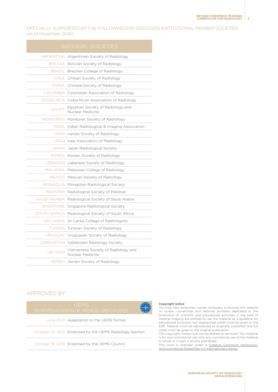OFFICIALLY SUPPORTED BY THE FOLLOWING ESR ASSOCIATE INSTITUTIONAL MEMBER SOCIETIES (as of November, 2014):

|                | ARGENTINA Argentinian Society of Radiology                  |
|----------------|-------------------------------------------------------------|
|                | BOLIVIA Bolivian Society of Radiology                       |
|                | BRAZIL Brazilian College of Radiology                       |
|                | CHILE Chilean Society of Radiology                          |
|                | CHINA Chinese Society of Radiology                          |
|                | <b>DMBIA</b> Colombian Association of Radiology             |
|                | COSTA RICA Costa Rican Association of Radiology             |
|                | EGYPT Egyptian Society of Radiology and<br>Nuclear Medicine |
|                | HONDURAS Honduran Society of Radiology                      |
|                | INDIA Indian Radiological & Imaging Association             |
|                | <b>IRAN</b> Iranian Society of Radiology                    |
|                | IRAQ Iraqi Association of Radiology                         |
|                | JAPAN Japan Radiological Society                            |
|                | KOREA Korean Society of Radiology                           |
|                | <b>EBANON</b> Lebanese Society of Radiology                 |
|                | MALAYSIA Malaysian College of Radiology                     |
|                | MEXICO Mexican Society of Radiology                         |
|                | ONGOLIA Mongolian Radiological Society                      |
|                | PAKISTAN Radiological Society of Pakistan                   |
|                | SAUDI ARABIA Radiological Society of Saudi Arabia           |
|                | SINGAPORE Singapore Radiological Society                    |
|                | JTH AFRICA Radiological Society of South Africa             |
|                | SRI LANKA Sri Lanka College of Radiologists                 |
|                | TUNISIA Tunisian Society of Radiology                       |
|                | URUGUAY Uruguayan Society of Radiology                      |
|                | JZBEKISTAN Uzbekistan Radiology Society                     |
| <b>VIETNAM</b> | Vietnamese Society of Radiology and<br>Nuclear Medicine     |
|                | YEMEN Yemen Society of Radiology                            |
|                |                                                             |

#### APPROVED BY:



#### Copyright notice

You may take temporary copies necessary to browse this website on screen. Universities and National Societies dedicated to the promotion of scientific and educational activities in the field of medical imaging are entitled to use the material as a guideline for educational purposes, but appropriate credit must be given to the ESR. Material must be reproduced as originally published and full credit must be given to the original publication. This copyright notice must not be altered or removed. This material

is for non-commercial use only, any commercial use of the material in whole or in part is strictly prohibited.

This work is licensed under a [Creative Commons Attribution-](https://creativecommons.org/licenses/by-nc-sa/4.0/)[NonCommercial-ShareAlike 4.0 International License.](https://creativecommons.org/licenses/by-nc-sa/4.0/)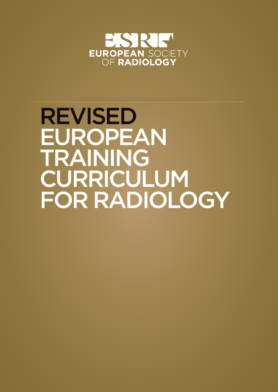

# REVISED EUROPEAN TRAINING CURRICULUM FOR RADIOLOGY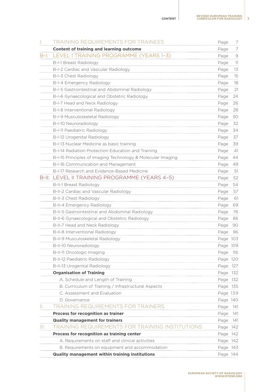|        | TRAINING REQUIREMENTS FOR TRAINEES                          | Page     | 7    |
|--------|-------------------------------------------------------------|----------|------|
|        | <b>Content of training and learning outcome</b>             | Page     | 7    |
| $B-I:$ | LEVEL I TRAINING PROGRAMME (YEARS 1-3)                      | Page     | 9    |
|        | <b>B-I-1 Breast Radiology</b>                               | Page     | 11   |
|        | B-I-2 Cardiac and Vascular Radiology                        | Page     | 13   |
|        | B-I-3 Chest Radiology                                       | Page     | 15   |
|        | B-I-4 Emergency Radiology                                   | Page     | 18   |
|        | B-I-5 Gastrointestinal and Abdominal Radiology              | Page     | 21   |
|        | B-I-6 Gynaecological and Obstetric Radiology                | Page     | 24   |
|        | B-I-7 Head and Neck Radiology                               | Page     | 26   |
|        | B-I-8 Interventional Radiology                              | Page     | 28   |
|        | B-I-9 Musculoskeletal Radiology                             | Page     | 30   |
|        | B-I-10 Neuroradiology                                       | Page     | 32   |
|        | B-I-11 Paediatric Radiology                                 | Page     | 34   |
|        | B-I-12 Urogenital Radiology                                 | Page     | 37   |
|        | B-I-13 Nuclear Medicine as basic training                   | Page     | 39   |
|        | B-I-14 Radiation Protection Education and Training          | Page     | 41   |
|        | B-I-15 Principles of Imaging Technology & Molecular Imaging | Page     | 44   |
|        | B-I-16 Communication and Management                         | Page     | 49   |
|        | B-I-17 Research and Evidence-Based Medicine                 | Page     | 51   |
|        | B-II: LEVEL II TRAINING PROGRAMME (YEARS 4-5)               | Page     | 52   |
|        | <b>B-II-1 Breast Radiology</b>                              | Page     | 54   |
|        | B-II-2 Cardiac and Vascular Radiology                       | Page     | 57   |
|        | B-II-3 Chest Radiology                                      | Page     | 61   |
|        | B-II-4 Emergency Radiology                                  | Page     | 69   |
|        | B-II-5 Gastrointestinal and Abdominal Radiology             | Page     | 76   |
|        | B-II-6 Gynaecological and Obstetric Radiology               | Page     | 86   |
|        | B-II-7 Head and Neck Radiology                              | Page     | 90   |
|        | B-II-8 Interventional Radiology                             | Page     | 96   |
|        | B-II-9 Musculoskeletal Radiology                            | Page 103 |      |
|        | B-II-10 Neuroradiology                                      | Page 109 |      |
|        | B-II-11 Oncologic Imaging                                   | Page     | 116  |
|        | <b>B-II-12 Paediatric Radiology</b>                         | Page 120 |      |
|        | B-II-13 Urogenital Radiology                                | Page 127 |      |
|        | <b>Organisation of Training</b>                             | Page 132 |      |
|        | A. Schedule and Length of Training                          | Page 132 |      |
|        | B. Curriculum of Training / Infrastructural Aspects         | Page 135 |      |
|        | C. Assessment and Evaluation                                | Page 139 |      |
|        | D. Governance                                               | Page 140 |      |
| Ш.     | TRAINING REQUIREMENTS FOR TRAINERS                          | Page     | 141  |
|        | Process for recognition as trainer                          | Page     | 141  |
|        | <b>Quality management for trainers</b>                      | Page     | -141 |
| Ш.     | <b>TRAINING REQUIREMENTS FOR TRAINING INSTITUTIONS</b>      | Page 142 |      |
|        | Process for recognition as training center                  | Page 142 |      |
|        | A. Requirements on staff and clinical activities            | Page 142 |      |
|        | B. Requirements on equipment and accommodation              | Page 143 |      |
|        | Quality management within training institutions             | Page 144 |      |
|        |                                                             |          |      |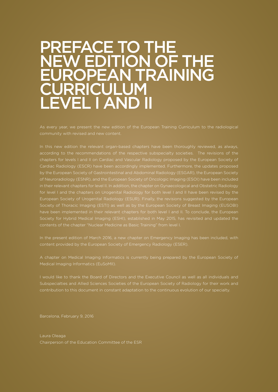# PREFACE TO THE NEW EDITION OF THE EUROPEAN TRAINING **IRRICULUM** LEVEL I AND II

As every year, we present the new edition of the European Training Curriculum to the radiological

according to the recommendations of the respective subspecialty societies. The revisions of the chapters for levels I and II on Cardiac and Vascular Radiology proposed by the European Society of Cardiac Radiology (ESCR) have been accordingly implemented. Furthermore, the updates proposed by the European Society of Gastrointestinal and Abdominal Radiology (ESGAR), the European Society of Neuroradiology (ESNR), and the European Society of Oncologic Imaging (ESOI) have been included for level I and the chapters on Urogenital Radiology for both level I and II have been revised by the Society of Thoracic Imaging (ESTI) as well as by the European Society of Breast Imaging (EUSOBI) Society for Hybrid Medical Imaging (ESHI), established in May 2015, has revisited and updated the

content provided by the European Society of Emergency Radiology (ESER).

Medical Imaging Informatics (EuSoMII).

Subspecialties and Allied Sciences Societies of the European Society of Radiology for their work and contribution to this document in constant adaptation to the continuous evolution of our specialty.

Barcelona, February 9, 2016

Laura Oleaga Chairperson of the Education Committee of the ESR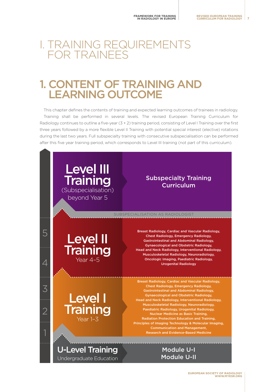# <span id="page-6-0"></span>I. TRAINING REQUIREMENTS FOR TRAINEES

# 1. CONTENT OF TRAINING AND LEARNING OUTCOME

This chapter defines the contents of training and expected learning outcomes of trainees in radiology. Training shall be performed in several levels. The revised European Training Curriculum for Radiology continues to outline a five-year  $(3 + 2)$  training period, consisting of Level I Training over the first three years followed by a more flexible Level II Training with potential special interest (elective) rotations during the last two years. Full subspecialty training with consecutive subspecialisation can be performed after this five year training period, which corresponds to Level III training (not part of this curriculum).

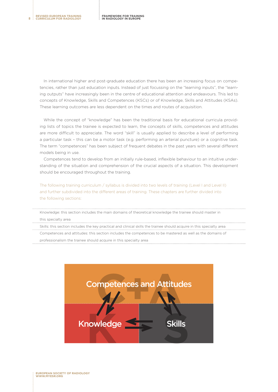In international higher and post-graduate education there has been an increasing focus on competencies, rather than just education inputs. Instead of just focussing on the "learning inputs", the "learning outputs" have increasingly been in the centre of educational attention and endeavours. This led to concepts of Knowledge, Skills and Competences (KSCs) or of Knowledge, Skills and Attitudes (KSAs). These learning outcomes are less dependent on the times and routes of acquisition.

While the concept of "knowledge" has been the traditional basis for educational curricula providing lists of topics the trainee is expected to learn, the concepts of skills, competences and attitudes are more difficult to appreciate. The word "skill" is usually applied to describe a level of performing a particular task – this can be a motor task (e.g. performing an arterial puncture) or a cognitive task. The term "competences" has been subject of frequent debates in the past years with several different models being in use.

Competences tend to develop from an initially rule-based, inflexible behaviour to an intuitive understanding of the situation and comprehension of the crucial aspects of a situation. This development should be encouraged throughout the training.

The following training curriculum / syllabus is divided into two levels of training (Level I and Level II) and further subdivided into the different areas of training. These chapters are further divided into the following sections:

Knowledge: this section includes the main domains of theoretical knowledge the trainee should master in

this specialty area

Skills: this section includes the key practical and clinical skills the trainee should acquire in this specialty area Competences and attitudes: this section includes the competences to be mastered as well as the domains of professionalism the trainee should acquire in this specialty area

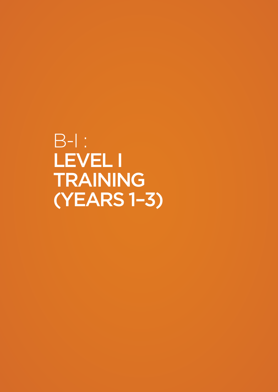<span id="page-8-0"></span>B-I : LEVEL I TRAINING (YEARS 1–3)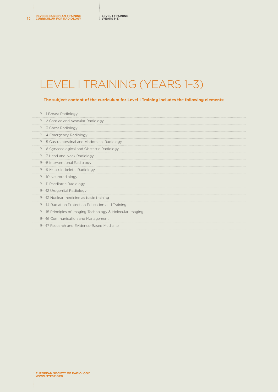# LEVEL I TRAINING (YEARS 1–3)

#### **The subject content of the curriculum for Level I Training includes the following elements:**

| <b>B-I-1 Breast Radiology</b>                               |
|-------------------------------------------------------------|
| B-I-2 Cardiac and Vascular Radiology                        |
| B-I-3 Chest Radiology                                       |
| B-I-4 Emergency Radiology                                   |
| B-I-5 Gastrointestinal and Abdominal Radiology              |
| B-I-6 Gynaecological and Obstetric Radiology                |
| B-I-7 Head and Neck Radiology                               |
| B-I-8 Interventional Radiology                              |
| B-I-9 Musculoskeletal Radiology                             |
| B-I-10 Neuroradiology                                       |
| B-I-11 Paediatric Radiology                                 |
| B-I-12 Urogenital Radiology                                 |
| B-I-13 Nuclear medicine as basic training                   |
| B-I-14 Radiation Protection Education and Training          |
| B-I-15 Principles of Imaging Technology & Molecular Imaging |
| B-I-16 Communication and Management                         |
| B-I-17 Research and Evidence-Based Medicine                 |
|                                                             |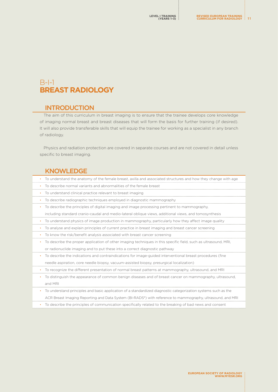# <span id="page-10-0"></span>B-I-1 **BREAST RADIOLOGY**

#### **INTRODUCTION**

The aim of this curriculum in breast imaging is to ensure that the trainee develops core knowledge of imaging normal breast and breast diseases that will form the basis for further training (if desired). It will also provide transferable skills that will equip the trainee for working as a specialist in any branch of radiology.

Physics and radiation protection are covered in separate courses and are not covered in detail unless specific to breast imaging.

#### KNOWLEDGE

| To understand the anatomy of the female breast, axilla and associated structures and how they change with age           |
|-------------------------------------------------------------------------------------------------------------------------|
| To describe normal variants and abnormalities of the female breast                                                      |
| To understand clinical practice relevant to breast imaging                                                              |
| To describe radiographic techniques employed in diagnostic mammography                                                  |
| To describe the principles of digital imaging and image processing pertinent to mammography,                            |
| including standard cranio-caudal and medio-lateral oblique views, additional views, and tomosynthesis                   |
| To understand physics of image production in mammography, particularly how they affect image quality                    |
| To analyse and explain principles of current practice in breast imaging and breast cancer screening                     |
| To know the risk/benefit analysis associated with breast cancer screening                                               |
| To describe the proper application of other imaging techniques in this specific field, such as ultrasound, MRI,         |
| or radionuclide imaging and to put these into a correct diagnostic pathway                                              |
| To describe the indications and contraindications for image-guided interventional breast procedures (fine               |
| needle aspiration, core needle biopsy, vacuum-assisted biopsy, presurgical localization)                                |
| To recognize the different presentation of normal breast patterns at mammography, ultrasound, and MRI<br>٠              |
| To distinguish the appearance of common benign diseases and of breast cancer on mammography, ultrasound,                |
| and MRI                                                                                                                 |
| To understand principles and basic application of a standardized diagnostic categorization systems such as the          |
| ACR Breast Imaging Reporting and Data System (BI-RADS <sup>®</sup> ) with reference to mammography, ultrasound, and MRI |

• To describe the principles of communication specifically related to the breaking of bad news and consent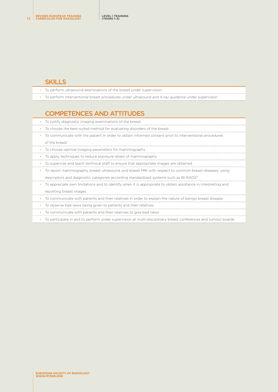- To perform ultrasound examinations of the breast under supervision
- To perform interventional breast procedures under ultrasound and X-ray guidance under supervision

# COMPETENCES AND ATTITUDES

- To justify diagnostic imaging examinations of the breast
- To choose the best-suited method for evaluating disorders of the breast
- To communicate with the patient in order to obtain informed consent prior to interventional procedures of the breast
- To choose optimal imaging parameters for mammography
- To apply techniques to reduce exposure doses of mammography
- To supervise and teach technical staff to ensure that appropriate images are obtained
- To report mammography, breast ultrasound, and breast MRI with respect to common breast diseases, using
- descriptors and diagnostic categories according standardized systems such as BI-RADS®
- To appreciate own limitations and to identify when it is appropriate to obtain assistance in interpreting and reporting breast images
- To communicate with patients and their relatives in order to explain the nature of benign breast disease
- To observe bad news being given to patients and their relatives
- To communicate with patients and their relatives to give bad news
- To participate in and to perform under supervision at multi-disciplinary breast conferences and tumour boards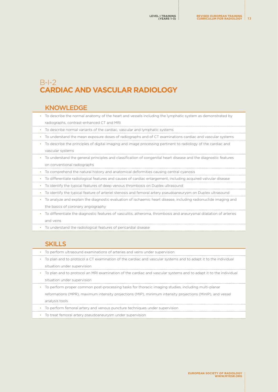# <span id="page-12-0"></span>B-I-2 **CARDIAC AND VASCULAR RADIOLOGY**

#### KNOWLEDGE

- To describe the normal anatomy of the heart and vessels including the lymphatic system as demonstrated by radiographs, contrast-enhanced CT and MRI
- To describe normal variants of the cardiac, vascular and lymphatic systems
- To understand the mean exposure doses of radiographs and of CT examinations cardiac and vascular systems
- To describe the principles of digital imaging and image processing pertinent to radiology of the cardiac and vascular systems
- To understand the general principles and classification of congenital heart disease and the diagnostic features on conventional radiographs
- To comprehend the natural history and anatomical deformities causing central cyanosis
- To differentiate radiological features and causes of cardiac enlargement, including acquired valvular disease
- To identify the typical features of deep venous thrombosis on Duplex ultrasound
- To identify the typical feature of arteriel stenosis and femoral artery pseudoaneurysm on Duplex ultrasound
- To analyze and explain the diagnostic evaluation of ischaemic heart disease, including radionuclide imaging and the basics of coronary angiography
- To differentiate the diagnostic features of vasculitis, atheroma, thrombosis and aneurysmal dilatation of arteries and veins
- 
- To understand the radiological features of pericardial disease

### **SKILLS**

- To perform ultrasound examinations of arteries and veins under supervision
- To plan and to protocol a CT examination of the cardiac and vascular systems and to adapt it to the individual situation under supervision
- To plan and to protocol an MRI examination of the cardiac and vascular systems and to adapt it to the individual situation under supervision
- To perform proper common post-processing tasks for thoracic imaging studies, including multi-planar
- reformations (MPR), maximum intensity projections (MIP), minimum intensity projections (MinIP), and vessel analysis tools
- To perform femoral artery and venous puncture techniques under supervision
- To treat femoral artery pseudoaneurysm under supervision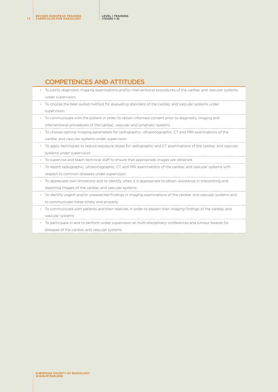## COMPETENCES AND ATTITUDES

|   | To justify diagnostic imaging examinations and/or interventional procedures of the cardiac and vascular systems |
|---|-----------------------------------------------------------------------------------------------------------------|
|   | under supervision                                                                                               |
| ٠ | To choose the best-suited method for evaluating disorders of the cardiac and vascular systems under             |
|   | supervision                                                                                                     |
|   | To communicate with the patient in order to obtain informed consent prior to diagnostic imaging and             |
|   | interventional procedures of the cardiac, vascular and lymphatic systems                                        |
|   | To choose optimal imaging parameters for radiographic, ultrasonographic, CT and MRI examinations of the         |
|   | cardiac and vascular systems under supervision                                                                  |
|   | To apply techniques to reduce exposure doses for radiographic and CT examinations of the cardiac and vascular   |
|   | systems under supervision                                                                                       |
|   | To supervise and teach technical staff to ensure that appropriate images are obtained                           |
|   | To report radiographic, ultrasonographic, CT and MRI examinations of the cardiac and vascular systems with      |
|   |                                                                                                                 |
|   | respect to common diseases under supervision                                                                    |
|   | To appreciate own limitations and to identify when it is appropriate to obtain assistance in interpreting and   |
|   | reporting images of the cardiac and vascular systems                                                            |
| ٠ | To identify urgent and/or unexpected findings in imaging examinations of the cardiac and vascular systems and   |
|   | to communicate these timely and properly                                                                        |
| ٠ | To communicate with patients and their relatives in order to explain their imaging findings of the cardiac and  |
|   | vascular systems                                                                                                |

diseases of the cardiac and vascular systems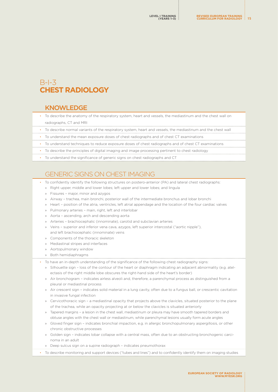# <span id="page-14-0"></span> $B-I-3$ **CHEST RADIOLOGY**

#### KNOWLEDGE

- To describe the anatomy of the respiratory system, heart and vessels, the mediastinum and the chest wall on radiographs, CT and MRI
- To describe normal variants of the respiratory system, heart and vessels, the mediastinum and the chest wall
	- To understand the mean exposure doses of chest radiographs and of chest CT examinations
	- To understand techniques to reduce exposure doses of chest radiographs and of chest CT examinations
	- To describe the principles of digital imaging and image processing pertinent to chest radiology
	- To understand the significance of generic signs on chest radiographs and CT

# GENERIC SIGNS ON CHEST IMAGING

- To confidently identify the following structures on postero-anterior (PA) and lateral chest radiographs:
	- » Right upper, middle and lower lobes; left upper and lower lobes; and lingula
	- » Fissures major, minor and azygos
	- » Airway trachea, main bronchi, posterior wall of the intermediate bronchus and lobar bronchi
	- » Heart position of the atria, ventricles, left atrial appendage and the location of the four cardiac valves
	- » Pulmonary arteries main, right, left and interlobar
	- » Aorta ascending, arch and descending aorta
	- » Arteries brachiocephalic (innominate), carotid and subclavian arteries
	- » Veins superior and inferior vena cava, azygos, left superior intercostal ("aortic nipple"), and left brachiocephalic (innominate) veins
	- » Components of the thoracic skeleton
	- » Mediastinal stripes and interfaces
	- » Aortopulmonary window
	- » Both hemidiaphragms
- To have an in-depth understanding of the significance of the following chest radiography signs:
	- » Silhouette sign loss of the contour of the heart or diaphragm indicating an adjacent abnormality (e.g. atelectasis of the right middle lobe obscures the right-hand side of the heart's border)
	- » Air bronchogram indicates airless alveoli and, therefore, a parenchymal process as distinguished from a pleural or mediastinal process
	- » Air crescent sign indicates solid material in a lung cavity, often due to a fungus ball, or crescentic cavitation in invasive fungal infection
	- » Cervicothoracic sign a mediastinal opacity that projects above the clavicles, situated posterior to the plane of the trachea, while an opacity projecting at or below the clavicles is situated anteriorly
	- » Tapered margins a lesion in the chest wall, mediastinum or pleura may have smooth tapered borders and obtuse angles with the chest wall or mediastinum, while parenchymal lesions usually form acute angles
	- » Gloved finger sign indicates bronchial impaction, e.g. in allergic bronchopulmonary aspergillosis, or other chronic obstructive processes
	- » Golden sign indicates lobar collapse with a central mass, often due to an obstructing bronchogenic carcinoma in an adult
	- » Deep sulcus sign on a supine radiograph indicates pneumothorax
- To describe monitoring and support devices ("tubes and lines") and to confidently identify them on imaging studies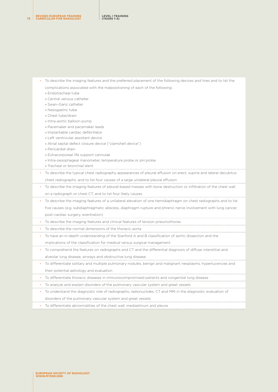**REVISED EUROPEAN TRAINING <sup>16</sup> CURRICULUM FOR RADIOLOGY**

- To describe the imaging features and the preferred placement of the following devices and lines and to list the
	- complications associated with the malpositioning of each of the following:
	- » Endotracheal tube
	- » Central venous catheter
	- » Swan–Ganz catheter
	- » Nasogastric tube
	- » Chest tube/drain
	- » Intra-aortic balloon pump
	- » Pacemaker and pacemaker leads
	- » Implantable cardiac defibrillator
	- » Left ventricular assistant device
	- » Atrial septal defect closure device ("clamshell device")
	- » Pericardial drain
	- » Extracorporeal life support cannulae
	- » Intra-oesophageal manometer, temperature probe or pH probe
	- » Tracheal or bronchial stent
- To describe the typical chest radiography appearances of pleural effusion on erect, supine and lateral decubitus chest radiographs, and to list four causes of a large unilateral pleural effusion
- To describe the imaging features of pleural-based masses with bone destruction or infiltration of the chest wall on a radiograph or chest CT, and to list four likely causes
- To describe the imaging features of a unilateral elevation of one hemidiaphragm on chest radiographs and to list
	- five causes (e.g. subdiaphragmatic abscess, diaphragm rupture and phrenic nerve involvement with lung cancer, post-cardiac surgery, eventration)
- To describe the imaging features and clinical features of tension pneumothorax
- To describe the normal dimensions of the thoracic aorta
- To have an in-depth understanding of the Stanford A and B classification of aortic dissection and the

implications of the classification for medical versus surgical management

- To comprehend the features on radiographs and CT and the differential diagnosis of diffuse interstitial and alveolar lung disease, airways and obstructive lung disease
- To differentiate solitary and multiple pulmonary nodules, benign and malignant neoplasms, hyperlucencies and their potential aetiology and evaluation
- To differentiate thoracic diseases in immunocompromised patients and congenital lung disease
- To analyze and explain disorders of the pulmonary vascular system and great vessels
- To understand the diagnostic role of radiographs, radionuclides, CT and MRI in the diagnostic evaluation of disorders of the pulmonary vascular system and great vessels
- To differentiate abnormalities of the chest wall, mediastinum and pleura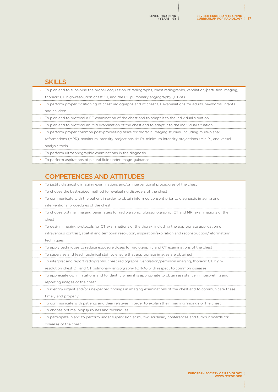| To plan and to supervise the proper acquisition of radiographs, chest radiographs, ventilation/perfusion imaging, |
|-------------------------------------------------------------------------------------------------------------------|
| thoracic CT, high-resolution chest CT, and the CT pulmonary angiography (CTPA)                                    |
| • To perform proper positioning of chest radiographs and of chest CT examinations for adults, newborns, infants   |
| and children                                                                                                      |
| • To plan and to protocol a CT examination of the chest and to adapt it to the individual situation               |
| To plan and to protocol an MRI examination of the chest and to adapt it to the individual situation               |
| To perform proper common post-processing tasks for thoracic imaging studies, including multi-planar               |
| reformations (MPR), maximum intensity projections (MIP), minimum intensity projections (MinIP), and vessel        |
| analysis tools                                                                                                    |
| • To perform ultrasonographic examinations in the diagnosis                                                       |
| • To perform aspirations of pleural fluid under image-quidance                                                    |
|                                                                                                                   |

# COMPETENCES AND ATTITUDES

• To justify diagnostic imaging examinations and/or interventional procedures of the chest

• To choose the best-suited method for evaluating disorders of the chest

- To communicate with the patient in order to obtain informed consent prior to diagnostic imaging and interventional procedures of the chest
- To choose optimal imaging parameters for radiographic, ultrasonographic, CT and MRI examinations of the chest
- To design imaging protocols for CT examinations of the thorax, including the appropriate application of intravenous contrast, spatial and temporal resolution, inspiration/expiration and reconstruction/reformatting techniques
- To apply techniques to reduce exposure doses for radiographic and CT examinations of the chest
- To supervise and teach technical staff to ensure that appropriate images are obtained
- To interpret and report radiographs, chest radiographs, ventilation/perfusion imaging, thoracic CT, highresolution chest CT and CT pulmonary angiography (CTPA) with respect to common diseases
- To appreciate own limitations and to identify when it is appropriate to obtain assistance in interpreting and reporting images of the chest
- To identify urgent and/or unexpected findings in imaging examinations of the chest and to communicate these timely and properly
- To communicate with patients and their relatives in order to explain their imaging findings of the chest
- To choose optimal biopsy routes and techniques
- To participate in and to perform under supervision at multi-disciplinary conferences and tumour boards for diseases of the chest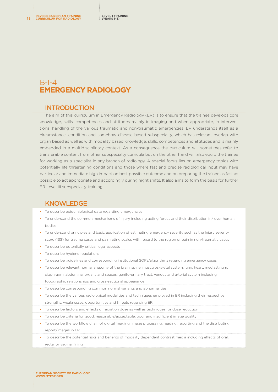# <span id="page-17-0"></span> $B$ -I-4 **EMERGENCY RADIOLOGY**

#### **INTRODUCTION**

The aim of this curriculum in Emergency Radiology (ER) is to ensure that the trainee develops core knowledge, skills, competences and attitudes mainly in imaging and when appropriate, in interventional handling of the various traumatic and non-traumatic emergencies. ER understands itself as a circumstance, condition and somehow disease based subspecialty, which has relevant overlap with organ based as well as with modality based knowledge, skills, competences and attitudes and is mainly embedded in a multidisciplinary context. As a consequence the curriculum will sometimes refer to transferable content from other subspecialty curricula but on the other hand will also equip the trainee for working as a specialist in any branch of radiology. A special focus lies on emergency topics with potentially life threatening conditions and those where fast and precise radiological input may have particular and immediate high impact on best possible outcome and on preparing the trainee as fast as possible to act appropriate and accordingly during night shifts. It also aims to form the basis for further ER Level III subspecialty training.

#### **KNOWLEDGE**

| To describe epidemiological data regarding emergencies                                                            |
|-------------------------------------------------------------------------------------------------------------------|
| To understand the common mechanisms of injury including acting forces and their distribution in/over human        |
| bodies                                                                                                            |
| To understand principles and basic application of estimating emergency severity such as the Injury severity       |
| score (ISS) for trauma cases and pain rating scales with regard to the region of pain in non-traumatic cases      |
| To describe potentially critical legal aspects                                                                    |
| To describe hygiene regulations                                                                                   |
| To describe quidelines and corresponding institutional SOPs/algorithms regarding emergency cases                  |
| To describe relevant normal anatomy of the brain, spine, musculoskeletal system, lung, heart, mediastinum,        |
| diaphragm, abdominal organs and spaces, genito-urinary tract, venous and arterial system including                |
| topographic relationships and cross-sectional appearance                                                          |
| To describe corresponding common normal variants and abnormalities                                                |
| To describe the various radiological modalities and techniques employed in ER including their respective          |
| strengths, weaknesses, opportunities and threats regarding ER                                                     |
| To describe factors and effects of radiation dose as well as techniques for dose reduction                        |
| To describe criteria for good, reasonable/acceptable, poor and insufficient image quality                         |
| To describe the workflow chain of digital imaging, image processing, reading, reporting and the distributing<br>٠ |
| report/images in ER                                                                                               |
| To describe the potential risks and benefits of modality dependent contrast media including effects of oral,      |
| rectal or vaginal filling                                                                                         |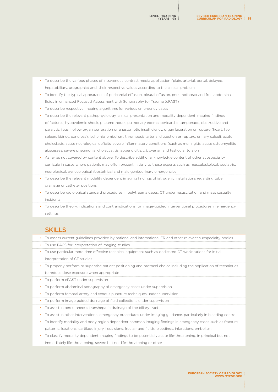• To describe the various phases of intravenous contrast media application (plain, arterial, portal, delayed,

<span id="page-18-0"></span>

|           | וס טפסטווסט נווט זימווסטס וווטסטס טרווונוסויטווסטס טטונוסטנ וווטטוס טוסטווטטור גטומווו. טרנטווטר נטור טטוס טער     |
|-----------|--------------------------------------------------------------------------------------------------------------------|
|           | hepatobiliary, urographic) and their respective values according to the clinical problem                           |
| $\bullet$ | To identify the typical appearance of pericardial effusion, pleural effusion, pneumothorax and free abdominal      |
|           | fluids in enhanced Focused Assessment with Sonography for Trauma (eFAST)                                           |
| $\bullet$ | To describe respective imaging algorithms for various emergency cases                                              |
| ٠         | To describe the relevant pathophysiology, clinical presentation and modality dependent imaging findings            |
|           | of factures, hypovolemic shock, pneumothorax, pulmonary edema, pericardial tamponade, obstructive and              |
|           | paralytic ileus, hollow organ perforation or anastomotic insufficiency, organ laceration or rupture (heart, liver, |
|           | spleen, kidney, pancreas), ischemia, embolism, thrombosis, arterial dissection or rupture, urinary calculi, acute  |
|           | cholestasis, acute neurological deficits, severe inflammatory conditions (such as meningitis, acute osteomyelitis, |
|           | abscesses, severe pneumonia, cholecystitis, appendicitis, ), ovarian and testicular torsion                        |
|           |                                                                                                                    |

- As far as not covered by content above: To describe additional knowledge content of other subspeciality curricula in cases where patients may often present initially to those experts such as musculoskeletal, pediatric, neurological, gynecological /obstetrical and male genitourinary emergencies
- To describe the relevant modality dependent imaging findings of iatrogenic installations regarding tube, drainage or catheter positions
- To describe radiological standard procedures in polytrauma cases, CT under resuscitation and mass casualty incidents
- To describe theory, indications and contraindications for image-guided interventional procedures in emergency settings

### **SKILLS**

• To assess current guidelines provided by national and international ER and other relevant subspecialty bodies • To use PACS for interpretation of imaging studies • To use particular more time effective technical equipment such as dedicated CT workstations for initial interpretation of CT studies • To properly perform or supervise patient positioning and protocol choice including the application of techniques to reduce dose exposure when appropriate • To perform eFAST under supervision • To perform abdominal sonography of emergency cases under supervision • To perform femoral artery and venous puncture techniques under supervision • To perform image guided drainage of fluid collections under supervision • To assist in percutaneous transhepatic drainage of the biliary tract • To assist in other interventional emergency procedures under imaging guidance, particularly in bleeding control • To identify modality and body region dependent common imaging findings in emergency cases such as fracture patterns, luxations, cartilage injury, ileus signs, free air and fluids, bleedings, infarctions, embolism • To classify modality dependent imaging findings to be potentially acute life-threatening, in principal but not immediately life-threatening, severe but not life-threatening or other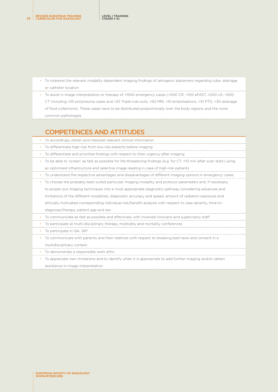- To interpret the relevant modality dependent imaging findings of iatrogenic placement regarding tube, drainage or catheter location
- To assist in image interpretation or therapy of >1500 emergency cases (>500 CR, >100 eFAST, >200 US, >500 CT including >25 polytrauma cases and >25 Triple-rule-outs, >50 MRI, >10 embolisations, >10 PTD, >30 drainage of fluid collections). These cases have to be distributed proportionally over the body regions and the more common pathologies

## COMPETENCES AND ATTITUDES

| To accordingly obtain and interpret relevant clinical information                                                      |
|------------------------------------------------------------------------------------------------------------------------|
| To differentiate high-risk from low-risk patients before imaging                                                       |
| To differentiate and prioritise findings with respect to their urgency after imaging                                   |
| To be able to 'screen' as fast as possible for life-threatening findings (e.g. for CT: <10 min after scan start) using |
| an optimised infrastructure and selective image reading in case of high-risk patients                                  |
| To understand the respective advantages and disadvantages of different imaging options in emergency cases              |
| To choose the probably best-suited particular imaging modality and protocol parameters and, if necessary,              |
| to proper put imaging techniques into a most appropriate diagnostic pathway considering advances and                   |
| limitations of the different modalities, diagnostic accuracy and speed, amount of radiation exposure and               |
| ethically motivated corresponding individual risk/benefit-analysis with respect to case severity, time-to-             |
| diagnose/therapy, patient age and sex                                                                                  |
| To communicate as fast as possible and effectively with involved clinicians and supervisory staff                      |
| To participate at multi-disciplinary therapy, morbidity and mortality conferences<br>$\bullet$                         |
| To participate in QA, QM                                                                                               |
| To communicate with patients and their relatives with respect to breaking bad news and consent in a                    |
| multidisciplinary context                                                                                              |

- To demonstrate a responsible work ethic
- To appreciate own limitations and to identify when it is appropriate to add further imaging and/or obtain

assistance in image interpretation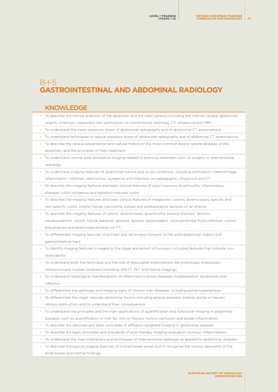# <span id="page-20-0"></span>B-I-5 **GASTROINTESTINAL AND ABDOMINAL RADIOLOGY**

#### KNOWLEDGE

| • To describe the normal anatomy of the abdomen and the main variants including the internal viscera, abdominal |
|-----------------------------------------------------------------------------------------------------------------|
| organs, omentum, mesentery and peritoneum on conventional radiology, CT, ultrasound and MRI                     |

- To understand the mean exposure doses of abdominal radiographs and of abdominal CT examinations
- To understand techniques to reduce exposure doses of abdominal radiographs and of abdominal CT examinations
- To describe the clinical presentation and natural history of the most common and/or severe diseases of the abdomen, and the principles of their treatment
- To understand normal post-procedure imaging related to previous treatment such as surgery or interventional radiology
- To understand imaging features of abdominal trauma and acute conditions, including perforation, haemorrhage, inflammation, infection, obstruction, ischaemia and infarction on radiographs, ultrasound and CT
- To describe the imaging features and basic clinical features of colon tumours, diverticulitis, inflammatory diseases, colon ischaemia and radiation-induced colitis
- To describe the imaging features and basic clinical features of megacolon, colonic diverticulosis, specific and non-specific colitis, colonic fistula, carcinoma, polyps and postoperative stenosis on an enema
- To describe the imaging features of colonic diverticulosis, diverticulitis, tumour stenosis, ileocolic intussusception, colonic fistula, paracolic abscess, epiploic appendagitis, intra-peritoneal fluid collection, colonic pneumatosis and pneumoperitoneum on CT
- To differentiate imaging features of primary and secondary tumours of the solid abdominal organs and gastrointestinal tract
- To identify imaging features in regard to the stage and extent of tumours, including features that indicate nonresectability
- To understand both the technique and the role of associated examinations like endoscopy, endoscopic ultrasound and nuclear medicine (including SPECT, PET and hybrid imaging)
- To understand radiological manifestations of inflammatory bowel diseases, malabsorption syndromes and infection
- To differentiate the aetiology and imaging signs of chronic liver diseases, including portal hypertension
- To differentiate the major vascular abdominal lesions including arterial diseases, arterial, portal or hepatic venous obstruction and to understand their consequences
- To understand the principles and the main applications of quantification and functional imaging in abdominal diseases, such as quantification of liver fat, iron or fibrosis, tumour perfusion and bowel inflammation
- To describe the rationale and basic principles of diffusion-weighted imaging in abdominal diseases
- To describe the basic principles and standards of post-therapy imaging evaluation (tumour, inflammation)
- To understand the main indications and techniques of interventional radiology as applied to abdominal diseases
- To describe the typical imaging features of a small bowel series and to recognise the various segments of the small bowel and normal findings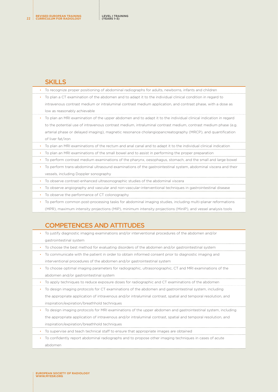|           | To recognize proper positioning of abdominal radiographs for adults, newborns, infants and children             |
|-----------|-----------------------------------------------------------------------------------------------------------------|
| ٠         | To plan a CT examination of the abdomen and to adapt it to the individual clinical condition in regard to       |
|           | intravenous contrast medium or intraluminal contrast medium application, and contrast phase, with a dose as     |
|           | low as reasonably achievable                                                                                    |
|           | To plan an MRI examination of the upper abdomen and to adapt it to the individual clinical indication in regard |
|           | to the potential use of intravenous contrast medium, intraluminal contrast medium, contrast medium phase (e.g.  |
|           | arterial phase or delayed imaging), magnetic resonance cholangiopancreatography (MRCP), and quantification      |
|           | of liver fat/iron                                                                                               |
|           | To plan an MRI examinations of the rectum and anal canal and to adapt it to the individual clinical indication  |
|           | To plan an MRI examinations of the small bowel and to assist in performing the proper preparation               |
|           | To perform contrast medium examinations of the pharynx, oesophagus, stomach, and the small and large bowel      |
| $\bullet$ | To perform trans-abdominal ultrasound examinations of the gastrointestinal system, abdominal viscera and their  |
|           | vessels, including Doppler sonography                                                                           |
|           | To observe contrast-enhanced ultrasonographic studies of the abdominal viscera                                  |
| $\bullet$ | To observe angiography and vascular and non-vascular-interventional techniques in gastrointestinal disease      |
| $\bullet$ | To observe the performance of CT colonography                                                                   |
| $\bullet$ | To perform common post-processing tasks for abdominal imaging studies, including multi-planar reformations      |
|           |                                                                                                                 |

(MPR), maximum intensity projections (MIP), minimum intensity projections (MinIP), and vessel analysis tools

# COMPETENCES AND ATTITUDES

|  | To justify diagnostic imaging examinations and/or interventional procedures of the abdomen and/or             |
|--|---------------------------------------------------------------------------------------------------------------|
|  | gastrointestinal system                                                                                       |
|  | To choose the best method for evaluating disorders of the abdomen and/or gastrointestinal system              |
|  | To communicate with the patient in order to obtain informed consent prior to diagnostic imaging and           |
|  | interventional procedures of the abdomen and/or gastrointestinal system                                       |
|  | To choose optimal imaging parameters for radiographic, ultrasonographic, CT and MRI examinations of the       |
|  | abdomen and/or gastrointestinal system                                                                        |
|  | To apply techniques to reduce exposure doses for radiographic and CT examinations of the abdomen              |
|  | To design imaging protocols for CT examinations of the abdomen and gastrointestinal system, including         |
|  | the appropriate application of intravenous and/or intraluminal contrast, spatial and temporal resolution, and |
|  | inspiration/expiration/breathhold techniques                                                                  |
|  | To design imaging protocols for MRI examinations of the upper abdomen and gastrointestinal system, including  |
|  | the appropriate application of intravenous and/or intraluminal contrast, spatial and temporal resolution, and |
|  | inspiration/expiration/breathhold techniques                                                                  |
|  | To supervise and teach technical staff to ensure that appropriate images are obtained                         |
|  |                                                                                                               |

• To confidently report abdominal radiographs and to propose other imaging techniques in cases of acute abdomen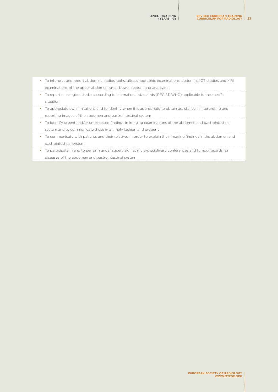| To interpret and report abdominal radiographs, ultrasonographic examinations, abdominal CT studies and MRI                  |
|-----------------------------------------------------------------------------------------------------------------------------|
| examinations of the upper abdomen, small bowel, rectum and anal canal                                                       |
| To report oncological studies according to international standards (RECIST, WHO) applicable to the specific<br>$\bullet$    |
| situation                                                                                                                   |
| To appreciate own limitations and to identify when it is appropriate to obtain assistance in interpreting and<br>$\bullet$  |
| reporting images of the abdomen and gastrointestinal system                                                                 |
| To identify urgent and/or unexpected findings in imaging examinations of the abdomen and gastrointestinal<br>$\bullet$      |
| system and to communicate these in a timely fashion and properly                                                            |
| To communicate with patients and their relatives in order to explain their imaging findings in the abdomen and<br>$\bullet$ |
| gastrointestinal system                                                                                                     |
| To participate in and to perform under supervision at multi-disciplinary conferences and tumour boards for<br>$\bullet$     |
| diseases of the abdomen and gastrointestinal system                                                                         |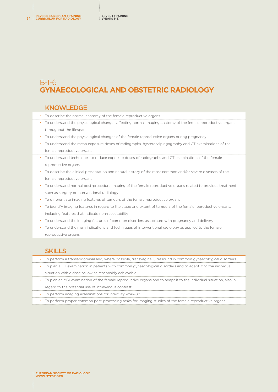# <span id="page-23-0"></span>B-I-6 **GYNAECOLOGICAL AND OBSTETRIC RADIOLOGY**

#### **KNOWLEDGE**

| To describe the normal anatomy of the female reproductive organs                                             |
|--------------------------------------------------------------------------------------------------------------|
| To understand the physiological changes affecting normal imaging anatomy of the female reproductive organs   |
| throughout the lifespan                                                                                      |
| To understand the physiological changes of the female reproductive organs during pregnancy                   |
| To understand the mean exposure doses of radiographs, hysterosalpingography and CT examinations of the       |
| female reproductive organs                                                                                   |
| To understand techniques to reduce exposure doses of radiographs and CT examinations of the female           |
| reproductive organs                                                                                          |
| To describe the clinical presentation and natural history of the most common and/or severe diseases of the   |
| female reproductive organs                                                                                   |
| To understand normal post-procedure imaging of the female reproductive organs related to previous treatment  |
| such as surgery or interventional radiology                                                                  |
| To differentiate imaging features of tumours of the female reproductive organs                               |
| To identify imaging features in regard to the stage and extent of tumours of the female reproductive organs, |
| including features that indicate non-resectability                                                           |
| To understand the imaging features of common disorders associated with pregnancy and delivery                |

• To understand the main indications and techniques of interventional radiology as applied to the female reproductive organs

# SKILLS

- To perform a transabdominal and, where possible, transvaginal ultrasound in common gynaecological disorders
- To plan a CT examination in patients with common gynaecological disorders and to adapt it to the individual situation with a dose as low as reasonably achievable
- To plan an MRI examination of the female reproductive organs and to adapt it to the individual situation, also in regard to the potential use of intravenous contrast
- To perform imaging examinations for infertility work-up
- To perform proper common post-processing tasks for imaging studies of the female reproductive organs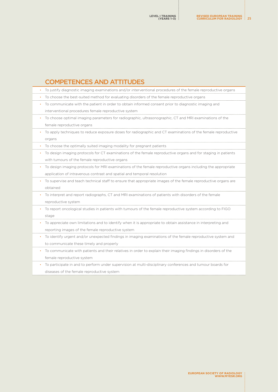#### <span id="page-24-0"></span>COMPETENCES AND ATTITUDES • To justify diagnostic imaging examinations and/or interventional procedures of the female reproductive organs • To choose the best-suited method for evaluating disorders of the female reproductive organs • To communicate with the patient in order to obtain informed consent prior to diagnostic imaging and interventional procedures female reproductive system • To choose optimal imaging parameters for radiographic, ultrasonographic, CT and MRI examinations of the female reproductive organs • To apply techniques to reduce exposure doses for radiographic and CT examinations of the female reproductive organs • To choose the optimally suited imaging modality for pregnant patients • To design imaging protocols for CT examinations of the female reproductive organs and for staging in patients with tumours of the female reproductive organs • To design imaging protocols for MRI examinations of the female reproductive organs including the appropriate application of intravenous contrast and spatial and temporal resolution • To supervise and teach technical staff to ensure that appropriate images of the female reproductive organs are obtained • To interpret and report radiographs, CT and MRI examinations of patients with disorders of the female reproductive system • To report oncological studies in patients with tumours of the female reproductive system according to FIGO stage • To appreciate own limitations and to identify when it is appropriate to obtain assistance in interpreting and reporting images of the female reproductive system • To identify urgent and/or unexpected findings in imaging examinations of the female reproductive system and to communicate these timely and properly • To communicate with patients and their relatives in order to explain their imaging findings in disorders of the female reproductive system • To participate in and to perform under supervision at multi-disciplinary conferences and tumour boards for

diseases of the female reproductive system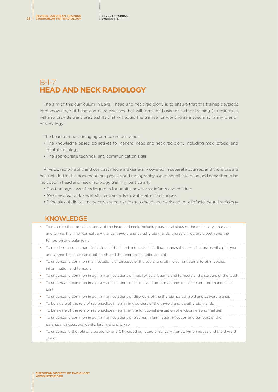# <span id="page-25-0"></span>B-I-7 **HEAD AND NECK RADIOLOGY**

The aim of this curriculum in Level I head and neck radiology is to ensure that the trainee develops core knowledge of head and neck diseases that will form the basis for further training (if desired). It will also provide transferable skills that will equip the trainee for working as a specialist in any branch of radiology.

The head and neck imaging curriculum describes:

- The knowledge-based objectives for general head and neck radiology including maxillofacial and dental radiology
- The appropriate technical and communication skills

Physics, radiography and contrast media are generally covered in separate courses, and therefore are not included in this document, but physics and radiography topics specific to head and neck should be included in head and neck radiology training, particularly:

- Positioning/views of radiographs for adults, newborns, infants and children
- Mean exposure doses at skin entrance, KVp, antiscatter techniques
- Principles of digital image processing pertinent to head and neck and maxillofacial dental radiology

#### KNOWLEDGE

| To describe the normal anatomy of the head and neck, including paranasal sinuses, the oral cavity, pharynx       |
|------------------------------------------------------------------------------------------------------------------|
| and larynx, the inner ear, salivary glands, thyroid and parathyroid glands, thoracic inlet, orbit, teeth and the |
| temporomandibular joint                                                                                          |

- To recall common congenital lesions of the head and neck, including paranasal sinuses, the oral cavity, pharynx and larynx, the inner ear, orbit, teeth and the temporomandibular joint
- To understand common manifestations of diseases of the eye and orbit including trauma, foreign bodies, inflammation and tumours
- To understand common imaging manifestations of maxillo-facial trauma and tumours and disorders of the teeth

• To understand common imaging manifestations of lesions and abnormal function of the temporomandibular joint

- To understand common imaging manifestations of disorders of the thyroid, parathyroid and salivary glands
- To be aware of the role of radionuclide imaging in disorders of the thyroid and parathyroid glands
- To be aware of the role of radionuclide imaging in the functional evaluation of endocrine abnormalities
- To understand common imaging manifestations of trauma, inflammation, infection and tumours of the paranasal sinuses, oral cavity, larynx and pharynx
	- To understand the role of ultrasound- and CT-guided puncture of salivary glands, lymph nodes and the thyroid gland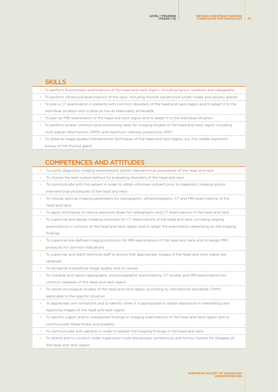<span id="page-26-0"></span>

|   | To perform fluoroscopic examinations of the head and neck region, including barium swallows and sialography    |
|---|----------------------------------------------------------------------------------------------------------------|
|   | To perform ultrasound examinations of the neck, including thyroid, parathyroid lymph nodes and salivary glands |
|   | To plan a CT examination in patients with common disorders of the head and neck region and to adapt it to the  |
|   | individual situation with a dose as low as reasonably achievable                                               |
| ٠ | To plan an MRI examination of the head and neck region and to adapt it to the individual situation             |
|   | To perform proper common post-processing tasks for imaging studies of the head and neck region including       |
|   | multi-planar reformations (MPR) and maximum intensity projections (MIP)                                        |
|   | To observe image-guided interventional techniques of the head and neck region, e.g. fine needle aspiration     |
|   | biopsy of the thyroid gland                                                                                    |
|   |                                                                                                                |
|   | <b>COMPETENCES AND ATTITUDES</b>                                                                               |
|   | To justify diagnostic imaging examinations and/or interventional procedures of the head and neck               |
|   | To choose the best-suited method for evaluating disorders of the head and neck                                 |
|   | To communicate with the patient in order to obtain informed consent prior to diagnostic imaging and/or         |
|   | interventional procedures of the head and neck                                                                 |
|   | To choose optimal imaging parameters for radiographic, ultrasonographic, CT and MRI examinations of the        |
|   | head and neck                                                                                                  |
|   | To apply techniques to reduce exposure doses for radiographic and CT examinations of the head and neck         |
|   | To supervise and design imaging protocols for CT examinations of the head and neck, including staging          |
|   | examinations in tumours of the head and neck region and to adapt the examination depending on the imaging      |
|   | findings                                                                                                       |
|   | To supervise pre-defined imaging protocols for MRI examinations of the head and neck and to design MRI         |
|   | protocols for common indications                                                                               |
|   | To supervise and teach technical staff to ensure that appropriate images of the head and neck region are       |
|   | obtained                                                                                                       |
|   | To recognize suboptimal image quality and its causes                                                           |
|   | To interpret and report radiographs, ultrasonographic examinations, CT studies and MRI examinations for        |
|   | common diseases of the head and neck region                                                                    |
|   | To report oncological studies of the head and neck region according to international standards (TNM)           |
|   | applicable to the specific situation                                                                           |
|   | To appreciate own limitations and to identify when it is appropriate to obtain assistance in interpreting and  |
|   | reporting images of the head and neck region                                                                   |
|   | To identify urgent and/or unexpected findings in imaging examinations of the head and neck region and to       |
|   | communicate these timely and properly                                                                          |
|   | To communicate with patients in order to explain the imaging findings in the head and neck                     |
|   | To attend and to conduct under supervision multi-disciplinary conferences and tumour boards for diseases of    |
|   | the head and neck region                                                                                       |
|   |                                                                                                                |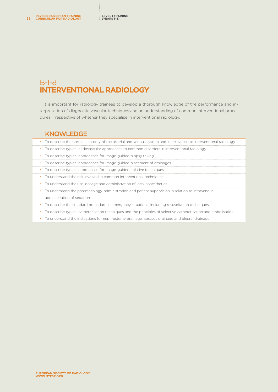# <span id="page-27-0"></span>B-I-8 **INTERVENTIONAL RADIOLOGY**

It is important for radiology trainees to develop a thorough knowledge of the performance and interpretation of diagnostic vascular techniques and an understanding of common interventional procedures, irrespective of whether they specialise in interventional radiology.

#### KNOWLEDGE

| To describe the normal anatomy of the arterial and venous system and its relevance to interventional radiology  |
|-----------------------------------------------------------------------------------------------------------------|
| To describe typical endovascular approaches to common disorders in interventional radiology                     |
| To describe typical approaches for image-guided biopsy taking                                                   |
| To describe typical approaches for image-guided placement of drainages                                          |
| To describe typical approaches for image-guided ablative techniques<br>$\bullet$                                |
| To understand the risk involved in common interventional techniques                                             |
| To understand the use, dosage and administration of local anaesthetics                                          |
| To understand the pharmacology, administration and patient supervision in relation to intravenous               |
| administration of sedation                                                                                      |
| To describe the standard procedure in emergency situations, including resuscitation techniques                  |
| To describe typical catheterisation techniques and the principles of selective catheterisation and embolisation |
| To understand the indications for nephrostomy drainage, abscess drainage and pleural drainage                   |

**EUROPEAN SOCIETY OF RADIOLOGY [WWW.MYESR.ORG](http://www.myESR.org)**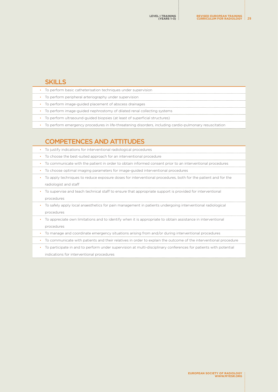<span id="page-28-0"></span>

| To perform basic catheterisation techniques under supervision                                           |  |
|---------------------------------------------------------------------------------------------------------|--|
| • To perform peripheral arteriography under supervision                                                 |  |
| • To perform image-guided placement of abscess drainages                                                |  |
| To perform image-guided nephrostomy of dilated renal collecting systems                                 |  |
| To perform ultrasound-guided biopsies (at least of superficial structures)                              |  |
| To perform emergency procedures in life-threatening disorders, including cardio-pulmonary resuscitation |  |

# COMPETENCES AND ATTITUDES

| To justify indications for interventional radiological procedures<br>$\bullet$                                                |
|-------------------------------------------------------------------------------------------------------------------------------|
| To choose the best-suited approach for an interventional procedure                                                            |
| To communicate with the patient in order to obtain informed consent prior to an interventional procedures<br>٠                |
| To choose optimal imaging parameters for image-guided interventional procedures                                               |
| To apply techniques to reduce exposure doses for interventional procedures, both for the patient and for the                  |
| radiologist and staff                                                                                                         |
| To supervise and teach technical staff to ensure that appropriate support is provided for interventional<br>$\bullet$         |
| procedures                                                                                                                    |
| To safely apply local anaesthetics for pain management in patients undergoing interventional radiological<br>٠                |
| procedures                                                                                                                    |
| To appreciate own limitations and to identify when it is appropriate to obtain assistance in interventional                   |
| procedures                                                                                                                    |
| To manage and coordinate emergency situations arising from and/or during interventional procedures                            |
| To communicate with patients and their relatives in order to explain the outcome of the interventional procedure<br>$\bullet$ |
| To participate in and to perform under supervision at multi-disciplinary conferences for patients with potential<br>٠         |
| indications for interventional procedures                                                                                     |
|                                                                                                                               |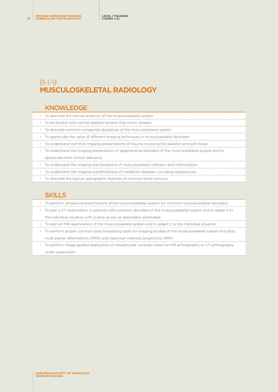# <span id="page-29-0"></span>B-I-9 **MUSCULOSKELETAL RADIOLOGY**

## KNOWLEDGE

| To describe the normal anatomy of the musculoskeletal system                                          |
|-------------------------------------------------------------------------------------------------------|
| • To be familiar with normal skeletal variants that mimic disease                                     |
| • To describe common congenital dysplasias of the musculoskeletal system                              |
| • To appreciate the value of different imaging techniques in musculoskeletal disorders                |
| To understand common imaging presentations of trauma involving the skeleton and soft tissue           |
| To understand the imaging presentation of degenerative disorders of the musculoskeletal system and to |
| appreciate their clinical relevance                                                                   |
| • To understand the imaging manifestations of musculoskeletal infection and inflammation              |
| To understand the imaging manifestations of metabolic diseases, including osteoporosis                |

• To describe the typical radiographic features of common bone tumours

## **SKILLS**

|           | • To perform ultrasound examinations of the musculoskeletal system for common musculoskeletal disorders     |
|-----------|-------------------------------------------------------------------------------------------------------------|
| $\bullet$ | To plan a CT examination in patients with common disorders of the musculoskeletal system and to adapt it to |
|           | the individual situation with a dose as low as reasonably achievable                                        |
| $\bullet$ | To plan an MRI examination of the musculoskeletal system and to adapt it to the individual situation        |
| $\bullet$ | To perform proper common post-processing tasks for imaging studies of the muskuloskeletal system including  |
|           | multi-planar reformations (MPR) and maximum intensity projections (MIP)                                     |
| $\bullet$ | To perform image-guided application of intraarticular contrast media for MR arthrography or CT arthrography |
|           | under supervision                                                                                           |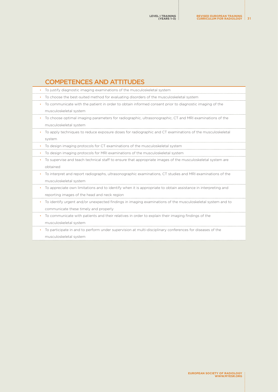# <span id="page-30-0"></span>COMPETENCES AND ATTITUDES

|           | To justify diagnostic imaging examinations of the musculoskeletal system                                      |
|-----------|---------------------------------------------------------------------------------------------------------------|
| $\bullet$ | To choose the best-suited method for evaluating disorders of the musculoskeletal system                       |
| ٠         | To communicate with the patient in order to obtain informed consent prior to diagnostic imaging of the        |
|           | musculoskeletal system                                                                                        |
| ٠         | To choose optimal imaging parameters for radiographic, ultrasonographic, CT and MRI examinations of the       |
|           | musculoskeletal system                                                                                        |
| ٠         | To apply techniques to reduce exposure doses for radiographic and CT examinations of the musculoskeletal      |
|           | system                                                                                                        |
| $\bullet$ | To design imaging protocols for CT examinations of the musculoskeletal system                                 |
|           | To design imaging protocols for MRI examinations of the musculoskeletal system                                |
|           | To supervise and teach technical staff to ensure that appropriate images of the musculoskeletal system are    |
|           | obtained                                                                                                      |
| ٠         | To interpret and report radiographs, ultrasonographic examinations, CT studies and MRI examinations of the    |
|           | musculoskeletal system                                                                                        |
| ٠         | To appreciate own limitations and to identify when it is appropriate to obtain assistance in interpreting and |
|           | reporting images of the head and neck region                                                                  |
| ٠         | To identify urgent and/or unexpected findings in imaging examinations of the musculoskeletal system and to    |
|           | communicate these timely and properly                                                                         |
| ٠         | To communicate with patients and their relatives in order to explain their imaging findings of the            |
|           | musculoskeletal system                                                                                        |
|           | To participate in and to perform under supervision at multi-disciplinary conferences for diseases of the      |

musculoskeletal system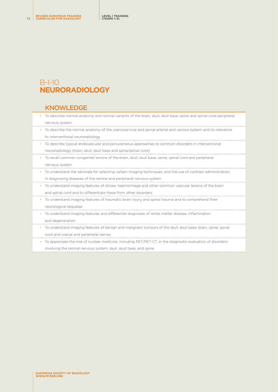# <span id="page-31-0"></span>B-I-10 **NEURORADIOLOGY**

#### KNOWLEDGE

- To describe normal anatomy and normal variants of the brain, skull, skull base, spine and spinal cord peripheral nervous system
- To describe the normal anatomy of the craniocervical and spinal arterial and venous system and its relevance to interventional neuroradiology
- To describe typical endovascular and percutaneous approaches to common disorders in interventional neuroradiology (brain, skull, skull base and spine/spinal cord)
- To recall common congenital lesions of the brain, skull, skull base, spine, spinal cord and peripheral nervous system
- To understand the rationale for selecting certain imaging techniques, and the use of contrast administration, in diagnosing diseases of the central and peripheral nervous system
- To understand imaging features of stroke, haemorrhage and other common vascular lesions of the brain and spinal cord and to differentiate these from other disorders
- To understand imaging features of traumatic brain injury and spinal trauma and to comprehend their neurological sequelae
- To understand imaging features and differential diagnoses of white matter disease, inflammation and degeneration
- To understand imaging features of benign and malignant tumours of the skull, skull base, brain, spine, spinal cord and cranial and peripheral nerves
- To appreciate the role of nuclear medicine, including PET/PET-CT, in the diagnostic evaluation of disorders

involving the central nervous system, skull, skull base, and spine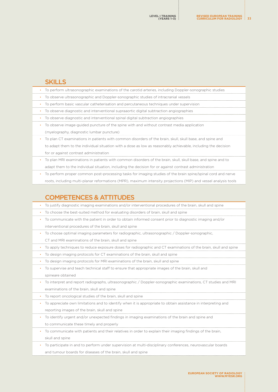<span id="page-32-0"></span>

| To perform ultrasonographic examinations of the carotid arteries, including Doppler-sonographic studies         |
|-----------------------------------------------------------------------------------------------------------------|
| To observe ultrasonographic and Doppler-sonographic studies of intracranial vessels                             |
| To perform basic vascular catheterisation and percutaneous techniques under supervision                         |
| To observe diagnostic and interventional supraaortic digital subtraction angiographies                          |
| To observe diagnostic and interventional spinal digital subtraction angiographies                               |
| To observe image-guided puncture of the spine with and without contrast media application                       |
| (myelography, diagnostic lumbar puncture)                                                                       |
| To plan CT examinations in patients with common disorders of the brain, skull, skull base, and spine and        |
| to adapt them to the individual situation with a dose as low as reasonably achievable, including the decision   |
| for or against contrast administration                                                                          |
| To plan MRI examinations in patients with common disorders of the brain, skull, skull base, and spine and to    |
| adapt them to the individual situation, including the decision for or against contrast administration           |
| To perform proper common post-processing tasks for imaging studies of the brain spine/spinal cord and nerve     |
| roots, including multi-planar reformations (MPR), maximum intensity projections (MIP) and vessel analysis tools |
|                                                                                                                 |
| <b>COMPETENCES &amp; ATTITUDES</b>                                                                              |
| To justify diagnostic imaging examinations and/or interventional procedures of the brain, skull and spine       |

• To choose the best-suited method for evaluating disorders of brain, skull and spine

- To communicate with the patient in order to obtain informed consent prior to diagnostic imaging and/or interventional procedures of the brain, skull and spine
- To choose optimal imaging parameters for radiographic, ultrasonographic / Doppler-sonographic,

CT and MRI examinations of the brain, skull and spine

• To apply techniques to reduce exposure doses for radiographic and CT examinations of the brain, skull and spine

• To design imaging protocols for CT examinations of the brain, skull and spine

• To design imaging protocols for MRI examinations of the brain, skull and spine

• To supervise and teach technical staff to ensure that appropriate images of the brain, skull and spineare obtained

• To interpret and report radiographs, ultrasonographic / Doppler-sonographic examinations, CT studies and MRI examinations of the brain, skull and spine

• To report oncological studies of the brain, skull and spine

• To appreciate own limitations and to identify when it is appropriate to obtain assistance in interpreting and reporting images of the brain, skull and spine

• To identify urgent and/or unexpected findings in imaging examinations of the brain and spine and

to communicate these timely and properly

• To communicate with patients and their relatives in order to explain their imaging findings of the brain, skull and spine

• To participate in and to perform under supervision at multi-disciplinary conferences, neurovascular boards and tumour boards for diseases of the brain, skull and spine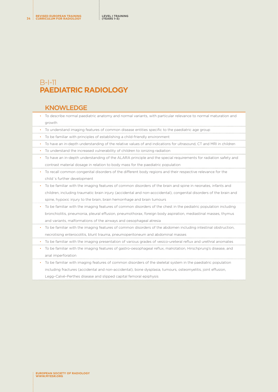# <span id="page-33-0"></span>B-I-11 **PAEDIATRIC RADIOLOGY**

#### KNOWLEDGE

- To describe normal paediatric anatomy and normal variants, with particular relevance to normal maturation and growth
- To understand imaging features of common disease entities specific to the paediatric age group
- To be familiar with principles of establishing a child-friendly environment
- To have an in-depth understanding of the relative values of and indications for ultrasound, CT and MRI in children
- To understand the increased vulnerability of children to ionizing radiation
- To have an in-depth understanding of the ALARA principle and the special requirements for radiation safety and contrast material dosage in relation to body mass for the paediatric population
- To recall common congenital disorders of the different body regions and their respective relevance for the child´s further development
- To be familiar with the imaging features of common disorders of the brain and spine in neonates, infants and children, including traumatic brain injury (accidental and non-acccidental), congenital disorders of the brain and spine, hypoxic injury to the brain, brain hemorrhage and brain tumours
- To be familiar with the imaging features of common disorders of the chest in the pediatric population including bronchiolitis, pneumonia, pleural effusion, pneumothorax, foreign body aspiration, mediastinal masses, thymus and variants, malformations of the airways and oesophageal atresia
- To be familiar with the imaging features of common disorders of the abdomen including intestinal obstruction, necrotising enterocolitis, blunt trauma, pneumoperitoneum and abdominal masses
- To be familiar with the imaging presentation of various grades of vesico-ureteral reflux and urethral anomalies
- To be familiar with the imaging features of gastro-oesophageal reflux, malrotation, Hirschprung's disease, and anal imperforation
- To be familiar with imaging features of common disorders of the skeletal system in the paediatric population including fractures (accidental and non-accidental), bone dysplasia, tumours, osteomyelitis, joint effusion, Legg–Calvé–Perthes disease and slipped capital femoral epiphysis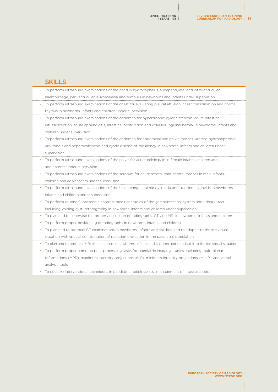<span id="page-34-0"></span>

|  | To perform ultrasound examinations of the head in hydrocephalus, subependymal and intraventricular                     |
|--|------------------------------------------------------------------------------------------------------------------------|
|  | haemorrhage, periventricular leukomalacia and tumours in newborns and infants under supervision                        |
|  | To perform ultrasound examinations of the chest for evaluating pleural effusion, chest consolidation and normal        |
|  | thymus in newborns, infants and children under supervision                                                             |
|  | To perform ultrasound examinations of the abdomen for hypertrophic pyloric stenosis, acute intestinal                  |
|  | intussusception, acute appendicitis, intestinal obstruction and volvulus, inguinal hernia, in newborns, infants and    |
|  | children under supervision                                                                                             |
|  | To perform ultrasound examinations of the abdomen for abdominal and pelvic masses, uretero-hydronephrosis,             |
|  | urolithiasis and nephrocalcinosis and cystic disease of the kidney in newborns, infants and children under             |
|  | supervision                                                                                                            |
|  | To perform ultrasound examinations of the pelvis for acute pelvic pain in female infants, children and                 |
|  | adolescents under supervision                                                                                          |
|  | To perform ultrasound examinations of the scrotum for acute scrotal pain, scrotal masses in male infants,              |
|  | children and adolescents under supervision                                                                             |
|  | To perform ultrasound examinations of the hip in congenital hip dysplasia and transient synovitis in newborns,         |
|  | infants and children under supervision                                                                                 |
|  | To perform routine fluoroscopic contrast medium studies of the gastrointestinal system and urinary tract               |
|  | including voiding cysturethrography in newborns, infants and children under supervision                                |
|  | • To plan and to supervise the proper acquisition of radiographs, CT, and MRI in newborns, infants and children        |
|  | To perform proper positioning of radiographs in newborns, infants and children                                         |
|  | To plan and to protocol CT examinations in newborns, infants and children and to adapt it to the individual            |
|  | situation with special consideration of radiation protection in the paediatric population                              |
|  | To plan and to protocol MRI examinations in newborns, infants and children and to adapt it to the individual situation |
|  | To perform proper common post-processing tasks for paediatric imaging studies, including multi-planar                  |
|  | reformations (MPR), maximum intensity projections (MIP), minimum intensity projections (MinIP), and vessel             |
|  | analysis tools                                                                                                         |
|  |                                                                                                                        |

• To observe interventional techniques in paediatric radiology, e.g. management of intussusception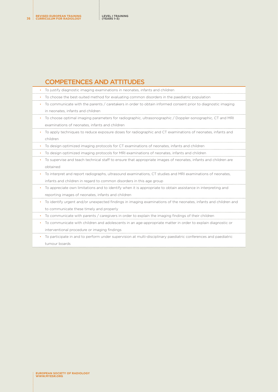# COMPETENCES AND ATTITUDES

| To justify diagnostic imaging examinations in neonates, infants and children                                    |  |
|-----------------------------------------------------------------------------------------------------------------|--|
| To choose the best-suited method for evaluating common disorders in the paediatric population                   |  |
| To communicate with the parents / caretakers in order to obtain informed consent prior to diagnostic imaging    |  |
| in neonates, infants and children                                                                               |  |
| To choose optimal imaging parameters for radiographic, ultrasonographic / Doppler-sonographic, CT and MRI       |  |
| examinations of neonates, infants and children                                                                  |  |
| To apply techniques to reduce exposure doses for radiographic and CT examinations of neonates, infants and      |  |
| children                                                                                                        |  |
| To design optimized imaging protocols for CT examinations of neonates, infants and children                     |  |
| To design optimized imaging protocols for MRI examinations of neonates, infants and children                    |  |
| To supervise and teach technical staff to ensure that appropriate images of neonates, infants and children are  |  |
| obtained                                                                                                        |  |
| To interpret and report radiographs, ultrasound examinations, CT studies and MRI examinations of neonates,      |  |
| infants and children in regard to common disorders in this age group                                            |  |
| To appreciate own limitations and to identify when it is appropriate to obtain assistance in interpreting and   |  |
| reporting images of neonates, infants and children                                                              |  |
| To identify urgent and/or unexpected findings in imaging examinations of the neonates, infants and children and |  |
| to communicate these timely and properly                                                                        |  |
| To communicate with parents / caregivers in order to explain the imaging findings of their children             |  |
| To communicate with children and adolescents in an age-appropriate matter in order to explain diagnostic or     |  |
| interventional procedure or imaging findings                                                                    |  |

• To participate in and to perform under supervision at multi-disciplinary paediatric conferences and paediatric tumour boards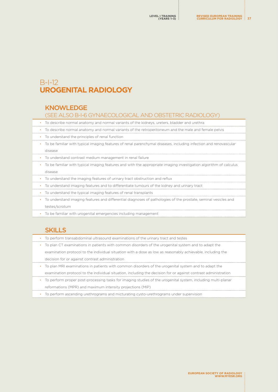# B-I-12 **UROGENITAL RADIOLOGY**

#### **KNOWLEDGE**

#### (SEE ALSO B-I-6 GYNAECOLOGICAL AND OBSTETRIC RADIOLOGY)

- To describe normal anatomy and normal variants of the kidneys, ureters, bladder and urethra
- To describe normal anatomy and normal variants of the retroperitoneum and the male and female pelvis
- To understand the principles of renal function

• To be familiar with typical imaging features of renal parenchymal diseases, including infection and renovascular

- disease
- To understand contrast medium management in renal failure
- To be familiar with typical imaging features and with the appropriate imaging investigation algorithm of calculus disease
- To understand the imaging features of urinary tract obstruction and reflux
- To understand imaging features and to differentiate tumours of the kidney and urinary tract
- To understand the typical imaging features of renal transplants
- To understand imaging features and differential diagnoses of pathologies of the prostate, seminal vesicles and testes/scrotum
- To be familiar with urogenital emergencies including management

## **SKILLS**

- To perform transabdominal ultrasound examinations of the urinary tract and testes
- To plan CT examinations in patients with common disorders of the urogenital system and to adapt the examination protocol to the individual situation with a dose as low as reasonably achievable, including the decision for or against contrast administration
- To plan MRI examinations in patients with common disorders of the urogenital system and to adapt the examination protocol to the individual situation, including the decision for or against contrast administration
- To perform proper post-processing tasks for imaging studies of the urogenital system, including multi-planar reformations (MPR) and maximum intensity projections (MIP)
- To perform ascending urethrograms and micturating cysto-urethrograms under supervision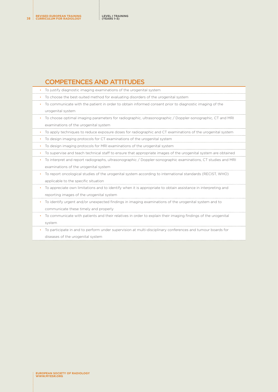# COMPETENCES AND ATTITUDES

| To justify diagnostic imaging examinations of the urogenital system                                            |
|----------------------------------------------------------------------------------------------------------------|
| To choose the best-suited method for evaluating disorders of the urogenital system                             |
| To communicate with the patient in order to obtain informed consent prior to diagnostic imaging of the         |
| urogenital system                                                                                              |
| To choose optimal imaging parameters for radiographic, ultrasonographic / Doppler-sonographic, CT and MRI      |
| examinations of the urogenital system                                                                          |
| To apply techniques to reduce exposure doses for radiographic and CT examinations of the urogenital system     |
| To design imaging protocols for CT examinations of the urogenital system                                       |
| To design imaging protocols for MRI examinations of the urogenital system                                      |
| To supervise and teach technical staff to ensure that appropriate images of the urogenital system are obtained |
| To interpret and report radiographs, ultrasonographic / Doppler-sonographic examinations, CT studies and MRI   |
| examinations of the urogenital system                                                                          |
| To report oncological studies of the urogenital system according to international standards (RECIST, WHO)      |
| applicable to the specific situation                                                                           |
| To appreciate own limitations and to identify when it is appropriate to obtain assistance in interpreting and  |
| reporting images of the urogenital system                                                                      |
| To identify urgent and/or unexpected findings in imaging examinations of the urogenital system and to          |
| communicate these timely and properly                                                                          |
| To communicate with patients and their relatives in order to explain their imaging findings of the urogenital  |
| system                                                                                                         |
| To participate in and to perform under supervision at multi-disciplinary conferences and tumour boards for     |

diseases of the urogenital system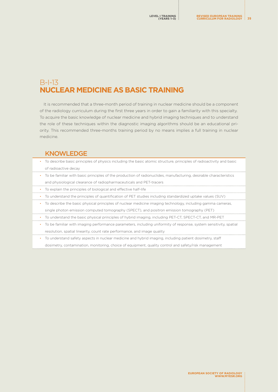# B-I-13 **NUCLEAR MEDICINE AS BASIC TRAINING**

It is recommended that a three-month period of training in nuclear medicine should be a component of the radiology curriculum during the first three years in order to gain a familiarity with this specialty. To acquire the basic knowledge of nuclear medicine and hybrid imaging techniques and to understand the role of these techniques within the diagnostic imaging algorithms should be an educational priority. This recommended three-months training period by no means implies a full training in nuclear medicine.

## **KNOWLEDGE**

- To describe basic principles of physics including the basic atomic structure, principles of radioactivity and basic of radioactive decay
- To be familiar with basic principles of the production of radionuclides, manufacturing, desirable characteristics and physiological clearance of radiopharmaceuticals and PET-tracers
- To explain the principles of biological and effective half-life
- To understand the principles of quantification of PET studies including standardized uptake values (SUV)
- To describe the basic physical principles of nuclear medicine imaging technology, including gamma cameras, single photon emission computed tomography (SPECT), and positron emission tomography (PET)
- To understand the basic physical principles of hybrid imaging, including PET-CT, SPECT-CT, and MR-PET
- To be familiar with imaging performance parameters, including uniformity of response, system sensitivity, spatial resolution, spatial linearity, count rate performance, and image quality
- To understand safety aspects in nuclear medicine and hybrid imaging, including patient dosimetry, staff dosimetry, contamination, monitoring, choice of equipment, quality control and safety/risk management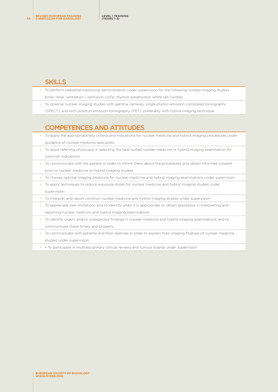#### SKILLS

- To perform radiopharmaceutical administration under supervision for the following isotope imaging studies: bone, renal, ventilation / perfusion (V/Q), thyroid, parathyroid, white cell, cardiac
- To observe nuclear imaging studies with gamma cameras, single photon emission computed tomography (SPECT), and with positron emission tomography (PET), preferably with hybrid imaging technique

# COMPETENCES AND ATTITUDES

- To apply the appropriateness criteria and indications for nuclear medicine and hybrid imaging procedures under guidance of nuclear medicine specialists
- To assist referring physicians in selecting the best-suited nuclear medicine or hybrid imaging examination for common indications
- To communicate with the patient in order to inform them about the procedures and obtain informed consent prior to nuclear medicine or hybrid imaging studies
- To choose optimal imaging protocols for nuclear medicine and hybrid imaging examinations under supervision
- To apply techniques to reduce exposure doses for nuclear medicine and hybrid imaging studies under supervision
- To interpret and report common nuclear medicine and hybrid imaging studies under supervision
- To appreciate own limitations and to identify when it is appropriate to obtain assistance in interpreting and reporting nuclear medicine and hybrid imaging examinations
- To identify urgent and/or unexpected findings in nuclear medicine and hybrid imaging examinations and to communicate these timely and properly
- To communicate with patients and their relatives in order to explain their imaging findings of nuclear medicine studies under supervision
- • To participate in multidisciplinary clinical reviews and tumour boards under supervision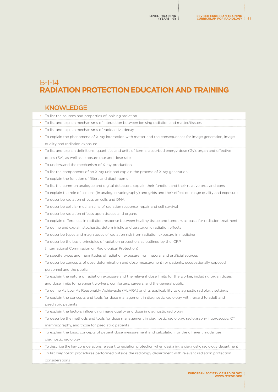# B-I-14 **RADIATION PROTECTION EDUCATION AND TRAINING**

#### KNOWLEDGE • To list the sources and properties of ionising radiation • To list and explain mechanisms of interaction between ionising radiation and matter/tissues • To list and explain mechanisms of radioactive decay • To explain the phenomena of X-ray interaction with matter and the consequences for image generation, image quality and radiation exposure • To list and explain definitions, quantities and units of kerma, absorbed energy dose (Gy), organ and effective doses (Sv), as well as exposure rate and dose rate • To understand the mechanism of X-ray production • To list the components of an X-ray unit and explain the process of X-ray generation • To explain the function of filters and diaphragms • To list the common analogue and digital detectors, explain their function and their relative pros and cons • To explain the role of screens (in analogue radiography) and grids and their effect on image quality and exposure • To describe radiation effects on cells and DNA • To describe cellular mechanisms of radiation response, repair and cell survival • To describe radiation effects upon tissues and organs • To explain differences in radiation response between healthy tissue and tumours as basis for radiation treatment • To define and explain stochastic, deterministic and teratogenic radiation effects • To describe types and magnitudes of radiation risk from radiation exposure in medicine • To describe the basic principles of radiation protection, as outlined by the ICRP (International Commission on Radiological Protection) • To specify types and magnitudes of radiation exposure from natural and artificial sources • To describe concepts of dose determination and dose measurement for patients, occupationally exposed personnel and the public • To explain the nature of radiation exposure and the relevant dose limits for the worker, including organ doses and dose limits for pregnant workers, comforters, careers, and the general public • To define As Low As Reasonably Achievable (ALARA) and its applicability to diagnostic radiology settings • To explain the concepts and tools for dose management in diagnostic radiology with regard to adult and paediatric patients • To explain the factors influencing image quality and dose in diagnostic radiology • To describe the methods and tools for dose management in diagnostic radiology: radiography, fluoroscopy, CT, mammography, and those for paediatric patients • To explain the basic concepts of patient dose measurement and calculation for the different modalities in diagnostic radiology • To describe the key considerations relevant to radiation protection when designing a diagnostic radiology department • To list diagnostic procedures performed outside the radiology department with relevant radiation protection considerations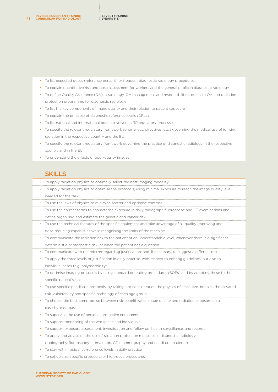| To list expected doses (reference person) for frequent diagnostic radiology procedures<br>$\bullet$                            |
|--------------------------------------------------------------------------------------------------------------------------------|
| To explain quantitative risk and dose assessment for workers and the general public in diagnostic radiology<br>$\bullet$ .     |
| • To define Quality Assurance (QA) in radiology. QA management and responsibilities, outline a QA and radiation                |
| protection programme for diagnostic radiology                                                                                  |
| To list the key components of image quality and their relation to patient exposure<br>$\bullet$                                |
| To explain the principle of diagnostic reference levels (DRLs)<br>$\bullet$                                                    |
| To list national and international bodies involved in RP regulatory processes                                                  |
| To specify the relevant regulatory framework (ordinances, directives, etc.) governing the medical use of ionising<br>$\bullet$ |
| radiation in the respective country and the EU                                                                                 |
| To specify the relevant regulatory framework governing the practice of diagnostic radiology in the respective                  |

country and in the EU

• To understand the effects of poor-quality images

#### **SKILLS**

- To apply radiation physics to optimally select the best imaging modality
- To apply radiation physics to optimise the protocols, using minimal exposure to reach the image quality level needed for the task
- To use the laws of physics to minimise scatter and optimise contrast
- To use the correct terms to characterise exposure in daily radiograph fluoroscope and CT examinations and define organ risk, and estimate the genetic and cancer risk
- To use the technical features of the specific equipment and take advantage of all quality-improving and dose-reducing capabilities while recognising the limits of the machine
- To communicate the radiation risk to the patient at an understandable level, whenever there is a significant deterministic or stochastic risk, or when the patient has a question
- To communicate with the referrer regarding justification, and, if necessary, to suggest a different test
- To apply the three levels of justification in daily practise, with respect to existing guidelines, but also to individual cases (e.g. polymorbidity)
- To optimise imaging protocols by using standard operating procedures (SOPs) and by adapting these to the specific patient's size
- To use specific paediatric protocols, by taking into consideration the physics of small size, but also the elevated risk, vulnerability and specific pathology of each age group
- To choose the best compromise between risk-benefit-ratio, image quality and radiation exposure on a case-by-case basis
- To supervise the use of personal protective equipment
- To support monitoring of the workplace and individuals
- To support exposure assessment, investigation and follow up, health surveillance, and records
- To apply and advise on the use of radiation protection measures in diagnostic radiology
- (radiography, fluoroscopy-intervention, CT, mammography and paediatric patients)
- To stay within guidance/reference levels in daily practice
- To set up size-specific protocols for high-dose procedures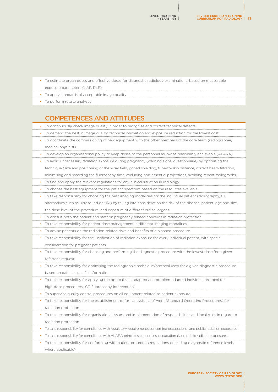- To estimate organ doses and effective doses for diagnostic radiology examinations, based on measurable exposure parameters (KAP, DLP)
- To apply standards of acceptable image quality
- To perform retake analyses

# COMPETENCES AND ATTITUDES

| ٠         | To continuously check image quality in order to recognise and correct technical defects                                   |
|-----------|---------------------------------------------------------------------------------------------------------------------------|
| $\bullet$ | To demand the best in image quality, technical innovation and exposure reduction for the lowest cost                      |
|           | To coordinate the commissioning of new equipment with the other members of the core team (radiographer,                   |
|           | medical physicist)                                                                                                        |
| $\bullet$ | To develop an organisational policy to keep doses to the personnel as low as reasonably achievable (ALARA)                |
|           | To avoid unnecessary radiation exposure during pregnancy (warning signs, questionnaire) by optimising the                 |
|           | technique (size and positioning of the x-ray field, gonad shielding, tube-to-skin distance, correct beam filtration,      |
|           | minimising and recording the fluoroscopy time, excluding non-essential projections, avoiding repeat radiographs)          |
| $\bullet$ | To find and apply the relevant regulations for any clinical situation in radiology                                        |
| ٠         | To choose the best equipment for the patient spectrum based on the resources available                                    |
| ۰         | To take responsibility for choosing the best imaging modalities for the individual patient (radiography, CT,              |
|           | alternatives such as ultrasound or MRI) by taking into consideration the risk of the disease, patient, age and size,      |
|           | the dose level of the procedure, and exposure of different critical organs                                                |
| $\bullet$ | To consult both the patient and staff on pregnancy related concerns in radiation protection                               |
| $\bullet$ | To take responsibility for patient dose management in different imaging modalities                                        |
|           | To advise patients on the radiation-related risks and benefits of a planned procedure                                     |
| ٠         | To take responsibility for the justification of radiation exposure for every individual patient, with special             |
|           | consideration for pregnant patients                                                                                       |
|           | To take responsibility for choosing and performing the diagnostic procedure with the lowest dose for a given              |
|           | referrer's request                                                                                                        |
|           | To take responsibility for optimising the radiographic technique/protocol used for a given diagnostic procedure           |
|           | based on patient-specific information                                                                                     |
|           | To take responsibility for applying the optimal size-adapted and problem-adapted individual protocol for                  |
|           | high-dose procedures (CT, fluoroscopy-intervention)                                                                       |
| $\bullet$ | To supervise quality control procedures on all equipment related to patient exposure                                      |
|           | To take responsibility for the establishment of formal systems of work (Standard Operating Procedures) for                |
|           | radiation protection                                                                                                      |
|           | To take responsibility for organisational issues and implementation of responsibilities and local rules in regard to      |
|           | radiation protection                                                                                                      |
| ٠         | To take responsibility for compliance with regulatory requirements concerning occupational and public radiation exposures |
| ٠         | To take responsibility for compliance with ALARA principles concerning occupational and public radiation exposures        |
|           | To take responsibility for conforming with patient protection regulations (including diagnostic reference levels,         |
|           | where applicable)                                                                                                         |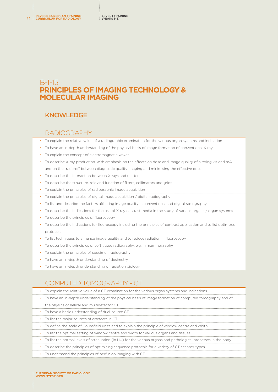# B-I-15 **PRINCIPLES OF IMAGING TECHNOLOGY & MOLECULAR IMAGING**

# **KNOWLEDGE**

## RADIOGRAPHY

| To explain the relative value of a radiographic examination for the various organ systems and indication           |
|--------------------------------------------------------------------------------------------------------------------|
| To have an in-depth understanding of the physical basis of image formation of conventional X-ray                   |
| To explain the concept of electromagnetic waves                                                                    |
| To describe X-ray production, with emphasis on the effects on dose and image quality of altering kV and mA         |
| and on the trade-off between diagnostic quality imaging and minimising the effective dose                          |
| To describe the interaction between X-rays and matter                                                              |
| To describe the structure, role and function of filters, collimators and grids                                     |
| To explain the principles of radiographic image acquisition                                                        |
| To explain the principles of digital image acquisition / digital radiography                                       |
| To list and describe the factors affecting image quality in conventional and digital radiography                   |
| To describe the indications for the use of X-ray contrast media in the study of various organs / organ systems     |
| To describe the principles of fluoroscopy<br>$\bullet$                                                             |
| To describe the indications for fluoroscopy including the principles of contrast application and to list optimized |
| protocols                                                                                                          |
| To list techniques to enhance image quality and to reduce radiation in fluoroscopy<br>$\bullet$                    |
| To describe the principles of soft tissue radiography, e.g. in mammography<br>$\bullet$                            |
| To explain the principles of specimen radiography<br>$\bullet$                                                     |
| To have an in-depth understanding of dosimetry<br>$\bullet$                                                        |
| To have an in-depth understanding of radiation biology<br>$\bullet$                                                |

# COMPUTED TOMOGRAPHY - CT

| To explain the relative value of a CT examination for the various organ systems and indications |  |
|-------------------------------------------------------------------------------------------------|--|
|-------------------------------------------------------------------------------------------------|--|

- To have an in-depth understanding of the physical basis of image formation of computed tomography and of the physics of helical and multidetector CT
- To have a basic understanding of dual-source CT
- To list the major sources of artefacts in CT
- To define the scale of Hounsfield units and to explain the principle of window centre and width
- To list the optimal setting of window centre and width for various organs and tissues
- To list the normal levels of attenuation (in HU) for the various organs and pathological processes in the body
- To describe the principles of optimising sequence protocols for a variety of CT scanner types
- To understand the principles of perfusion imaging with CT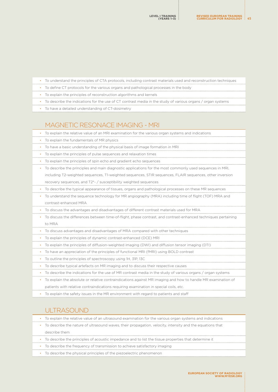- To understand the principles of CTA protocols, including contrast materials used and reconstruction techniques
	- To define CT protocols for the various organs and pathological processes in the body
- To explain the principles of reconstruction algorithms and kernels
- To describe the indications for the use of CT contrast media in the study of various organs / organ systems
- To have a detailed understanding of CT-dosimetry

#### MAGNETIC RESONACE IMAGING - MRI

• To explain the relative value of an MRI examination for the various organ systems and indications • To explain the fundamentals of MR physics • To have a basic understanding of the physical basis of image formation in MRI • To explain the principles of pulse sequences and relaxation times • To explain the principles of spin echo and gradient echo sequences • To describe the principles and main diagnostic applications for the most commonly used sequences in MRI, including T2-weighted sequences, T1-weighted sequences, STIR sequences, FLAIR sequences, other inversion recovery sequences, and T2\*- / susceptibility weighted sequences • To describe the typical appearance of tissues, organs and pathological processes on these MR sequences • To understand the sequence technology for MR angiography (MRA) including time of flight (TOF) MRA and contrast-enhanced MRA • To discuss the advantages and disadvantages of different contrast materials used for MRA • To discuss the differences between time-of-flight, phase contrast, and contrast-enhanced techniques pertaining to MRA • To discuss advantages and disadvantages of MRA compared with other techniques • To explain the principles of dynamic contrast-enhanced (DCE) MRI • To explain the principles of diffusion-weighted imaging (DWI) and diffusion tensor imaging (DTI) • To have an appreciation of the principles of functional MRI (fMRI) using BOLD contrast • To outline the principles of spectroscopy using 1H, 31P, 13C • To describe typical artefacts on MR imaging and to discuss their respective causes • To describe the indications for the use of MR contrast media in the study of various organs / organ systems • To explain the absolute or relative contraindications against MR imaging and how to handle MR examination of

patients with relative contraindications requiring examination in special coils, etc.

• To explain the safety issues in the MR environment with regard to patients and staff

#### ULTRASOUND

|           | To explain the relative value of an ultrasound examination for the various organ systems and indications    |
|-----------|-------------------------------------------------------------------------------------------------------------|
|           | • To describe the nature of ultrasound waves, their propagation, velocity, intensity and the equations that |
|           | describe them                                                                                               |
| $\bullet$ | To describe the principles of acoustic impedance and to list the tissue properties that determine it        |
|           | • To describe the frequency of transmission to achieve satisfactory imaging                                 |
|           | To describe the physical principles of the piezoelectric phenomenon                                         |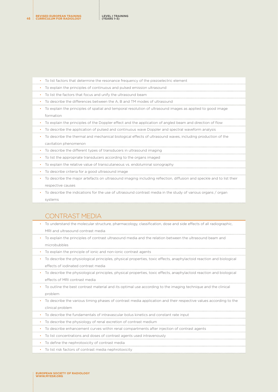| • To list factors that determine the resonance frequency of the piezoelectric element                      |
|------------------------------------------------------------------------------------------------------------|
| To explain the principles of continuous and pulsed emission ultrasound                                     |
| • To list the factors that focus and unify the ultrasound beam                                             |
| To describe the differences between the A, B and TM modes of ultrasound                                    |
| To explain the principles of spatial and temporal resolution of ultrasound images as applied to good image |
| formation                                                                                                  |
| • To explain the principles of the Doppler effect and the application of angled beam and direction of flow |
| To describe the application of pulsed and continuous wave Doppler and spectral waveform analysis           |

- To describe the thermal and mechanical biological effects of ultrasound waves, including production of the cavitation phenomenon
- To describe the different types of transducers in ultrasound imaging
- To list the appropriate transducers according to the organs imaged
- To explain the relative value of transcutaneous vs. endoluminal sonography
- To describe criteria for a good ultrasound image
- To describe the major artefacts on ultrasound imaging including reflection, diffusion and speckle and to list their respective causes
- To describe the indications for the use of ultrasound contrast media in the study of various organs / organ systems

## CONTRAST MEDIA

- To understand the molecular structure, pharmacology, classification, dose and side effects of all radiographic, MRI and ultrasound contrast media
- To explain the principles of contrast ultrasound media and the relation between the ultrasound beam and microbubbles
- To explain the principle of ionic and non-ionic contrast agents
- To describe the physiological principles, physical properties, toxic effects, anaphylactoid reaction and biological effects of iodinated contrast media
- To describe the physiological principles, physical properties, toxic effects, anaphylactoid reaction and biological effects of MRI contrast media
- To outline the best contrast material and its optimal use according to the imaging technique and the clinical problem
- To describe the various timing phases of contrast media application and their respective values according to the clinical problem
- To describe the fundamentals of intravascular bolus kinetics and constant rate input
- To describe the physiology of renal excretion of contrast medium
- To describe enhancement curves within renal compartments after injection of contrast agents
- To list concentrations and doses of contrast agents used intravenously
- To define the nephrotoxicity of contrast media
- To list risk factors of contrast media nephrotoxicity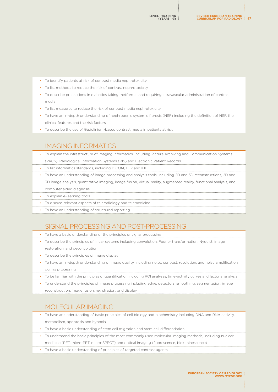| $\bullet$ | To identify patients at risk of contrast media nephrotoxicity                                                 |
|-----------|---------------------------------------------------------------------------------------------------------------|
|           | To list methods to reduce the risk of contrast nephrotoxicity                                                 |
|           | To describe precautions in diabetics taking metformin and requiring intravascular administration of contrast  |
|           | media                                                                                                         |
|           | • To list measures to reduce the risk of contrast media nephrotoxicity                                        |
|           | To have an in-depth understanding of nephrogenic systemic fibrosis (NSF) including the definition of NSF, the |
|           | clinical features and the risk factors                                                                        |
|           | To describe the use of Gadolinium-based contrast media in patients at risk                                    |

# IMAGING INFORMATICS

| To explain the infrastructure of imaging informatics, including Picture Archiving and Communication Systems |  |
|-------------------------------------------------------------------------------------------------------------|--|
|                                                                                                             |  |

- (PACS), Radiological Information Systems (RIS) and Electronic Patient Records
- To list informatics standards, including DICOM, HL7 and IHE
- To have an understanding of image processing and analysis tools, including 2D and 3D reconstructions, 2D and 3D image analysis, quantitative imaging, image fusion, virtual reality, augmented reality, functional analysis, and computer aided diagnosis
- To explain e-learning tools
- To discuss relevant aspects of teleradiology and telemedicine
- To have an understanding of structured reporting

# SIGNAL PROCESSING AND POST-PROCESSING

- To have a basic understanding of the principles of signal processing
- To describe the principles of linear systems including convolution, Fourier transformation, Nyquist, image
	- restoration, and deconvolution
- To describe the principles of image display
- To have an in-depth understanding of image quality, including noise, contrast, resolution, and noise amplification during processing
- To be familiar with the principles of quantification including ROI analyses, time–activity curves and factorial analysis
- To understand the principles of image processing including edge, detectors, smoothing, segmentation, image reconstruction, image fusion, registration, and display

# MOLECULAR IMAGING

- To have an understanding of basic principles of cell biology and biochemistry including DNA and RNA activity, metabolism, apoptosis and hypoxia • To have a basic understanding of stem cell migration and stem cell differentiation
- To understand the basic principles of the most commonly used molecular imaging methods, including nuclear
- medicine (PET, micro-PET, micro-SPECT) and optical imaging (fluorescence, bioluminescence)
- To have a basic understanding of principles of targeted contrast agents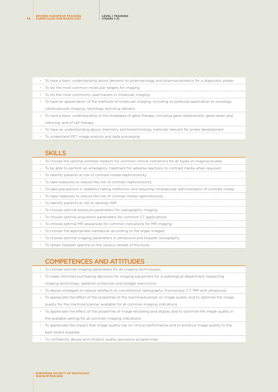| To have a basic understanding about demand on pharmacology and pharmacokinetics for a diagnostic probe                    |
|---------------------------------------------------------------------------------------------------------------------------|
| • To list the most common molecular targets for imaging                                                                   |
| • To list the most commonly used tracers in molecular imaging                                                             |
| • To have an appreciation of the methods of molecular imaging, including its potential application to oncology,           |
| cardiovascular imaging, neurology and drug delivery                                                                       |
| To have a basic understanding of the strategies of gene therapy, including gene replacement, gene repair and<br>$\bullet$ |
| silencing, and of cell therapy                                                                                            |
| • To have an understanding about chemistry and biotechnology methods relevant for probe development                       |
| • To understand PET image analysis and data processing                                                                    |

# **SKILLS**

| To choose the optimal contrast medium for common clinical indications for all types of imaging studies                      |
|-----------------------------------------------------------------------------------------------------------------------------|
| To be able to perform an emergency treatment for adverse reactions to contrast media when required<br>$\bullet$ .           |
| To identify patients at risk of contrast media nephrotoxicity<br>$\bullet$                                                  |
| • To take measures to reduce the risk of contrast nephrotoxicity                                                            |
| To take precautions in diabetics taking metformin and reguiring intravascular administration of contrast media<br>$\bullet$ |
| • To take measures to reduce the risk of contrast media nephrotoxicity                                                      |
| • To identify patients at risk to develop NSF                                                                               |
| • To choose optimal exposure parameters for radiographic imaging                                                            |
| To choose optimal acquisition parameters for common CT applications<br>$\bullet$                                            |
| To choose optimal MR sequences for common indications for MR imaging                                                        |
| To choose the appropriate transducer according to the organ imaged                                                          |
| To choose optimal imaging parameters in ultrasound and Doppler sonography                                                   |
| To obtain Doppler spectra on the various vessels of the body                                                                |

# COMPETENCES AND ATTITUDES

| To choose optimal imaging parameters for all imaging technologies                                              |  |
|----------------------------------------------------------------------------------------------------------------|--|
| To make informed purchasing decisions for imaging equipment for a radiological department respecting           |  |
| imaging technology, radiation protection and budget restrictions                                               |  |
| • To devise strategies to reduce artefacts on conventional radiography, fluoroscopy, CT, MRI and ultrasound    |  |
| To appreciate the effect of the properties of the machine/scanner on image quality and to optimize the image   |  |
| quality for the machine/scanner available for all common imaging indications                                   |  |
| To appreciate the effect of the properties of image recording and display and to optimize the image quality in |  |

the available setting for all common imaging indications

• To appreciate the impact that image quality has on clinical performance and to enhance image quality to the best extent possible

• To confidently devise and conduct quality assurance programmes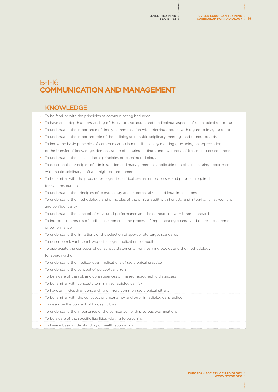# B-I-16 **COMMUNICATION AND MANAGEMENT**

# KNOWLEDGE

| To be familiar with the principles of communicating bad news                                                    |
|-----------------------------------------------------------------------------------------------------------------|
| To have an in-depth understanding of the nature, structure and medicolegal aspects of radiological reporting    |
| To understand the importance of timely communication with referring doctors with regard to imaging reports<br>٠ |
| To understand the important role of the radiologist in multidisciplinary meetings and tumour boards             |
| To know the basic principles of communication in multidisciplinary meetings, including an appreciation<br>٠     |
| of the transfer of knowledge, demonstration of imaging findings, and awareness of treatment consequences        |
| To understand the basic didactic principles of teaching radiology                                               |
| To describe the principles of administration and management as applicable to a clinical imaging department      |
| with multidisciplinary staff and high-cost equipment                                                            |
| To be familiar with the procedures, legalities, critical evaluation processes and priorities required           |
| for systems purchase                                                                                            |
| To understand the principles of teleradiology and its potential role and legal implications                     |
| To understand the methodology and principles of the clinical audit with honesty and integrity, full agreement   |
| and confidentiality                                                                                             |
| To understand the concept of measured performance and the comparison with target standards                      |
| To interpret the results of audit measurements, the process of implementing change and the re-measurement       |
| of performance                                                                                                  |
| To understand the limitations of the selection of appropriate target standards                                  |
| To describe relevant country-specific legal implications of audits                                              |
| To appreciate the concepts of consensus statements from learning bodies and the methodology<br>٠                |
| for sourcing them                                                                                               |
| To understand the medico-legal implications of radiological practice                                            |
|                                                                                                                 |
| To understand the concept of perceptual errors                                                                  |
| • To be aware of the risk and consequences of missed radiographic diagnoses                                     |
| To be familiar with concepts to minimize radiological risk                                                      |
| To have an in-depth understanding of more common radiological pitfalls<br>٠                                     |
| To be familiar with the concepts of uncertainty and error in radiological practice<br>٠                         |
| To describe the concept of hindsight bias<br>٠                                                                  |
| To understand the importance of the comparison with previous examinations<br>٠                                  |
| To be aware of the specific liabilities relating to screening                                                   |
| To have a basic understanding of health economics                                                               |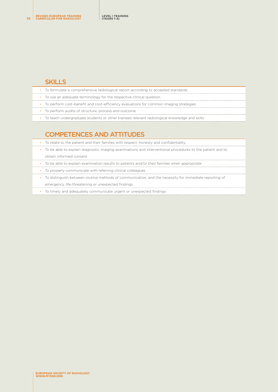#### **SKILLS**

|  | • To formulate a comprehensive radiological report according to accepted standards           |
|--|----------------------------------------------------------------------------------------------|
|  | To use an adequate terminology for the respective clinical question                          |
|  | To perform cost-benefit and cost-efficiency evaluations for common imaging strategies        |
|  | To perform audits of structure, process and outcome                                          |
|  | To teach undergraduate students or other trainees relevant radiological knowledge and skills |
|  |                                                                                              |

# COMPETENCES AND ATTITUDES

| • To relate to the patient and their families with respect, honesty and confidentiality                     |
|-------------------------------------------------------------------------------------------------------------|
| • To be able to explain diagnostic imaging examinations and interventional procedures to the patient and to |
| obtain informed consent                                                                                     |
| • To be able to explain examination results to patients and/or their families when appropriate              |
| • To properly communicate with referring clinical colleagues                                                |
| • To distinguish between routine methods of communication, and the necessity for immediate reporting of     |
| emergency, life-threatening or unexpected findings                                                          |

• To timely and adequately communicate urgent or unexpected findings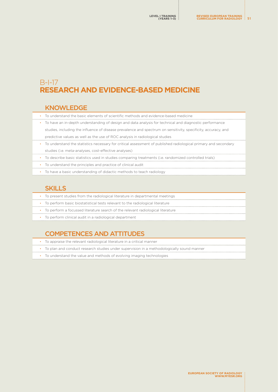# B-I-17 **RESEARCH AND EVIDENCE-BASED MEDICINE**

#### KNOWLEDGE

• To understand the basic elements of scientific methods and evidence-based medicine

• To have an in-depth understanding of design and data analysis for technical and diagnostic performance studies, including the influence of disease prevalence and spectrum on sensitivity, specificity, accuracy, and predictive values as well as the use of ROC analysis in radiological studies

- To understand the statistics necessary for critical assessment of published radiological primary and secondary studies (i.e. meta-analyses, cost-effective analyses)
- To describe basic statistics used in studies comparing treatments (i.e. randomized controlled trials)
- To understand the principles and practice of clinical audit
- To have a basic understanding of didactic methods to teach radiology

## **SKILLS**

- To present studies from the radiological literature in departmental meetings
- To perform basic biostatistical tests relevant to the radiological literature
- To perform a focussed literature search of the relevant radiological literature
- To perform clinical audit in a radiological department

# COMPETENCES AND ATTITUDES

- To appraise the relevant radiological literature in a critical manner
- To plan and conduct research studies under supervision in a methodologically sound manner
- To understand the value and methods of evolving imaging technologies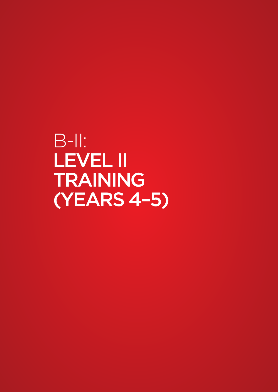B-II: LEVEL II TRAINING (YEARS 4–5)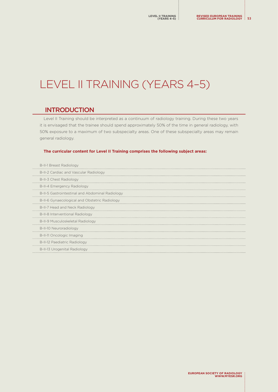# LEVEL II TRAINING (YEARS 4-5)

# **INTRODUCTION**

Level II Training should be interpreted as a continuum of radiology training. During these two years it is envisaged that the trainee should spend approximately 50% of the time in general radiology, with 50% exposure to a maximum of two subspecialty areas. One of these subspecialty areas may remain general radiology.

#### **The curricular content for Level II Training comprises the following subject areas:**

| <b>B-II-1 Breast Radiology</b>                  |
|-------------------------------------------------|
| B-II-2 Cardiac and Vascular Radiology           |
| B-II-3 Chest Radiology                          |
| B-II-4 Emergency Radiology                      |
| B-II-5 Gastrointestinal and Abdominal Radiology |
| B-II-6 Gynaecological and Obstetric Radiology   |
| B-II-7 Head and Neck Radiology                  |
| B-II-8 Interventional Radiology                 |
| B-II-9 Musculoskeletal Radiology                |
| B-II-10 Neuroradiology                          |
| B-II-11 Oncologic Imaging                       |
| B-II-12 Paediatric Radiology                    |
| B-II-13 Urogenital Radiology                    |
|                                                 |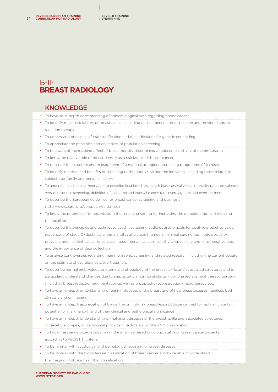# <span id="page-53-0"></span> $B$ -II-1 **BREAST RADIOLOGY**

#### KNOWLEDGE

- To have an in-depth understanding of epidemiological data regarding breast cancer
- To identify major risk factors of breast cancer, including familial-genetic predisposition and previous thoracic radiation therapy
- To understand principles of risk stratification and the indications for genetic counselling
- To appreciate the principles and objectives of population screening
- To be aware of the masking effect of breast density determining a reduced sensitivity of mammography
- To know the relative role of breast density as a risk factor for breast cancer
- To describe the structure and management of a national or regional screening programme (if it exists)
- To identify the risks and benefits of screening to the population and the individual, including those related to subject age, family and personal history
- To understand screening theory and to describe lead time bias, length bias, survival versus mortality rates, prevalence versus incidence screening, definition of lead time and interval cancer rate, overdiagnosis and overtreatment
- To describe the European guidelines for breast cancer screening and diagnosis
- ([http://www.euref.org/european-guidelines\)](http://www.euref.org/european-guidelines)
- To know the potential of tomosyntesis in the screening setting for increasing the detection rate and reducing the recall rate
- To describe the principles and techniques used in screening audit, desirable goals for positive predictive value, percentage of stage 0 (ductal carcinoma in situ) and stage I tumours, minimal carcinomas, node positivity, prevalent and incident cancer rates, recall rates, interval cancers, sensitivity, specificity and false-negative rate, and the importance of data collection
- To analyse controversies regarding mammographic screening and related research, including the current debate on the estimate of overdiagnosis/overtreatment
- To describe normal embryology, anatomy and physiology of the breast, axilla and associated structures and to particularly understand changes due to age, lactation, hormonal status, hormone replacement therapy, surgery (including breast reduction/augmentation as well as oncoplastic reconstruction), radiotherapy etc.
- To have an in-depth understanding of benign diseases of the breast and of how these diseases manifest, both clinically and on imaging
- To have an in-depth appreciation of borderline or high-risk breast lesions (those defined to imply an uncertain potential for malignancy), and of their clinical and pathological significance
- To have an in-depth understanding of malignant diseases of the breast, axilla and associated structures, of genetic subtypes, of histological prognostic factors and of the TNM classification
- 
- To know the standardized evaluation of the imaging-based oncologic status of breast cancer patients according to RECIST 1.1 criteria
- To be familiar with cytological and pathological reporting of breast diseases
- To be familiar with the biomolecular classification of breast cancer and to be able to understand
	- the imaging implications of that classification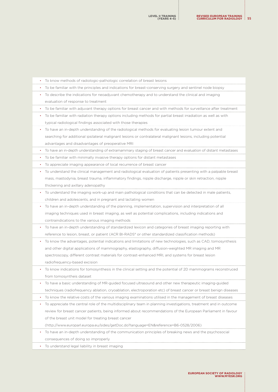| $\bullet$ | To know methods of radiologic-pathologic correlation of breast lesions                                             |
|-----------|--------------------------------------------------------------------------------------------------------------------|
| ٠         | To be familiar with the principles and indications for breast-conserving surgery and sentinel node biopsy          |
| ٠         | To describe the indications for neoadjuvant chemotherapy and to understand the clinical and imaging                |
|           | evaluation of response to treatment                                                                                |
| ٠         | To be familiar with adjuvant therapy options for breast cancer and with methods for surveillance after treatment   |
| ٠         | To be familiar with radiation therapy options including methods for partial breast irradiation as well as with     |
|           | typical radiological findings associated with those therapies                                                      |
| ٠         | To have an in-depth understanding of the radiological methods for evaluating lesion tumour extent and              |
|           | searching for additional ipsilateral malignant lesions or contralateral malignant lesions, including potential     |
|           | advantages and disadvantages of preoperative MRI                                                                   |
|           | • To have an in-depth understanding of extramammary staging of breast cancer and evaluation of distant metastases  |
| ٠         | To be familiar with minimally invasive therapy options for distant metastases                                      |
|           | • To appreciate imaging appearance of local recurrence of breast cancer                                            |
| ٠         | To understand the clinical management and radiological evaluation of patients presenting with a palpable breast    |
|           | mass, mastodynia, breast trauma, inflammatory findings, nipple discharge, nipple or skin retraction, nipple        |
|           | thickening and axillary adenopathy                                                                                 |
| ٠         | To understand the imaging work-up and main pathological conditions that can be detected in male patients,          |
|           | children and adolescents, and in pregnant and lactating women                                                      |
| ٠         | To have an in-depth understanding of the planning, implementation, supervision and interpretation of all           |
|           | imaging techniques used in breast imaging, as well as potential complications, including indications and           |
|           | contraindications to the various imaging methods                                                                   |
| ٠         | To have an in-depth understanding of standardized lexicon and categories of breast imaging reporting with          |
|           | reference to lesion, breast, or patient (ACR BI-RADS® or other standardized classification methods)                |
| ٠         | To know the advantages, potential indications and limitations of new technologies, such as CAD, tomosynthesis      |
|           | and other digital applications of mammography, elastography, diffusion-weighted MR imaging and MR                  |
|           | spectroscopy, different contrast materials for contrast-enhanced MRI, and systems for breast lesion                |
|           | radiofrequency-based excision                                                                                      |
| ٠         | To know indications for tomosynthesis in the clinical setting and the potential of 2D mammograms reconstruced      |
|           | from tomosyntheis dataset                                                                                          |
|           | To have a basic understanding of MR-guided focused ultrasound and other new therapeutic imaging-guided             |
|           | techniques (radiofrequency ablation, cryoablation, electroporation etc) of breast cancer or breast benign diseases |
| ٠         | To know the relative costs of the various imaging examinations utilised in the management of breast diseases       |
|           | To appreciate the central role of the multidisciplinary team in planning investigations, treatment and in outcome  |
|           | review for breast cancer patients, being informed about recommendations of the European Parliament in favour       |
|           | of the breast unit model for treating breast cancer                                                                |
|           | (http://www.europarl.europa.eu/sides/getDoc.do?language=EN&reference=B6-0528/2006)                                 |
| ٠         | To have an in-depth understanding of the communication principles of breaking news and the psychosocial            |
|           | consequences of doing so improperly                                                                                |
| ٠         | To understand legal liability in breast imaging                                                                    |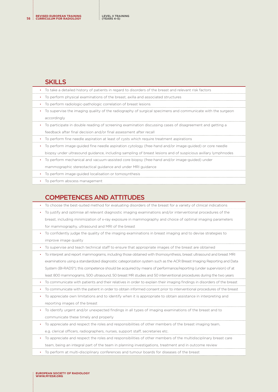#### **SKILLS**

| To take a detailed history of patients in regard to disorders of the breast and relevant risk factors               |
|---------------------------------------------------------------------------------------------------------------------|
| • To perform physical examinations of the breast, axilla and associated structures                                  |
| To perform radiologic-pathologic correlation of breast lesions                                                      |
| To supervise the imaging quality of the radiography of surgical specimens and communicate with the surgeon          |
| accordingly                                                                                                         |
| To participate in double reading of screening examination discussing cases of disagreement and getting a            |
| feedback after final decision and/or final assessment after recall                                                  |
| • To perform fine needle aspiration at least of cysts which require treatment aspirations                           |
| To perform image-guided fine needle aspiration cytology (free-hand and/or image-guided) or core needle<br>$\bullet$ |
| biopsy under ultrasound guidance, including sampling of breast lesions and of suspicious axillary lymphnodes        |
| To perform mechanical and vacuum-assisted core biopsy (free-hand and/or image-guided) under<br>$\bullet$            |
| mammographic stereotactical guidance and under MRI guidance                                                         |
| • To perform image-quided localisation or tomosynthesis                                                             |
| To perform abscess management                                                                                       |
|                                                                                                                     |

# COMPETENCES AND ATTITUDES

• To choose the best-suited method for evaluating disorders of the breast for a variety of clinical indications

- To justify and optimise all relevant diagnostic imaging examinations and/or interventional procedures of the breast, including minimization of x-ray exposure in mammography and choice of optimal imaging parameters for mammography, ultrasound and MRI of the breast
- To confidently judge the quality of the imaging examinations in breast imaging and to devise strategies to improve image quality
- To supervise and teach technical staff to ensure that appropriate images of the breast are obtained

• To interpret and report mammograms, including those obtained with thomosynthesis, breast ultrasound and breast MRI examinations using a standardized diagnostic categorization system such as the ACR Breast Imaging Reporting and Data System (BI-RADS®); this competence should be acquired by means of performance/reporting (under supervision) of at least 800 mammograms, 500 ultrasound, 50 breast MR studies and 50 interventional procedures during the two years • To communicate with patients and their relatives in order to explain their imaging findings in disorders of the breast

- To communicate with the patient in order to obtain informed consent prior to interventional procedures of the breast
- To appreciate own limitations and to identify when it is appropriate to obtain assistance in interpreting and reporting images of the breast
- To identify urgent and/or unexpected findings in all types of imaging examinations of the breast and to communicate these timely and properly
- To appreciate and respect the roles and responsibilities of other members of the breast imaging team, e.g. clerical officers, radiographers, nurses, support staff, secretaries etc.
- To appreciate and respect the roles and responsibilities of other members of the multidisciplinary breast care

team, being an integral part of the team in planning investigations, treatment and in outcome review

• To perform at multi-disciplinary conferences and tumour boards for diseases of the breast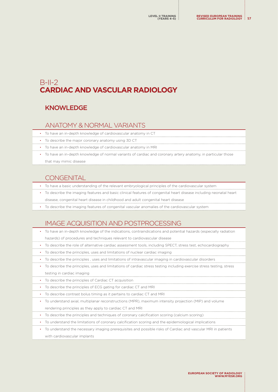# <span id="page-56-0"></span>B-II-2 **CARDIAC AND VASCULAR RADIOLOGY**

# KNOWLEDGE

## ANATOMY & NORMAL VARIANTS

- To have an in-depth knowledge of cardiovascular anatomy in CT
- To describe the major coronary anatomy using 3D CT
- To have an in-depth knowledge of cardiovascular anatomy in MRI
- To have an in-depth knowledge of normal variants of cardiac and coronary artery anatomy, in particular those that may mimic disease

# **CONGENITAL**

- To have a basic understanding of the relevant embryological principles of the cardiovascular system
- To describe the imaging features and basic clinical features of congenital heart disease including neonatal heart disease, congenital heart disease in childhood and adult congenital heart disease
- To describe the imaging features of congenital vascular anomalies of the cardiovascular system

# IMAGE ACQUISITION AND POSTPROCESSING

- To have an in-depth knowledge of the indications, contraindications and potential hazards (especially radiation hazards) of procedures and techniques relevant to cardiovascular disease
- To describe the role of alternative cardiac assessment tools, including SPECT, stress test, echocardiography
- To describe the principles, uses and limitations of nuclear cardiac imaging
- To describe the principles , uses and limitations of intravascular imaging in cardiovascular disorders
- To describe the principles, uses and limitations of cardiac stress testing including exercise stress testing, stress testing in cardiac imaging
- To describe the principles of Cardiac CT acquisition
- To describe the principles of ECG gating for cardiac CT and MRI
- To describe contrast bolus timing as it pertains to cardiac CT and MRI
- To understand axial, multiplanar reconstructions (MPR), maximum intensity projection (MIP) and volume rendering principles as they apply to cardiac CT and MRI
- To describe the principles and techniques of coronary calcification scoring (calcium scoring)
- To understand the limitations of coronary calcification scoring and the epidemiological implications
- To understand the necessary imaging prerequisites and possible risks of Cardiac and vascular MRI in patients with cardiovascular implants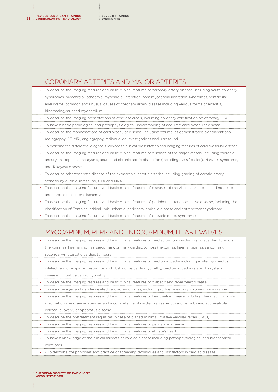#### CORONARY ARTERIES AND MAJOR ARTERIES

• To describe the imaging features and basic clinical features of coronary artery disease, including acute coronary syndromes, myocardial ischaemia, myocardial infarction, post myocardial infarction syndromes, ventricular aneurysms, common and unusual causes of coronary artery disease including various forms of arteritis, hibernating/stunned myocardium

• To describe the imaging presentations of atherosclerosis, including coronary calcification on coronary CTA

• To have a basic pathological and pathophysiological understanding of acquired cardiovascular disease

- To describe the manifestations of cardiovascular disease, including trauma, as demonstrated by conventional radiography, CT, MRI, angiography, radionuclide investigations and ultrasound
- To describe the differential diagnosis relevant to clinical presentation and imaging features of cardiovascular disease

• To describe the imaging features and basic clinical features of diseases of the major vessels, including thoracic aneurysm, popliteal aneurysms, acute and chronic aortic dissection (including classification), Marfan's syndrome, and Takayasu disease

- To describe atheroscerotic disease of the extracranial carotid arteries including grading of carotid artery stenosis by duplex ultrasound, CTA and MRA.
- To describe the imaging features and basic clinical features of diseases of the visceral arteries including acute and chronic mesenteric ischemia
- To describe the imaging features and basic clinical features of peripheral arterial occlusive disease, including the classification of Fontaine, critical limb ischemia, peripheral embolic disease and entrapement syndrome
- To describe the imaging features and basic clinical features of thoracic outlet syndromes

# MYOCARDIUM, PERI- AND ENDOCARDIUM, HEART VALVES

• To describe the imaging features and basic clinical features of cardiac tumours including intracardiac tumours (myxommas, haemangiomas, sarcomas), primary cardiac tumors (myxomas, haemangiomas, sarcomas), secondary/metastatic cardiac tumours

• To describe the imaging features and basic clinical features of cardiomyopathy including acute myocarditis, dilated cardiomyopathy, restrictive and obstructive cardiomyopathy, cardiomyopathy related to systemic disease, infiltrative cardiomyopathy

- To describe the imaging features and basic clinical features of diabetic and renal heart disease
- To describe age- and gender-related cardiac syndromes, including sudden-death syndromes in young men
- To describe the imaging features and basic clinical features of heart valve disease including rheumatic or postrheumatic valve disease, stenosis and incompetence of cardiac valves, endocarditis, sub- and supravalvular disease, subvalvular apparatus disease
- To describe the pretreatment requisites in case of planed minimal invasive valvular repair (TAVI)
- To describe the imaging features and basic clinical features of pericardial disease
- To describe the imaging features and basic clinical features of athlete's heart
- To have a knowledge of the clinical aspects of cardiac disease including pathophysiological and biochemical correlates
- • To describe the principles and practice of screening techniques and risk factors in cardiac disease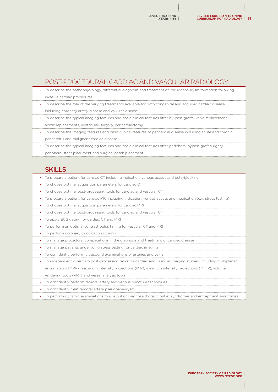# POST-PROCEDURAL CARDIAC AND VASCULAR RADIOLOGY

- To describe the pathophysiology, differential diagnosis and treatment of pseudoaneurysm formation following invasive cardiac procedures • To describe the role of the varying treatments available for both congenital and acquired cardiac disease, including coronary artery disease and valvular disease • To describe the typical imaging features and basic clinical features after by-pass grafts, valve replacement, aortic replacements, ventricular surgery, pericardiectomy
- To describe the imaging features and basic clinical features of pericardial disease including acute and chronic pericarditis and malignant cardiac disease
- To describe the typical imaging features and basic clinical features after peripheral bypass graft surgery, peripheral stent placEment and surgical patch placement

## **SKILLS**

- To prepare a patient for cardiac CT including indication, venous access and beta-blocking
- To choose optimal acquisition parameters for cardiac CT
- To choose optimal post-processing tools for cardiac and vascular CT
- To prepare a patient for cardiac MRI including indication, venous access and medication (e.g. stress testing)
- To choose optimal acquisition parameters for cardiac MRI
- To choose optimal post-processing tools for cardiac and vascular CT
- To apply ECG gating for cardiac CT and MRI
- To perform an optimal contrast bolus timing for vascular CT and MRI
- To perform coronary calcification scoring
- To manage procedural complications in the diagnosis and treatment of cardiac disease
- To manage patients undergoing stress testing for cardiac imaging
- To confidently perform ultrasound examinations of arteries and veins
- To independently perform post-processing tasks for cardiac and vascular imaging studies, including multiplanar reformations (MPR), maximum intensity projections (MIP), minimum intensity projections (MinIP), volume rendering tools (VRT) and vessel analysis tools
- To confidently perform femoral artery and venous puncture techniques
- To confidently treat femoral artery pseudoaneurysm
- To perform dynamic examinations to rule out or diagnose thoracic outlet syndromes and entrapment syndromes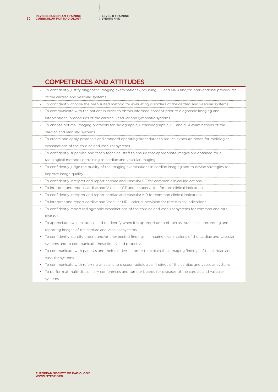**REVISED EUROPEAN TRAINING <sup>60</sup> CURRICULUM FOR RADIOLOGY**

# COMPETENCES AND ATTITUDES

| To confidently justify diagnostic imaging examinations (including CT and MRI) and/or interventional procedures |
|----------------------------------------------------------------------------------------------------------------|
| of the cardiac and vascular systems                                                                            |
| To confidently choose the best-suited method for evaluating disorders of the cardiac and vascular systems      |
| To communicate with the patient in order to obtain informed consent prior to diagnostic imaging and            |
| interventional procedures of the cardiac, vascular and lymphatic systems                                       |
| To choose optimal imaging protocols for radiographic, ultrasonographic, CT and MRI examinations of the         |
| cardiac and vascular systems                                                                                   |
| To create and apply protocols and standard operating procedures to reduce exposure doses for radiological      |
| examinations of the cardiac and vascular systems                                                               |
| To confidently supervise and teach technical staff to ensure that appropriate images are obtained for all      |
| radiological methods pertaining to cardiac and vascular imaging                                                |
| To confidently judge the quality of the imaging examinations in cardiac imaging and to devise strategies to    |
| improve image quality                                                                                          |
| To confidently interpret and report cardiac and Vascular CT for common clinical indications                    |
| To interpret and report cardiac and Vascular CT under supervision for rare clinical indications                |
| To confidently interpret and report cardiac and Vascular MR for common clinical indications                    |
| To interpret and report cardiac and Vascular MRI under supervision for rare clinical indications               |
| To confidently report radiographic examinations of the cardiac and vascular systems for common and rare        |
| diseases                                                                                                       |
| To appreciate own limitations and to identify when it is appropriate to obtain assistance in interpreting and  |
| reporting images of the cardiac and vascular systems                                                           |
| To confidently identify urgent and/or unexpected findings in imaging examinations of the cardiac and vascular  |
| systems and to communicate these timely and properly                                                           |
| To communicate with patients and their relatives in order to explain their imaging findings of the cardiac and |
| vascular systems                                                                                               |
| To communicate with referring clinicians to discuss radiological findings of the cardiac and vascular systems  |
| To perform at multi-disciplinary conferences and tumour boards for diseases of the cardiac and vascular        |
| systems                                                                                                        |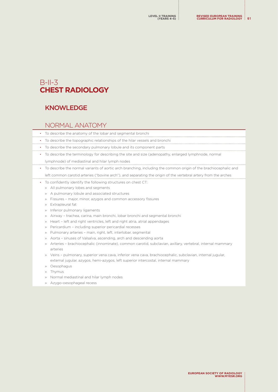# <span id="page-60-0"></span> $B$ -II-3 **CHEST RADIOLOGY**

# **KNOWLEDGE**

#### NORMAL ANATOMY

- To describe the anatomy of the lobar and segmental bronchi
- To describe the topographic relationships of the hilar vessels and bronchi
- To describe the secondary pulmonary lobule and its component parts
- To describe the terminology for describing the site and size (adenopathy, enlarged lymphnode, normal lymphnode) of mediastinal and hilar lymph nodes
- To describe the normal variants of aortic arch branching, including the common origin of the brachiocephalic and

left common carotid arteries ("bovine arch"), and separating the origin of the vertebral artery from the arches

- To confidently identify the following structures on chest CT:
	- » All pulmonary lobes and segments
	- » A pulmonary lobule and associated structures
	- » Fissures major, minor, azygos and common accessory fissures
	- » Extrapleural fat
	- » Inferior pulmonary ligaments
	- » Airway trachea, carina, main bronchi, lobar bronchi and segmental bronchi
	- » Heart left and right ventricles, left and right atria, atrial appendages
	- » Pericardium including superior pericardial recesses
	- » Pulmonary arteries main, right, left, interlobar, segmental
	- » Aorta sinuses of Valsalva, ascending, arch and descending aorta
	- » Arteries brachiocephalic (innominate), common carotid, subclavian, axillary, vertebral, internal mammary arteries
	- » Veins pulmonary, superior vena cava, inferior vena cava, brachiocephalic, subclavian, internal jugular, external jugular, azygos, hemi-azygos, left superior intercostal, internal mammary
	- » Oesophagus
	- » Thymus
	- » Normal mediastinal and hilar lymph nodes
	- » Azygo-oesophageal recess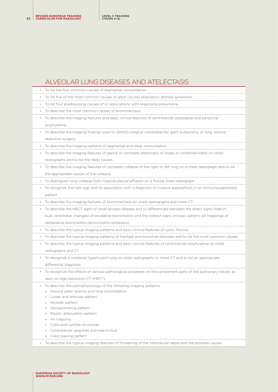**REVISED EUROPEAN TRAINING <sup>62</sup> CURRICULUM FOR RADIOLOGY LEVEL II TRAINING (YEARS 4–5)**

# ALVEOLAR LUNG DISEASES AND ATELECTASIS

| To list the four common causes of segmental consolidation                                                         |
|-------------------------------------------------------------------------------------------------------------------|
| To list five of the most common causes of adult (acute) respiratory distress syndrome                             |
| To list four predisposing causes of or associations with organising pneumonia<br>٠                                |
| To describe the most common causes of bronchiectasis<br>$\bullet$                                                 |
| To describe the imaging features and basic clinical features of centrilobular, paraseptal and panacinar<br>٠      |
| emphysema                                                                                                         |
| To describe the imaging findings used to identify surgical candidates for giant bullectomy or lung volume<br>٠    |
| reduction surgery                                                                                                 |
| To describe the imaging patterns of segmental and lobar consolidation<br>٠                                        |
| To describe the imaging features of partial or complete atelectasis of single or combined lobes on chest          |
| radiographs and to list the likely causes                                                                         |
| To describe the imaging features of complete collapse of the right or left lung on a chest radiograph and to list |
| the appropriate causes of the collapse                                                                            |
| To distinguish lung collapse from massive pleural effusion on a frontal chest radiograph<br>$\bullet$             |
| To recognize the halo sign and its association with a diagnosis of invasive aspergillosis in an immunosuppressed  |
| patient                                                                                                           |
| To describe the imaging features of bronchiectasis on chest radiographs and chest CT                              |
| To describe the HRCT signs of small airways disease and to differentiate between the direct signs (tree-in-       |
| bud, centrilobar changes) of exudative bronchiolitis and the indirect signs (mosaic pattern, air-trapping) of     |
| obliterative bronchiolitis (bronchiolitis obliterans)                                                             |
| To describe the typical imaging patterns and basic clinical features of cystic fibrosis                           |
| To describe the typical imaging patterns of tracheal and bronchial stenoses and to list the most common causes    |
| To describe the typical imaging patterns and basic clinical features of centrilobular emphysema on chest          |
| radiographs and CT                                                                                                |
| To recognize a unilateral hyperlucent lung on chest radiographs or chest CT and to list an appropriate<br>٠       |
| differential diagnosis                                                                                            |
| To recognize the effects of various pathological processes on the component parts of the pulmonary lobule, as     |
| seen on high-resolution CT (HRCT)                                                                                 |
| To describe the pathophysiology of the following imaging patterns:                                                |
| » Ground glass opacity and lung consolidation                                                                     |
| Linear and reticular pattern                                                                                      |
| Nodular pattern<br>$\rangle\rangle$                                                                               |
| Honeycombing pattern<br>$\rangle\rangle$                                                                          |
| Mosaic attenuation pattern<br>$\rangle$                                                                           |
| Air trapping<br>$\rangle$                                                                                         |
| Cysts and cystlike structures<br>$\rangle$                                                                        |
| Centrilobular opacities and tree-in-bud<br>$\rangle\rangle$<br>Crazy-paving pattern<br>$\rangle$                  |
|                                                                                                                   |
| To describe the typical imaging features of thickening of the interlobular septa and the possible causes          |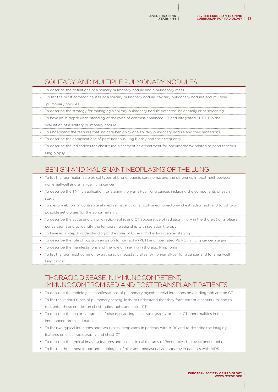# SOLITARY AND MULTIPLE PULMONARY NODULES

- To describe the definitions of a solitary pulmonary nodule and a pulmonary mass
- To list the most common causes of a solitary pulmonary nodule, cavitary pulmonary nodules and multiple pulmonary nodules
- To describe the strategy for managing a solitary pulmonary nodule detected incidentally or at screening
- To have an in-depth understanding of the roles of contrast-enhanced CT and integrated PET-CT in the evaluation of a solitary pulmonary nodule
- To understand the features that indicate benignity of a solitary pulmonary nodule and their limitations
- To describe the complications of percutaneous lung biopsy and their frequency
- To describe the indications for chest tube placement as a treatment for pneumothorax related to percutaneous lung biopsy

# BENIGN AND MALIGNANT NEOPLASMS OF THE LUNG

- To list the four major histological types of bronchogenic carcinoma, and the difference in treatment between non-small-cell and small-cell lung cancer
- To describe the TNM classification for staging non-small-cell lung cancer, including the components of each stage
- To identify abnormal contralateral mediastinal shift on a post-pneumonectomy chest radiograph and to list two possible aetiologies for the abnormal shift
- To describe the acute and chronic radiographic and CT appearance of radiation injury in the thorax (lung, pleura,
- pericardium) and to identify the temporal relationship with radiation therapy
- To have an in-depth understanding of the roles of CT and MRI in lung cancer staging
- To describe the role of positron emission tomography (PET) and integrated PET-CT in lung cancer staging
- To describe the manifestations and the role of imaging in thoracic lymphoma
- To list the four most common extrathoracic metastatic sites for non-small-cell lung cancer and for small-cell lung cancer

#### THORACIC DISEASE IN IMMUNOCOMPETENT, IMMUNOCOMPROMISED AND POST-TRANSPLANT PATIENTS

- To describe the radiological manifestations of pulmonary mycobacterial infections on a radiograph and on CT • To list the various types of pulmonary aspergillosis, to understand that they form part of a continuum, and to recognise these entities on chest radiographs and chest CT
	- To describe the major categories of disease-causing chest radiography or chest CT abnormalities in the immunocompromised patient
	- To list two typical infections and two typical neoplasms in patients with AIDS and to describe the imaging features on chest radiography and chest CT
	- To describe the typical imaging features and basic clinical features of Pneumocystis jiroveci pneumonia
- To list the three most important aetiologies of hilar and mediastinal adenopathy in patients with AIDS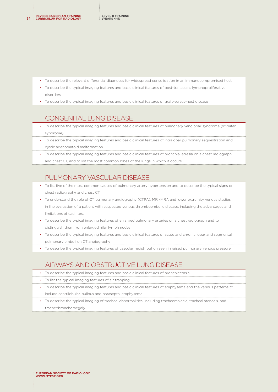- To describe the relevant differential diagnoses for widespread consolidation in an immunocompromised host
- To describe the typical imaging features and basic clinical features of post-transplant lymphoproliferative disorders
- To describe the typical imaging features and basic clinical features of graft-versus-host disease

#### CONGENITAL LUNG DISEASE

- To describe the typical imaging features and basic clinical features of pulmonary venolobar syndrome (scimitar syndrome)
- To describe the typical imaging features and basic clinical features of intralobar pulmonary sequestration and cystic adenomatoid malformation
- To describe the typical imaging features and basic clinical features of bronchial atresia on a chest radiograph and chest CT, and to list the most common lobes of the lungs in which it occurs

# PULMONARY VASCULAR DISEASE

- To list five of the most common causes of pulmonary artery hypertension and to describe the typical signs on chest radiography and chest CT
- To understand the role of CT pulmonary angiography (CTPA), MRI/MRA and lower extremity venous studies in the evaluation of a patient with suspected venous thromboembolic disease, including the advantages and limitations of each test
- To describe the typical imaging features of enlarged pulmonary arteries on a chest radiograph and to distinguish them from enlarged hilar lymph nodes
- To describe the typical imaging features and basic clinical features of acute and chronic lobar and segmental pulmonary emboli on CT angiography
- To describe the typical imaging features of vascular redistribution seen in raised pulmonary venous pressure

## AIRWAYS AND OBSTRUCTIVE LUNG DISEASE

- To describe the typical imaging features and basic clinical features of bronchiectasis
- To list the typical imaging features of air trapping
- To describe the typical imaging features and basic clinical features of emphysema and the various patterns to include centrilobular, bullous and paraseptal emphysema
- To describe the typical imaging of tracheal abnormalities, including tracheomalacia, tracheal stenosis, and tracheobronchomegaly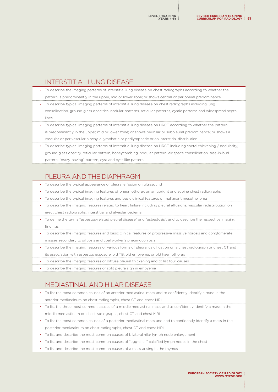# INTERSTITIAL LUNG DISEASE

• To describe the imaging patterns of interstitial lung disease on chest radiographs according to whether the pattern is predominantly in the upper, mid or lower zone; or shows central or peripheral predominance

- To describe typical imaging patterns of interstitial lung disease on chest radiographs including lung consolidation, ground glass opacities, nodular patterns, reticular patterns, cystic patterns and widespread septal lines
- To describe typical imaging patterns of interstitial lung disease on HRCT according to whether the pattern is predominantly in the upper, mid or lower zone; or shows perihilar or subpleural predominance; or shows a vascular or perivascular airway, a lymphatic or perilymphatic or an interstitial distribution
- To describe typical imaging patterns of interstitial lung disease on HRCT including spetal thickening / nodularity, ground glass opacity, reticular pattern, honeycombing, nodular pattern, air space consolidation, tree-in-bud pattern, "crazy-paving" pattern, cyst and cyst-like pattern

# PLEURA AND THE DIAPHRAGM

- To describe the typical appearance of pleural effusion on ultrasound
- To describe the typical imaging features of pneumothorax on an upright and supine chest radiographs
- To describe the typical imaging features and basic clinical features of malignant mesothelioma
- To describe the imaging features related to heart failure including pleural effusions, vascular redistribution on erect chest radiographs, interstitial and alveolar oedema
- To define the terms "asbestos-related pleural disease" and "asbestosis", and to describe the respective imaging findings
- To describe the imaging features and basic clinical features of progressive massive fibrosis and conglomerate masses secondary to silicosis and coal worker's pneumoconiosis
- To describe the imaging features of various forms of pleural calcification on a chest radiograph or chest CT and its association with asbestos exposure, old TB, old empyema, or old haemothorax
- To describe the imaging features of diffuse pleural thickening and to list four causes
- To describe the imaging features of split pleura sign in empyema

## MEDIASTINAL AND HILAR DISEASE

- To list the most common causes of an anterior mediastinal mass and to confidently identify a mass in the anterior mediastinum on chest radiographs, chest CT and chest MRI
- To list the three most common causes of a middle mediastinal mass and to confidently identify a mass in the middle mediastinum on chest radiographs, chest CT and chest MRI
- To list the most common causes of a posterior mediastinal mass and and to confidently identify a mass in the posterior mediastinum on chest radiographs, chest CT and chest MRI
- To list and describe the most common causes of bilateral hilar lymph node enlargement
- To list and describe the most common causes of "egg-shell" calcified lymph nodes in the chest
- To list and describe the most common causes of a mass arising in the thymus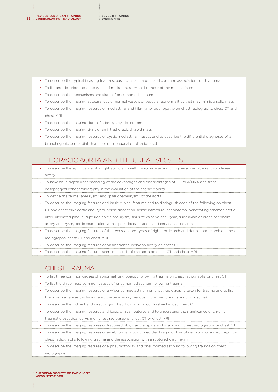- To describe the typical imaging features, basic clinical features and common associations of thymoma • To list and describe the three types of malignant germ cell tumour of the mediastinum • To describe the mechanisms and signs of pneumomediastinum • To describe the imaging appearances of normal vessels or vascular abnormalities that may mimic a solid mass
	- To describe the imaging features of mediastinal and hilar lymphadenopathy on chest radiographs, chest CT and chest MRI
	- To describe the imaging signs of a benign cystic teratoma
	- To describe the imaging signs of an intrathoracic thyroid mass
	- To describe the imaging features of cystic mediastinal masses and to describe the differential diagnoses of a bronchogenic pericardial, thymic or oesophageal duplication cyst

# THORACIC AORTA AND THE GREAT VESSELS

- To describe the significance of a right aortic arch with mirror image branching versus an aberrant subclavian artery
- To have an in-depth understanding of the advantages and disadvantages of CT, MRI/MRA and transoesophageal echocardiography in the evaluation of the thoracic aorta
- To define the terms "aneurysm" and "pseudoaneurysm" of the aorta
- To describe the imaging features and basic clinical features and to distinguish each of the following on chest CT and chest MRI: aortic aneurysm, aortic dissection, aortic intramural haematoma, penetrating atherosclerotic ulcer, ulcerated plaque, ruptured aortic aneurysm, sinus of Valsalva aneurysm, subclavian or brachiocephalic artery aneurysm, aortic coarctation, aortic pseudocoarctation, and cervical aortic arch
- To describe the imaging features of the two standard types of right aortic arch and double aortic arch on chest radiographs, chest CT and chest MRI
- To describe the imaging features of an aberrant subclavian artery on chest CT
- To describe the imaging features seen in arteritis of the aorta on chest CT and chest MRI

#### CHEST TRAUMA

- To list three common causes of abnormal lung opacity following trauma on chest radiographs or chest CT • To list the three most common causes of pneumomediastinum following trauma • To describe the imaging features of a widened mediastinum on chest radiographs taken for trauma and to list the possible causes (including aortic/arterial injury, venous injury, fracture of sternum or spine)
	- To describe the indirect and direct signs of aortic injury on contrast-enhanced chest CT
	- To describe the imaging features and basic clinical features and to understand the significance of chronic traumatic pseudoaneurysm on chest radiographs, chest CT or chest MRI
	- To describe the imaging features of fractured ribs, clavicle, spine and scapula on chest radiographs or chest CT
	- To describe the imaging features of an abnormally positioned diaphragm or loss of definition of a diaphragm on chest radiographs following trauma and the association with a ruptured diaphragm
	- To describe the imaging features of a pneumothorax and pneumomediastinum following trauma on chest radiographs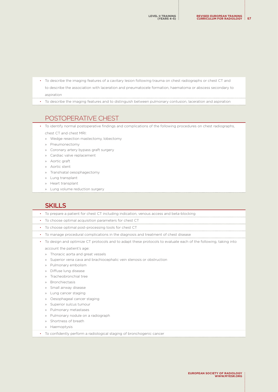• To describe the imaging features of a cavitary lesion following trauma on chest radiographs or chest CT and

to describe the association with laceration and pneumatocele formation, haematoma or abscess secondary to aspiration

• To describe the imaging features and to distinguish between pulmonary contusion, laceration and aspiration

## POSTOPERATIVE CHEST

• To identify normal postoperative findings and complications of the following procedures on chest radiographs, chest CT and chest MRI:

- » Wedge resection mastectomy, lobectomy
- » Pneumonectomy
- » Coronary artery bypass graft surgery
- » Cardiac valve replacement
- » Aortic graft
- » Aortic stent
- » Transhiatal oesophagectomy
- » Lung transplant
- » Heart transplant
- » Lung volume reduction surgery

# **SKILLS**

- To prepare a patient for chest CT including indication, venous access and beta-blocking
- To choose optimal acquisition parameters for chest CT
- To choose optimal post-processing tools for chest CT
- To manage procedural complications in the diagnosis and treatment of chest disease
- To design and optimize CT protocols and to adapt these protocols to evaluate each of the following, taking into

account the patient's age:

- » Thoracic aorta and great vessels
- » Superior vena cava and brachiocephalic vein stenosis or obstruction
- » Pulmonary embolism
- » Diffuse lung disease
- » Tracheobronchial tree
- » Bronchiectasis
- » Small airway disease
- » Lung cancer staging
- » Oesophageal cancer staging
- » Superior sulcus tumour
- » Pulmonary metastases
- » Pulmonary nodule on a radiograph
- » Shortness of breath
- » Haemoptysis
- To confidently perform a radiological staging of bronchogenic cancer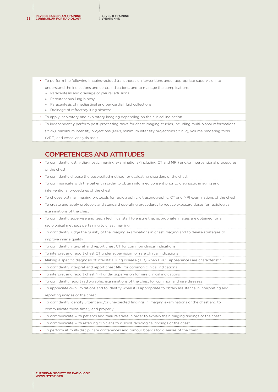**REVISED EUROPEAN TRAINING <sup>68</sup> CURRICULUM FOR RADIOLOGY**

- To perform the following imaging-guided transthoracic interventions under appropriate supervision, to
	- understand the indications and contraindications, and to manage the complications:
	- » Paracentesis and drainage of pleural effusions
	- » Percutaneous lung biopsy
	- » Paracentesis of mediastinal and pericardial fluid collections
	- » Drainage of refractory lung abscess
- To apply inspiratory and expiratory imaging depending on the clinical indication
- To independently perform post-processing tasks for chest imaging studies, including multi-planar reformations
	- (MPR), maximum intensity projections (MIP), minimum intensity projections (MinIP), volume rendering tools
	- (VRT) and vessel analysis tools

#### COMPETENCES AND ATTITUDES

- To confidently justify diagnostic imaging examinations (including CT and MRI) and/or interventional procedures of the chest
- To confidently choose the best-suited method for evaluating disorders of the chest
- To communicate with the patient in order to obtain informed consent prior to diagnostic imaging and interventional procedures of the chest
- To choose optimal imaging protocols for radiographic, ultrasonographic, CT and MRI examinations of the chest
- To create and apply protocols and standard operating procedures to reduce exposure doses for radiological examinations of the chest
- To confidently supervise and teach technical staff to ensure that appropriate images are obtained for all
- radiological methods pertaining to chest imaging
- To confidently judge the quality of the imaging examinations in chest imaging and to devise strategies to improve image quality
- To confidently interpret and report chest CT for common clinical indications
- To interpret and report chest CT under supervision for rare clinical indications
- Making a specific diagnosis of interstitial lung disease (ILD) when HRCT appearances are characteristic
- To confidently interpret and report chest MRI for common clinical indications
- To interpret and report chest MRI under supervision for rare clinical indications
- To confidently report radiographic examinations of the chest for common and rare diseases
- To appreciate own limitations and to identify when it is appropriate to obtain assistance in interpreting and reporting images of the chest
- To confidently identify urgent and/or unexpected findings in imaging examinations of the chest and to communicate these timely and properly
- To communicate with patients and their relatives in order to explain their imaging findings of the chest
- To communicate with referring clinicians to discuss radiological findings of the chest
- To perform at multi-disciplinary conferences and tumour boards for diseases of the chest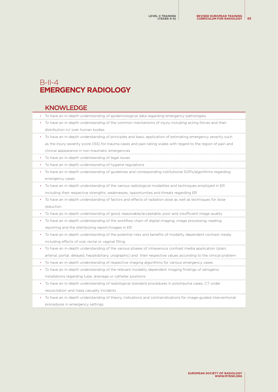# <span id="page-68-0"></span>B-II-4 **EMERGENCY RADIOLOGY**

#### KNOWLEDGE

|   | • To have an in-depth understanding of epidemiological data regarding emergency pathologies                         |
|---|---------------------------------------------------------------------------------------------------------------------|
|   | To have an in-depth understanding of the common mechanisms of injury including acting forces and their              |
|   | distribution in/over human bodies                                                                                   |
| ٠ | To have an in-depth understanding of principles and basic application of estimating emergency severity such         |
|   | as the Injury severity score (ISS) for trauma cases and pain rating scales with regard to the region of pain and    |
|   | clinical appearance in non-traumatic emergencies                                                                    |
|   | • To have an in-depth understanding of legal issues                                                                 |
|   | • To have an in-depth understanding of hygiene regulations                                                          |
| ٠ | To have an in-depth understanding of guidelines and corresponding institutional SOPs/algorithms regarding           |
|   | emergency cases                                                                                                     |
| ٠ | To have an in-depth understanding of the various radiological modalities and techniques employed in ER              |
|   | including their respective strengths, weaknesses, opportunities and threats regarding ER                            |
|   | To have an in-depth understanding of factors and effects of radiation dose as well as techniques for dose           |
|   |                                                                                                                     |
|   | reduction                                                                                                           |
|   | To have an in-depth understanding of good, reasonable/acceptable, poor and insufficient image quality               |
| ٠ | To have an in-depth understanding of the workflow chain of digital imaging, image processing, reading,              |
|   | reporting and the distributing report/images in ER                                                                  |
| ٠ | To have an in-depth understanding of the potential risks and benefits of modality dependent contrast media          |
|   | including effects of oral, rectal or vaginal filling                                                                |
|   | To have an in-depth understanding of the various phases of intravenous contrast media application (plain,           |
|   | arterial, portal, delayed, hepatobiliary, urographic) and their respective values according to the clinical problem |
|   | To have an in-depth understanding of respective imaging algorithms for various emergency cases                      |
| ٠ | To have an in-depth understanding of the relevant modality dependent imaging findings of iatrogenic                 |
|   | installations regarding tube, drainage or catheter positions                                                        |
| ٠ | To have an in-depth understanding of radiological standard procedures in polytrauma cases, CT under                 |
|   | resuscitation and mass casualty incidents                                                                           |

• To have an in-depth understanding of theory, indications and contraindications for image-guided interventional procedures in emergency settings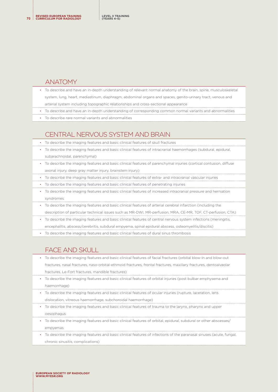#### ANATOMY

- To describe and have an in-depth understanding of relevant normal anatomy of the brain, spine, musculoskeletal system, lung, heart, mediastinum, diaphragm, abdominal organs and spaces, genito-urinary tract, venous and arterial system including topographic relationships and cross-sectional appearance
- To describe and have an in-depth understanding of corresponding common normal variants and abnormalities
- To describe rare normal variants and abnormalities

# CENTRAL NERVOUS SYSTEM AND BRAIN

- To describe the imaging features and basic clinical features of skull fractures
- To describe the imaging features and basic clinical features of intracranial haemorrhages (subdural, epidural, subarachnoidal, parenchymal)
- To describe the imaging features and basic clinical features of parenchymal injuries (cortical contusion, diffuse axonal injury, deep gray matter injury, brainstem injury)
- To describe the imaging features and basic clinical features of extra- and intracranial vascular injuries
- To describe the imaging features and basic clinical features of penetrating injuries
- To describe the imaging features and basic clinical features of increased intracranial pressure and herniation syndromes
- To describe the imaging features and basic clinical features of arterial cerebral infarction (including the description of particular technical issues such as MR-DWI, MR-perfusion, MRA, CE-MR, TOF, CT-perfusion, CTA)
- To describe the imaging features and basic clinical features of central nervous system infections (meningitis, encephalitis, abscess/cerebritis, subdural empyema, spinal epidural abscess, osteomyelitis/discitis)
- To describe the imaging features and basic clinical features of dural sinus thrombosis

## FACE AND SKULL

- To describe the imaging features and basic clinical features of facial fractures (orbital blow-in and blow-out fractures, nasal fractures, naso-orbital-ethmoid fractures, frontal fractures, maxillary fractures, dentoalveolar fractures, Le-Fort fractures, mandible fractures)
- To describe the imaging features and basic clinical features of orbital injuries (post bulbar emphysema and haemorrhage)
- To describe the imaging features and basic clinical features of ocular injuries (rupture, laceration, lens dislocation, vitreous haemorrhage, subchoroidal haemorrhage)
- To describe the imaging features and basic clinical features of trauma to the larynx, pharynx and upper oesophagus
- To describe the imaging features and basic clinical features of orbital, epidural, subdural or other abscesses/ empyemas
- To describe the imaging features and basic clinical features of infections of the paranasal sinuses (acute, fungal, chronic sinusitis, complications)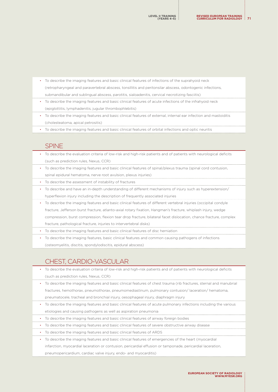- To describe the imaging features and basic clinical features of infections of the suprahyoid neck (retropharyngeal and paravertebral abscess, tonsillitis and peritonsilar abscess, odontogenic infections, submandibular and sublingual abscess, parotitis, sialoadenitis, cervical necrotizing fasciitis) • To describe the imaging features and basic clinical features of acute infections of the infrahyoid neck (epiglottitis, lymphadenitis, jugular thrombophlebitis) • To describe the imaging features and basic clinical features of external, internal ear infection and mastoiditis
	- (cholesteatoma, apical petrositis) • To describe the imaging features and basic clinical features of orbital infections and optic neuritis

#### SPINE

- To describe the evaluation criteria of low-risk and high-risk patients and of patients with neurological deficits (such as prediction rules, Nexus, CCR)
- To describe the imaging features and basic clinical features of spinal/plexus trauma (spinal cord contusion, spinal epidural hematoma, nerve root avulsion, plexus injuries)
- To describe the assessment of instability of fractures
- To describe and have an in-depth understanding of different mechanisms of injury such as hyperextension/ hyperflexion injury including the description of frequently associated injuries
- To describe the imaging features and basic clinical features of different vertebral injuries (occipital condyle fracture, Jefferson burst fracture, atlanto-axial rotary fixation, Hangman's fracture, whiplash injury, wedge compression, burst compression, flexion tear drop fracture, bilateral facet dislocation, chance fracture, complex fracture, pathological fracture, injuries to intervertebral disks)
- To describe the imaging features and basic clinical features of disc herniation
- To describe the imaging features, basic clinical features and common causing pathogens of infections (osteomyelitis, discitis, spondylodiscitis, epidural abscess)

## CHEST, CARDIO-VASCULAR

- To describe the evaluation criteria of low-risk and high-risk patients and of patients with neurological deficits (such as prediction rules, Nexus, CCR)
- To describe the imaging features and basic clinical features of chest trauma (rib fractures, sternal and manubrial fractures, hemothorax, pneumothorax, pneumomediastinum, pulmonary contusion/ laceration/ hematoma, pneumatocele, tracheal and bronchial injury, oesophageal injury, diaphragm injury
- To describe the imaging features and basic clinical features of acute pulmonary infections including the various
- etiologies and causing pathogens as well as aspiration pneumonia
- To describe the imaging features and basic clinical features of airway foreign bodies
- To describe the imaging features and basic clinical features of severe obstructive airway disease
- To describe the imaging features and basic clinical features of ARDS
- To describe the imaging features and basic clinical features of emergencies of the heart (myocardial

infarction, myocardial laceration or contusion, pericardial effusion or tamponade, pericardial laceration,

pneumopericardium, cardiac valve injury, endo- and myocarditis)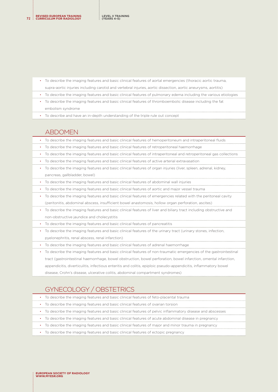- To describe the imaging features and basic clinical features of aortal emergencies (thoracic aortic trauma, supra-aortic injuries including carotid and vertebral injuries, aortic dissection, aortic aneurysms, aortitis)
- To describe the imaging features and basic clinical features of pulmonary edema including the various etiologies
- To describe the imaging features and basic clinical features of thromboembolic disease including the fat embolism syndrome
- To describe and have an in-depth understanding of the triple rule out concept

## ABDOMEN

- To describe the imaging features and basic clinical features of hemoperitoneum and intraperitoneal fluids
- To describe the imaging features and basic clinical features of retroperitoneal haemorrhage
- To describe the imaging features and basic clinical features of intraperitoneal and retroperitoneal gas collections
- To describe the imaging features and basic clinical features of active arterial extravasation
- To describe the imaging features and basic clinical features of organ injuries (liver, spleen, adrenal, kidney, pancreas, gallbladder, bowel)
- To describe the imaging features and basic clinical features of abdominal wall injuries
- To describe the imaging features and basic clinical features of aortic and major vessel trauma
- To describe the imaging features and basic clinical features of emergencies related with the peritoneal cavity (peritonitis, abdominal abscess, insufficient bowel anastomosis, hollow organ perforation, ascites)
- To describe the imaging features and basic clinical features of liver and biliary tract including obstructive and non-obstructive jaundice and cholecystitis
- To describe the imaging features and basic clinical features of pancreatitis
- To describe the imaging features and basic clinical features of the urinary tract (urinary stones, infection, pyelonephritis, renal abscess, renal infarction)
- To describe the imaging features and basic clinical features of adrenal haemorrhage

• To describe the imaging features and basic clinical features of non-traumatic emergencies of the gastrointestinal tract (gastrointestinal haemorrhage, bowel obstruction, bowel perforation, bowel infarction, omental infarction, appendicitis, diverticulitis, infectious enteritis and colitis, epiploic pseudo-appendicitis, inflammatory bowel disease, Crohn's disease, ulcerative colitis, abdominal compartment syndromes)

# GYNECOLOGY / OBSTETRICS

- To describe the imaging features and basic clinical features of feto-placental trauma
- To describe the imaging features and basic clinical features of ovarian torsion
- To describe the imaging features and basic clinical features of pelvic inflammatory disease and abscesses
- To describe the imaging features and basic clinical features of acute abdominal disease in pregnancy
- To describe the imaging features and basic clinical features of major and minor trauma in pregnancy
- To describe the imaging features and basic clinical features of ectopic pregnancy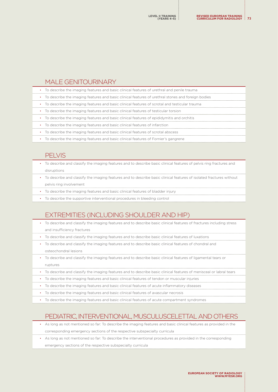#### MALE GENITOURINARY

| • To describe the imaging features and basic clinical features of urethral and penile trauma         |
|------------------------------------------------------------------------------------------------------|
| • To describe the imaging features and basic clinical features of urethral stones and foreign bodies |
| • To describe the imaging features and basic clinical features of scrotal and testicular trauma      |
| • To describe the imaging features and basic clinical features of testicular torsion                 |
| • To describe the imaging features and basic clinical features of epididymitis and orchitis          |
|                                                                                                      |

- To describe the imaging features and basic clinical features of infarction
- To describe the imaging features and basic clinical features of scrotal abscess
- To describe the imaging features and basic clinical features of Fornier's gangrene

#### PELVIS

- To describe and classify the imaging features and to describe basic clinical features of pelvis ring fractures and disruptions
- To describe and classify the imaging features and to describe basic clinical features of isolated fractures without pelvis ring involvement
- To describe the imaging features and basic clinical features of bladder injury
- To describe the supportive interventional procedures in bleeding control

### EXTREMITIES (INCLUDING SHOULDER AND HIP)

- To describe and classify the imaging features and to describe basic clinical features of fractures including stress and insufficiency fractures
- To describe and classify the imaging features and to describe basic clinical features of luxations
- To describe and classify the imaging features and to describe basic clinical features of chondral and osteochondral lesions
- To describe and classify the imaging features and to describe basic clinical features of ligamental tears or ruptures
- To describe and classify the imaging features and to describe basic clinical features of menisceal or labral tears
- To describe the imaging features and basic clinical features of tendon or muscular injuries
- To describe the imaging features and basic clinical features of acute inflammatory diseases
- To describe the imaging features and basic clinical features of avascular necrosis
- To describe the imaging features and basic clinical features of acute compartment syndromes

## PEDIATRIC, INTERVENTIONAL, MUSCULUSCELETTAL AND OTHERS

- As long as not mentioned so far: To describe the imaging features and basic clinical features as provided in the corresponding emergency sections of the respective subspecialty curricula
- As long as not mentioned so far: To describe the interventional procedures as provided in the corresponding emergency sections of the respective subspecialty curricula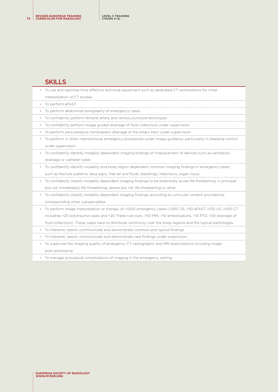#### **SKILLS**

|           | To use and optimise time effective technical equipment such as dedicated CT workstations for initial               |
|-----------|--------------------------------------------------------------------------------------------------------------------|
|           | interpretation of CT studies                                                                                       |
| $\bullet$ | To perform eFAST                                                                                                   |
| $\bullet$ | To perform abdominal sonography of emergency cases                                                                 |
| $\bullet$ | To confidently perform femoral artery and venous puncture techniques                                               |
| $\bullet$ | To confidently perform image guided drainage of fluid collections under supervision                                |
| $\bullet$ | To perform percutaneous transhepatic drainage of the biliary tract under supervision                               |
|           | To perform in other interventional emergency procedures under image guidance, particularly in bleeding control     |
|           | under supervision                                                                                                  |
| $\bullet$ | To confidently identify modality dependent imaging findings of misplacement of devices such as ventilation,        |
|           | drainage or catheter tubes                                                                                         |
| $\bullet$ | To confidently identify modality and body region dependent common imaging findings in emergency cases              |
|           | such as fracture patterns, ileus signs, free air and fluids, bleedings, infarctions, organ injury                  |
| $\bullet$ | To confidently classify modality dependent imaging findings to be potentially acute life-threatening, in principal |
|           | but not immediately life-threatening, severe but not life-threatening or other                                     |
| $\bullet$ | To confidently classify modality dependent imaging findings according to curricular content provided by            |
|           | corresponding other subspecialties                                                                                 |
|           | To perform image interpretation or therapy of >1000 emergency cases (>300 CR, >50 eFAST, >100 US, >300 CT          |
|           | including >20 polytrauma cases and >20 Triple-rule-outs, >50 MRI, >10 embolisations, >10 PTD, >30 drainage of      |
|           | fluid collections). These cases have to distribute commonly over the body regions and the typical pathologies      |
|           | To interpret, report, communicate and demonstrate common and typical findings                                      |
|           | To interpret, report, communicate and demonstrate rare findings under supervision                                  |
| ٠         | To supervise the imaging quality of emergency CT, radiographic and MRI examinations including image                |
|           | post-processing                                                                                                    |
|           |                                                                                                                    |

• To manage procedural complications of imaging in the emergency setting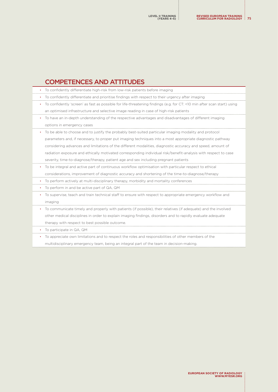| <b>COMPETENCES AND ATTITUDES</b>                                                                                        |
|-------------------------------------------------------------------------------------------------------------------------|
| To confidently differentiate high-risk from low-risk patients before imaging                                            |
| To confidently differentiate and prioritise findings with respect to their urgency after imaging                        |
| To confidently 'screen' as fast as possible for life-threatening findings (e.g. for CT: <10 min after scan start) using |
| an optimised infrastructure and selective image reading in case of high-risk patients                                   |
| To have an in-depth understanding of the respective advantages and disadvantages of different imaging                   |
| options in emergency cases                                                                                              |
| To be able to choose and to justify the probably best-suited particular imaging modality and protocol                   |
| parameters and, if necessary, to proper put imaging techniques into a most appropriate diagnostic pathway               |
| considering advances and limitations of the different modalities, diagnostic accuracy and speed, amount of              |
| radiation exposure and ethically motivated corresponding individual risk/benefit-analysis with respect to case          |
| severity, time-to-diagnose/therapy, patient age and sex including pregnant patients                                     |
| To be integral and active part of continuous workflow optimisation with particular respect to ethical                   |
| considerations, improvement of diagnostic accuracy and shortening of the time-to-diagnose/therapy                       |
| To perform actively at multi-disciplinary therapy, morbidity and mortality conferences                                  |
| To perform in and be active part of QA, QM                                                                              |
| To supervise, teach and train technical staff to ensure with respect to appropriate emergency workflow and              |
| imaging                                                                                                                 |
| To communicate timely and properly with patients (if possible), their relatives (if adequate) and the involved          |
| other medical disciplines in order to explain imaging findings, disorders and to rapidly evaluate adequate              |
| therapy with respect to best possible outcome.                                                                          |
| To participate in QA, QM                                                                                                |

• To appreciate own limitations and to respect the roles and responsibilities of other members of the multidisciplinary emergency team, being an integral part of the team in decision-making.

j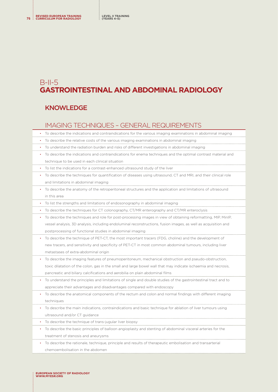# B-II-5 **GASTROINTESTINAL AND ABDOMINAL RADIOLOGY**

### KNOWLEDGE

### IMAGING TECHNIQUES – GENERAL REQUIREMENTS

- To describe the indications and contraindications for the various imaging examinations in abdominal imaging
- To describe the relative costs of the various imaging examinations in abdominal imaging
- To understand the radiation burden and risks of different investigations in abdominal imaging
- To describe the indications and contraindications for enema techniques and the optimal contrast material and technique to be used in each clinical situation
- To list the indications for a contrast-enhanced ultrasound study of the liver
- To describe the techniques for quantification of diseases using ultrasound, CT and MRI, and their clinical role and limitations in abdominal imaging
- To describe the anatomy of the retroperitoneal structures and the application and limitations of ultrasound in this area
- To list the strengths and limitations of endosonography in abdominal imaging
- To describe the techniques for CT colonography, CT/MR enterography and CT/MR enteroclysis
- To describe the techniques and role for post-processing images in view of obtaining reformatting, MIP, MinIP, vessel analysis, 3D analysis, including endoluminal reconstructions, fusion images, as well as acquisition and postprocessing of functional studies in abdominal imaging
- To describe the technique of PET-CT, the most important tracers (FDG, choline) and the development of new tracers, and sensitivity and specificity of PET-CT in most common abdominal tumours, including liver metastases of extra-abdominal origin
- To describe the imaging features of pneumoperitoneum, mechanical obstruction and pseudo-obstruction, toxic dilatation of the colon, gas in the small and large bowel wall that may indicate ischaemia and necrosis, pancreatic and biliary calcifications and aerobilia on plain abdominal films
- To understand the principles and limitations of single and double studies of the gastrointestinal tract and to appreciate their advantages and disadvantages compared with endoscopy
- To describe the anatomical components of the rectum and colon and normal findings with different imaging techniques
- To describe the main indications, contraindications and basic technique for ablation of liver tumours using ultrasound and/or CT guidance
- To describe the technique of trans-jugular liver biopsy
- To describe the basic principles of balloon angioplasty and stenting of abdominal visceral arteries for the treatment of stenosis and aneurysms
- To describe the rationale, technique, principle and results of therapeutic embolisation and transarterial chemoembolisation in the abdomen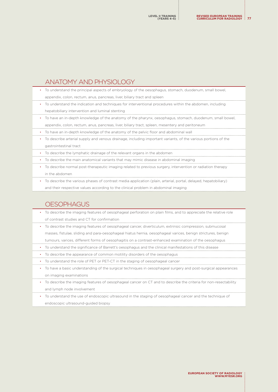### ANATOMY AND PHYSIOLOGY

- To understand the principal aspects of embryology of the oesophagus, stomach, duodenum, small bowel, appendix, colon, rectum, anus, pancreas, liver, biliary tract and spleen
- To understand the indication and techniques for interventional procedures within the abdomen, including hepatobiliary intervention and luminal stenting
- To have an in-depth knowledge of the anatomy of the pharynx, oesophagus, stomach, duodenum, small bowel, appendix, colon, rectum, anus, pancreas, liver, biliary tract, spleen, mesentery and peritoneum
- To have an in-depth knowledge of the anatomy of the pelvic floor and abdominal wall
- To describe arterial supply and venous drainage, including important variants, of the various portions of the gastrointestinal tract
- To describe the lymphatic drainage of the relevant organs in the abdomen
- To describe the main anatomical variants that may mimic disease in abdominal imaging
- To describe normal post-therapeutic imaging related to previous surgery, intervention or radiation therapy in the abdomen
- To describe the various phases of contrast media application (plain, arterial, portal, delayed, hepatobiliary)

and their respective values according to the clinical problem in abdominal imaging

#### **OESOPHAGUS**

- To describe the imaging features of oesophageal perforation on plain films, and to appreciate the relative role of contrast studies and CT for confirmation
- To describe the imaging features of oesophageal cancer, diverticulum, extrinsic compression, submucosal masses, fistulae, sliding and para-oesophageal hiatus hernia, oesophageal varices, benign strictures, benign tumours, varices, different forms of oesophagitis on a contrast-enhanced examination of the oesophagus
- To understand the significance of Barrett's oesophagus and the clinical manifestations of this disease
- To describe the appearance of common motility disorders of the oesophagus
- To understand the role of PET or PET-CT in the staging of oesophageal cancer
- To have a basic understanding of the surgical techniques in oesophageal surgery and post-surgical appearances on imaging examinations
- To describe the imaging features of oesophageal cancer on CT and to describe the criteria for non-resectability and lymph node involvement
- To understand the use of endoscopic ultrasound in the staging of oesophageal cancer and the technique of endoscopic ultrasound-guided biopsy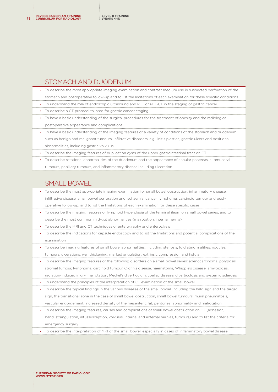#### STOMACH AND DUODENUM

- To describe the most appropriate imaging examination and contrast medium use in suspected perforation of the stomach and postoperative follow-up and to list the limitations of each examination for these specific conditions
- To understand the role of endoscopic ultrasound and PET or PET-CT in the staging of gastric cancer
- To describe a CT protocol tailored for gastric cancer staging
- To have a basic understanding of the surgical procedures for the treatment of obesity and the radiological postoperative appearance and complications
- To have a basic understanding of the imaging features of a variety of conditions of the stomach and duodenum such as benign and malignant tumours, infiltrative disorders, e.g. linitis plastica, gastric ulcers and positional abnormalities, including gastric volvulus
- To describe the imaging features of duplication cysts of the upper gastrointestinal tract on CT
- To describe rotational abnormalities of the duodenum and the appearance of annular pancreas, submucosal tumours, papillary tumours, and inflammatory disease including ulceration

### SMALL BOWEL

- To describe the most appropriate imaging examination for small bowel obstruction, inflammatory disease, infiltrative disease, small bowel perforation and ischaemia, cancer, lymphoma, carcinoid tumour and postoperative follow-up; and to list the limitations of each examination for these specific cases
- To describe the imaging features of lymphoid hyperplasia of the terminal ileum on small bowel series; and to
- describe the most common mid-gut abnormalities (malrotation, internal hernia)
- To describe the MRI and CT techniques of enterography and enteroclysis
- To describe the indications for capsule endoscopy and to list the limitations and potential complications of the examination
- To describe imaging features of small bowel abnormalities, including stenosis, fold abnormalities, nodules, tumours, ulcerations, wall thickening, marked angulation, extrinsic compression and fistula
- To describe the imaging features of the following disorders on a small bowel series: adenocarcinoma, polyposis, stromal tumour, lymphoma, carcinoid tumour, Crohn's disease, haematoma, Whipple's disease, amyloidosis, radiation-induced injury, malrotation, Meckel's diverticulum, coeliac disease, diverticulosis and systemic sclerosis
- To understand the principles of the interpretation of CT examination of the small bowel
- To describe the typical findings in the various diseases of the small bowel, including the halo sign and the target sign, the transitional zone in the case of small bowel obstruction, small bowel tumours, mural pneumatosis, vascular engorgement, increased density of the mesenteric fat, peritoneal abnormality and malrotation
- To describe the imaging features, causes and complications of small bowel obstruction on CT (adhesion, band, strangulation, intussusception, volvulus, internal and external hernias, tumours) and to list the criteria for emergency surgery
- To describe the interpretation of MRI of the small bowel, especially in cases of inflammatory bowel disease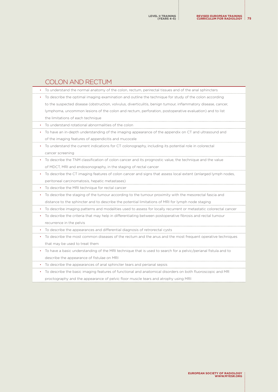# COLON AND RECTUM

|   | To understand the normal anatomy of the colon, rectum, perirectal tissues and of the anal sphincters             |
|---|------------------------------------------------------------------------------------------------------------------|
|   | To describe the optimal imaging examination and outline the technique for study of the colon according           |
|   | to the suspected disease (obstruction, volvulus, diverticulitis, benign tumour, inflammatory disease, cancer,    |
|   | lymphoma, uncommon lesions of the colon and rectum, perforation, postoperative evaluation) and to list           |
|   | the limitations of each technique                                                                                |
|   | To understand rotational abnormalities of the colon                                                              |
|   | To have an in-depth understanding of the imaging appearance of the appendix on CT and ultrasound and             |
|   | of the imaging features of appendicitis and mucocele                                                             |
|   | To understand the current indications for CT colonography, including its potential role in colorectal            |
|   | cancer screening                                                                                                 |
|   | To describe the TNM classification of colon cancer and its prognostic value, the technique and the value         |
|   | of MDCT, MRI and endosonography, in the staging of rectal cancer                                                 |
|   | To describe the CT imaging features of colon cancer and signs that assess local extent (enlarged lymph nodes,    |
|   | peritoneal carcinomatosis, hepatic metastases)                                                                   |
|   | To describe the MRI technique for rectal cancer                                                                  |
| ۰ | To describe the staging of the tumour according to the tumour proximity with the mesorectal fascia and           |
|   | distance to the sphincter and to describe the potential limitations of MRI for lymph node staging                |
| ٠ | To describe imaging patterns and modalities used to assess for locally recurrent or metastatic colorectal cancer |
| ٠ | To describe the criteria that may help in differentiating between postoperative fibrosis and rectal tumour       |
|   | recurrence in the pelvis                                                                                         |
|   | To describe the appearances and differential diagnosis of retrorectal cysts                                      |
|   | To describe the most common diseases of the rectum and the anus and the most frequent operative techniques       |
|   | that may be used to treat them                                                                                   |
|   | To have a basic understanding of the MRI technique that is used to search for a pelvic/perianal fistula and to   |
|   | describe the appearance of fistulae on MRI                                                                       |

• To describe the appearances of anal sphincter tears and perianal sepsis

• To describe the basic imaging features of functional and anatomical disorders on both fluoroscopic and MR

proctography and the appearance of pelvic floor muscle tears and atrophy using MRI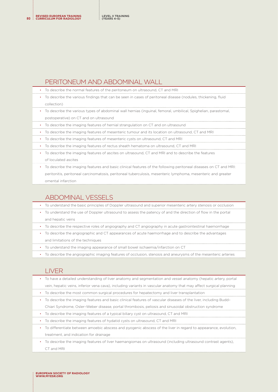#### PERITONEUM AND ABDOMINAL WALL

- To describe the normal features of the peritoneum on ultrasound, CT and MRI
- To describe the various findings that can be seen in cases of peritoneal disease (nodules, thickening, fluid collection)
- To describe the various types of abdominal wall hernias (inguinal, femoral, umbilical, Spighelian, parastomal, postoperative) on CT and on ultrasound
- To describe the imaging features of hernial strangulation on CT and on ultrasound
- To describe the imaging features of mesenteric tumour and its location on ultrasound, CT and MRI
- To describe the imaging features of mesenteric cysts on ultrasound, CT and MRI
- To describe the imaging features of rectus sheath hematoma on ultrasound, CT and MRI
- To describe the imaging features of ascites on ultrasound, CT and MRI and to describe the features of loculated ascites
- To describe the imaging features and basic clinical features of the following peritoneal diseases on CT and MRI: peritonitis, peritoneal carcinomatosis, peritoneal tuberculosis, mesenteric lymphoma, mesenteric and greater omental infarction

#### ABDOMINAL VESSELS

- To understand the basic principles of Doppler ultrasound and superior mesenteric artery stenosis or occlusion
- To understand the use of Doppler ultrasound to assess the patency of and the direction of flow in the portal and hepatic veins
- To describe the respective roles of angiography and CT angiography in acute gastrointestinal haemorrhage
- To describe the angiographic and CT appearances of acute haemorrhage and to describe the advantages and limitations of the techniques
- To understand the imaging appearance of small bowel ischaemia/infarction on CT
- To describe the angiographic imaging features of occlusion, stenosis and aneurysms of the mesenteric arteries

### LIVER

- To have a detailed understanding of liver anatomy and segmentation and vessel anatomy (hepatic artery, portal vein, hepatic veins, inferior vena cava), including variants in vascular anatomy that may affect surgical planning
- To describe the most common surgical procedures for hepatectomy and liver transplantation
- To describe the imaging features and basic clinical features of vascular diseases of the liver, including Budd–
- Chiari Syndrome, Osler–Weber disease, portal thrombosis, peliosis and sinusoidal obstruction syndrome
- To describe the imaging features of a typical biliary cyst on ultrasound, CT and MRI
- To describe the imaging features of hydatid cysts on ultrasound, CT and MRI
- To differentiate between amoebic abscess and pyogenic abscess of the liver in regard to appearance, evolution, treatment, and indication for drainage
- To describe the imaging features of liver haemangiomas on ultrasound (including ultrasound contrast agents), CT and MRI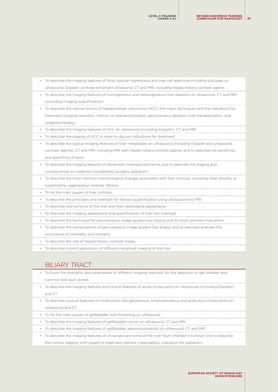• To describe the imaging features of homogeneous and heterogeneous liver steatosis on ultrasound, CT and MRI (including imaging quantification) • To describe the natural history of hepatocellular carcinoma (HCC), the major techniques and the indications for treatment (surgical resection, chemo- or radioembolisation, percutaneous ablation, liver transplantation, oral targeted therapy) • To describe the imaging features of HCC on ultrasound (including Doppler), CT and MRI • To describe the staging of HCC in order to discuss indications for treatment • To describe the typical imaging features of liver metastases on ultrasound (including Doppler and ultrasound contrast agents), CT and MRI, including MRI with hepato-biliary contrast agents, and to describe the sensitivity and specificity of each • To describe the imaging features of peripheral cholangiocarcinoma, and to describe the staging and consequences on treatment possibilities (surgery, palliation) • To describe the most common morphological changes associated with liver cirrhosis, including lobar atrophy or hypertrophy, regeneration nodules, fibrosis • To list the main causes of liver cirrhosis • To describe the principles and methods for fibrosis quantification using ultrasound and MRI • To describe rare tumours of the liver and their radiological appearance

• To describe the imaging features of focal nodular hyperplasia and liver cell adenoma including subtypes on ultrasound, Doppler, contrast-enhanced ultrasound, CT and MRI, including hepato-biliary contrast agents

- To describe the imaging appearance and quantification of liver iron overload
- To describe the technique for percutaneous image-guided liver biopsy and its most common indications
- To describe the complications of percutaneous image-guided liver biopsy and to precisely evaluate the occurrence of morbidity and mortality
- To describe the role of hepato-biliary contrast media
- To describe current application of diffusion-weighted imaging of the liver

### BILIARY TRACT

- To know the strengths and weaknesses of different imaging methods for the detection of gall bladder and common bile duct stones
- To describe the imaging features and clinical features of acute cholecystitis on ultrasound (including Doppler) and CT
- To describe unusual features of cholecystitis like gangrenous, emphysematous and acalculous cholecystitis on ultrasound and CT
- To list the main causes of gallbladder wall thickening on ultrasound
- To describe the imaging features of gallbladder cancer on ultrasound, CT and MRI
- To describe the imaging features of gallbladder adenomyomatosis on ultrasound, CT and MRI
- To describe the imaging features of cholangiocarcinoma of the liver hilum (Klatskin's tumour) and to describe
- the tumour staging, with regard to treatment options (resectability, indication for palliation)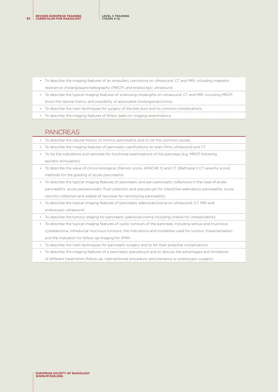- To describe the imaging features of an ampullary carcinoma on ultrasound, CT and MRI, including magnetic resonance cholangiopancreatography (MRCP) and endoscopic ultrasound
- To describe the typical imaging features of sclerosing cholangitis on ultrasound, CT and MRI, including MRCP; know the natural history and possibility of associated cholangiocarcinoma
- To describe the main techniques for surgery of the bile duct and its common complications
- To describe the imaging features of biliary leaks on imaging examinations

#### **PANCREAS**

|  | • To describe the natural history of chronic pancreatitis and to list the common causes |  |  |  |
|--|-----------------------------------------------------------------------------------------|--|--|--|
|--|-----------------------------------------------------------------------------------------|--|--|--|

- To describe the imaging features of pancreatic calcifications on plain films, ultrasound and CT
- To list the indications and rationale for functional examinations of the pancreas (e.g. MRCP following secretin stimulation)
- To describe the value of clinico-biological (Ranson score, APACHE II) and CT (Balthazar's CT severity score) methods for the grading of acute pancreatitis
- To describe the typical imaging features of pancreatic and peri-pancreatic collections in the case of acute pancreatitis: acute peripancreatic fluid collection and pseudocyst for interstitial edematous pancreatitis, acute necrotic collection and walled-of necroses for necrotizing pancreatitis
- To describe the typical imaging features of pancreatic adenocarcinoma on ultrasound, CT, MRI and endoscopic ultrasound
- To describe the tumour staging for pancreatic adenocarcinoma including criteria for unresectability
- To describe the typical imaging features of cystic tumours of the pancreas, including serous and mucinous cystadenoma, intraductal mucinous tumours; the indications and modalities used for tumour characterisation and the indication for follow-up imaging for IPMN
- To describe the main techniques for pancreatic surgery and to list their potential complications
- To describe the imaging features of a pancreatic pseudocyst and to discuss the advantages and limitations
- of different treatments (follow-up, interventional procedure, percutaneous or endoscopic surgery)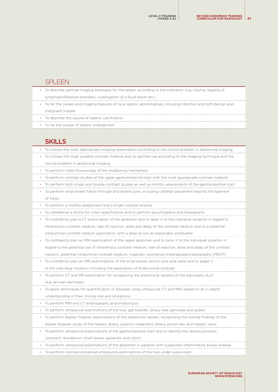#### SPLEEN

|  | • To describe optimal imaging strategies for the spleen according to the indication (e.g. trauma, staging of      |
|--|-------------------------------------------------------------------------------------------------------------------|
|  | (lymphoproliferative disorders, investigation of a focal lesion etc.)                                             |
|  | • To list the causes and imaging features of focal splenic abnormalities, including infection and both benign and |
|  | malignant masses                                                                                                  |
|  | • To describe the causes of splenic calcification                                                                 |
|  | • To list the causes of splenic enlargement                                                                       |
|  |                                                                                                                   |

## SKILLS

|           | UNELU                                                                                                              |
|-----------|--------------------------------------------------------------------------------------------------------------------|
|           | To choose the most appropriate imaging examination according to the clinical problem in abdominal imaging          |
| ٠         | To choose the most suitable contrast material and its optimal use according to the imaging technique and the       |
|           | clinical problem in abdominal imaging                                                                              |
|           | To perform video-fluoroscopy of the swallowing mechanism                                                           |
|           | • To perform contrast studies of the upper gastrointestinal tract with the most appropriate contrast material      |
|           | • To perform both single and double contrast studies as well as motility assessments of the gastrointestinal tract |
| $\bullet$ | To perform small bowel follow-through and enteroclysis, including catheter placement beyond the ligament           |
|           | of Treitz                                                                                                          |
| ٠         | To perform a motility assessment and a single contrast enema                                                       |
| $\bullet$ | To catheterise a stoma for colon opacification and to perform pouchograms and loopograms                           |
|           | • To confidently plan a CT examination of the abdomen and to tailor it to the individual situation in regard to    |
|           | intravenous contrast medium, rate of injection, dose and delay of the contrast medium and to a potential           |
|           | intraluminal contrast medium application, with a dose as low as reasonably achievable                              |
|           | To confidently plan an MRI examination of the upper abdomen and to tailor it to the individual situation in        |
|           | regard to the potential use of intravenous contrast medium, rate of injection, dose and delay of the contrast      |
|           | medium, potential intraluminal contrast medium, magnetic resonance cholangiopancreatography (MRCP)                 |
| $\bullet$ | To confidently plan an MRI examinations of the small bowel, rectum and anal canal and to adapt it                  |
|           | to the individual situation, including the application of endoluminal contrast                                     |
| ٠         | To perform CT and MR examination for recognising the anatomical variants of the pancreatic duct                    |
|           | (e.g. annular pancreas)                                                                                            |
|           | • To apply techniques for quantification of diseases using ultrasound, CT and MRI, based on an in-depth            |
|           | understanding of their clinical role and limitations.                                                              |
|           | To perform MRI and CT enterography and enteroclysis                                                                |
|           | To perform ultrasound examinations of the liver, gall bladder, biliary tree, pancreas and spleen                   |

• To perform duplex Doppler examinations of the abdominal vessels; recognising the normal findings of the duplex Doppler study of the hepatic artery, superior mesenteric artery, portal vein and hepatic veins

• To perform ultrasound examinations of the gastrointestinal tract and to identify the various portions (stomach, duodenum, small bowel, appendix and colon)

• To perform ultrasound examinations of the abdomen in patients with suspected inflammatory bowel disease

• To perform contrast-enhanced ultrasound examinations of the liver under supervision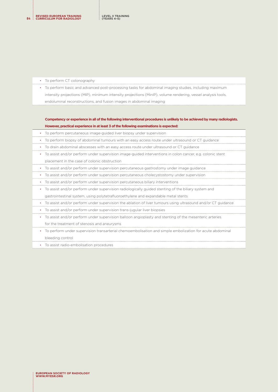**REVISED EUROPEAN TRAINING <sup>84</sup> CURRICULUM FOR RADIOLOGY**

| • To perform CT colonography                                                                                 |
|--------------------------------------------------------------------------------------------------------------|
| • To perform basic and advanced post-processing tasks for abdominal imaging studies, including maximum       |
| intensity projections (MIP), minimum intensity projections (MinIP), volume rendering, vessel analysis tools, |
| endoluminal reconstructions, and fusion images in abdominal imaging                                          |

**Competency or experience in all of the following interventional procedures is unlikely to be achieved by many radiologists. However, practical experience in at least 3 of the following examinations is expected:** 

| ٠ | To perform percutaneous image-quided liver biopsy under supervision                                          |
|---|--------------------------------------------------------------------------------------------------------------|
|   | To perform biopsy of abdominal tumours with an easy access route under ultrasound or CT guidance             |
| ٠ | To drain abdominal abscesses with an easy access route under ultrasound or CT guidance                       |
|   | To assist and/or perform under supervision image-guided interventions in colon cancer, e.g. colonic stent    |
|   | placement in the case of colonic obstruction                                                                 |
|   | To assist and/or perform under supervision percutaneous gastrostomy under image guidance                     |
| ٠ | To assist and/or perform under supervision percutaneous cholecystostomy under supervision                    |
| ٠ | To assist and/or perform under supervision percutaneous biliary interventions                                |
| ٠ | To assist and/or perform under supervision radiologically guided stenting of the biliary system and          |
|   | gastrointestinal system, using polytetrafluoroethylene and expandable metal stents                           |
|   | To assist and/or perform under supervision the ablation of liver tumours using ultrasound and/or CT quidance |
| ٠ | To assist and/or perform under supervision trans-jugular liver biopsies                                      |
| ٠ | To assist and/or perform under supervision balloon angioplasty and stenting of the mesenteric arteries       |
|   | for the treatment of stenosis and aneurysms                                                                  |
|   | To perform under supervision transarterial chemoembolisation and simple embolization for acute abdominal     |

bleeding control

• To assist radio-embolisation procedures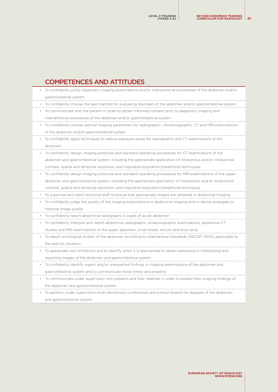## COMPETENCES AND ATTITUDES

| To confidently justify diagnostic imaging examinations and/or interventional procedures of the abdomen and/or    |
|------------------------------------------------------------------------------------------------------------------|
| gastrointestinal system                                                                                          |
| To confidently choose the best method for evaluating disorders of the abdomen and/or gastrointestinal system     |
| To communicate with the patient in order to obtain informed consent prior to diagnostic imaging and              |
| interventional procedures of the abdomen and/or gastrointestinal system                                          |
| To confidently choose optimal imaging parameters for radiographic, ultrasonographic, CT and MRI examinations     |
| of the abdomen and/or gastrointestinal system                                                                    |
| To confidently apply techniques to reduce exposure doses for radiographic and CT examinations of the             |
| abdomen                                                                                                          |
| To confidently design imaging protocols and standard operating procedures for CT examinations of the             |
| abdomen and gastrointestinal system, including the appropriate application of intravenous and/or intraluminal    |
| contrast, spatial and temporal resolution, and inspiration/expiration/breathhold techniques                      |
| To confidently design imaging protocols and standard operating procedures for MRI examinations of the upper      |
| abdomen and gastrointestinal system, including the appropriate application of intravenous and or intraluminal    |
| contrast, spatial and temporal resolution, and inspiration/expiration/breathhold techniques                      |
| To supervise and teach technical staff to ensure that appropriate images are obtained in abdominal imaging       |
| To confidently judge the quality of the imaging examinations in abdominal imaging and to devise strategies to    |
| improve image quality                                                                                            |
| To confidently report abdominal radiographs in cases of acute abdomen                                            |
| To confidently interpret and report abdominal radiographs, ultrasonographic examinations, abdominal CT           |
| studies and MRI examinations of the upper abdomen, small bowel, rectum and anal canal                            |
| To report oncological studies of the abdomen according to international standards (RECIST, WHO) applicable to    |
| the specific situation                                                                                           |
| To appreciate own limitations and to identify when it is appropriate to obtain assistance in interpreting and    |
| reporting images of the abdomen and gastrointestinal system                                                      |
| To confidently identify urgent and/or unexpected findings in imaging examinations of the abdomen and             |
| gastrointestinal system and to communicate these timely and properly                                             |
| To communicate under supervision with patients and their relatives in order to explain their imaging findings of |

- the abdomen and gastrointestinal system
- To perform under supervision multi-disciplinary conferences and tumour boards for diseases of the abdomen and gastrointestinal system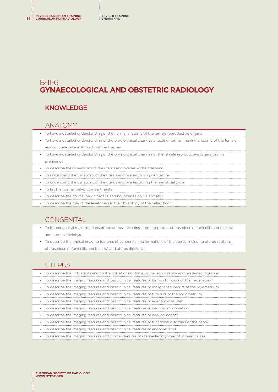## B-II-6 **GYNAECOLOGICAL AND OBSTETRIC RADIOLOGY**

## KNOWLEDGE

#### ANATOMY

- To have a detailed understanding of the normal anatomy of the female reproductive organs
- To have a detailed understanding of the physiological changes affecting normal imaging anatomy of the female reproductive organs throughout the lifespan
- To have a detailed understanding of the physiological changes of the female reproductive organs during pregnancy
- To describe the dimensions of the uterus and ovaries with ultrasound
- To understand the variations of the uterus and ovaries during genital life
- To understand the variations of the uterus and ovaries during the menstrual cycle
- To list the normal pelvic compartments
- To describe the normal pelvic organs and boundaries on CT and MRI
- To describe the role of the levator ani in the physiology of the pelvic floor

### **CONGENITAL**

- To list congenital malformations of the uterus, including uterus septatus, uterus bicornis (unicollis and bicollis) and uterus didelphys
- To describe the typical imaging features of congenital malformations of the uterus, including uterus septatus, uterus bicornis (unicollis and bicollis) and uterus didelphys

### UTERUS

| To describe the indications and contraindications of transvaginal sonography and hysterosonography            |
|---------------------------------------------------------------------------------------------------------------|
| To describe the imaging features and basic clinical features of benign tumours of the myometrium<br>$\bullet$ |
| To describe the imaging features and basic clinical features of malignant tumours of the myometrium           |
| To describe the imaging features and basic clinical features of tumours of the endometrium                    |
| To describe the imaging features and basic clinical features of adenomyosis uteri                             |
| To describe the imaging features and basic clinical features of cervical inflammation<br>$\bullet$            |
| • To describe the imaging features and basic clinical features of cervical cancer                             |
| • To describe the imaging features and basic clinical features of functional disorders of the cervix          |
| • To describe the imaging features and basic clinical features of endometriosis                               |
| To describe the imaging features and clinical features of uterine leiomyomas of different sizes               |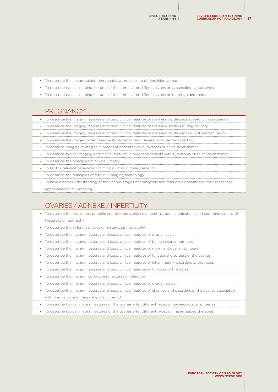- To describe the image-guided therapeutic approaches to uterine leiomyomas
- To describe typical imaging features of the uterus after different types of gynaecological surgeries
- To describe typical imaging features of the uterus after different types of image-guided therapies

#### **PREGNANCY**

- To describe the imaging features and basic clinical features of uterine disorders associated with pregnancy
- To describe the imaging features and basic clinical features of uterine disorders during delivery
- To describe the imaging features and basic clinical features of uterine disorders in the post-partum period
- To describe the image-guided therapeutic approaches in severe post-partum bleeding
- To describe imaging strategies in pregnant patients with symptoms of an acute abdomen
- To describe typical imaging and clinical features in pregnant patients with symptoms of an acute abdomen
- To describe the principles of MR pelvimetry
- To list the relevant parameters of MR pelvimetric measurements
- To describe the principles of fetal MR imaging technology
- To have a basic understanding of the various stages of embryonic and fetal development and their respective appearance on MR imaging

# OVARIES / ADNEXE / INFERTILITY

| To describe the procedure, possible complications, choice of contrast agent, indications and contraindications of  |
|--------------------------------------------------------------------------------------------------------------------|
| hysterosalpingography                                                                                              |
| To describe the different phases of hysterosalpingography                                                          |
| To describe the imaging features and basic clinical features of ovarian cysts                                      |
| To describe the imaging features and basic clinical features of benign ovarian tumours                             |
| To describe the imaging features and basic clinical features of malignant ovarian tumours                          |
| To describe the imaging features and basic clinical features of functional disorders of the ovaries                |
| To describe the imaging features and basic clinical features of inflammatory disorders of the tubes                |
| To describe the imaging features and basic clinical features of tumours of the tubes                               |
| To describe the imaging work-up and features of infertility                                                        |
| To describe the imaging features and basic clinical features of ovarian torsion                                    |
| To describe the imaging features and basic clinical features of changes and disorders of the ovaries associated    |
| with pregnancy and the post-partum period                                                                          |
| To describe typical imaging features of the ovaries after different types of gynaecological surgeries<br>$\bullet$ |
| To describe typical imaging features of the ovaries after different types of image-guided therapies                |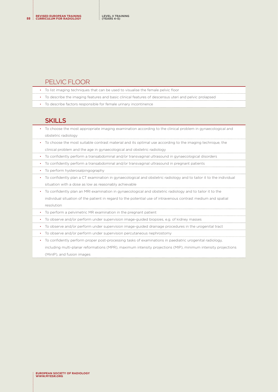#### PELVIC FLOOR

- To list imaging techniques that can be used to visualise the female pelvic floor
- To describe the imaging features and basic clinical features of descensus uteri and pelvic prolapsed
- To describe factors responsible for female urinary incontinence

#### **SKILLS**

- To choose the most appropriate imaging examination according to the clinical problem in gynaecological and obstetric radiology
- To choose the most suitable contrast material and its optimal use according to the imaging technique, the clinical problem and the age in gynaecological and obstetric radiology
- To confidently perform a transabdominal and/or transvaginal ultrasound in gynaecological disorders
- To confidently perform a transabdominal and/or transvaginal ultrasound in pregnant patients
- To perform hysterosalpingography
- To confidently plan a CT examination in gynaecological and obstetric radiology and to tailor it to the individual situation with a dose as low as reasonably achievable
- To confidently plan an MRI examination in gynaecological and obstetric radiology and to tailor it to the individual situation of the patient in regard to the potential use of intravenous contrast medium and spatial resolution
- To perform a pelvimetric MR examination in the pregnant patient
- To observe and/or perform under supervision image-guided biopsies, e.g. of kidney masses
- To observe and/or perform under supervision image-guided drainage procedures in the urogenital tract
- To observe and/or perform under supervision percutaneous nephrostomy
- To confidently perform proper post-processing tasks of examinations in paediatric urogenital radiology, including multi-planar reformations (MPR), maximum intensity projections (MIP), minimum intensity projections (MinIP), and fusion images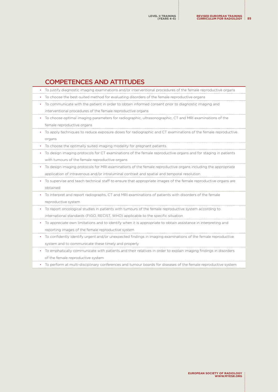# COMPETENCES AND ATTITUDES

|           | To justify diagnostic imaging examinations and/or interventional procedures of the female reproductive organs   |
|-----------|-----------------------------------------------------------------------------------------------------------------|
| ٠         | To choose the best-suited method for evaluating disorders of the female reproductive organs                     |
| ٠         | To communicate with the patient in order to obtain informed consent prior to diagnostic imaging and             |
|           | interventional procedures of the female reproductive organs                                                     |
| ٠         | To choose optimal imaging parameters for radiographic, ultrasonographic, CT and MRI examinations of the         |
|           | female reproductive organs                                                                                      |
| ٠         | To apply techniques to reduce exposure doses for radiographic and CT examinations of the female reproductive    |
|           | organs                                                                                                          |
|           | To choose the optimally suited imaging modality for pregnant patients                                           |
| ٠         | To design imaging protocols for CT examinations of the female reproductive organs and for staging in patients   |
|           | with tumours of the female reproductive organs                                                                  |
| $\bullet$ | To design imaging protocols for MRI examinations of the female reproductive organs including the appropriate    |
|           | application of intravenous and/or intraluminal contrast and spatial and temporal resolution                     |
|           | To supervise and teach technical staff to ensure that appropriate images of the female reproductive organs are  |
|           | obtained                                                                                                        |
| ٠         | To interpret and report radiographs, CT and MRI examinations of patients with disorders of the female           |
|           | reproductive system                                                                                             |
| ٠         | To report oncological studies in patients with tumours of the female reproductive system according to           |
|           | international standards (FIGO, RECIST, WHO) applicable to the specific situation                                |
| $\bullet$ | To appreciate own limitations and to identify when it is appropriate to obtain assistance in interpreting and   |
|           | reporting images of the female reproductive system                                                              |
| ٠         | To confidently identify urgent and/or unexpected findings in imaging examinations of the female reproductive    |
|           | system and to communicate these timely and properly                                                             |
| $\bullet$ | To emphatically communicate with patients and their relatives in order to explain imaging findings in disorders |
|           | of the female reproductive system                                                                               |
|           | To perform at multi-disciplinary conferences and tumour boards for diseases of the female reproductive system   |

**EUROPEAN SOCIETY OF RADIOLOGY [WWW.MYESR.ORG](http://www.myESR.org)**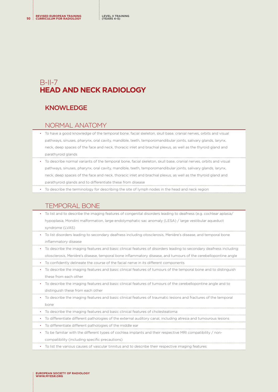# $B$ -II-7 **HEAD AND NECK RADIOLOGY**

### KNOWLEDGE

#### NORMAL ANATOMY

- To have a good knowledge of the temporal bone, facial skeleton, skull base, cranial nerves, orbits and visual pathways, sinuses, pharynx, oral cavity, mandible, teeth, temporomandibular joints, salivary glands, larynx, neck, deep spaces of the face and neck, thoracic inlet and brachial plexus, as well as the thyroid gland and parathyroid glands
- To describe normal variants of the temporal bone, facial skeleton, skull base, cranial nerves, orbits and visual pathways, sinuses, pharynx, oral cavity, mandible, teeth, temporomandibular joints, salivary glands, larynx, neck, deep spaces of the face and neck, thoracic inlet and brachial plexus, as well as the thyroid gland and parathyroid glands and to differentiate these from disease
- To describe the terminology for describing the site of lymph nodes in the head and neck region

## TEMPORAL BONE

- To list and to describe the imaging features of congenital disorders leading to deafness (e.g. cochlear aplasia/ hypoplasia, Mondini malformation, large endolymphatic sac anomaly (LESA) / large vestibular aqueduct syndrome (LVAS)
- To list disorders leading to secondary deafness including otosclerosis, Menière's disease, and temporal bone inflammatory disease
- To describe the imaging features and basic clinical features of disorders leading to secondary deafness including otosclerosis, Menière's disease, temporal bone inflammatory disease, and tumours of the cerebellopontine angle
- To confidently delineate the course of the facial nerve in its different components
- To describe the imaging features and basic clinical features of tumours of the temporal bone and to distinguish these from each other
- To describe the imaging features and basic clinical features of tumours of the cerebellopontine angle and to distinguish these from each other
- To describe the imaging features and basic clinical features of traumatic lesions and fractures of the temporal bone
- To describe the imaging features and basic clinical features of cholesteatoma
- To differentiate different pathologies of the external auditory canal, including atresia and tumourous lesions
- To differentiate different pathologies of the middle ear
- To be familiar with the different types of cochlea implants and their respective MRI compatibility / non
	- compatibility (including specific precautions)
- To list the various causes of vascular tinnitus and to describe their respective imaging features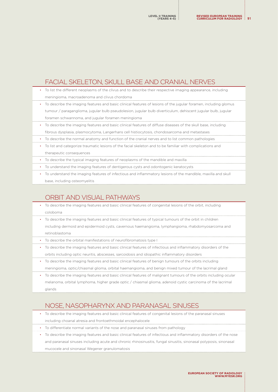## FACIAL SKELETON, SKULL BASE AND CRANIAL NERVES

- To list the different neoplasms of the clivus and to describe their respective imaging appearance, including meningioma, macroadenoma and clivus chordoma
- To describe the imaging features and basic clinical features of lesions of the jugular foramen, including glomus tumour / paraganglioma, jugular bulb pseudolesion, jugular bulb diverticulum, dehiscent jugular bulb, jugular foramen schwannoma, and jugular foramen meningioma
- To describe the imaging features and basic clinical features of diffuse diseases of the skull base, including fibrous dysplasia, plasmocytoma, Langerhans cell histiocytosis, chondosarcoma and metastases
- To describe the normal anatomy and function of the cranial nerves and to list common pathologies
- To list and categorize traumatic lesions of the facial skeleton and to be familiar with complications and therapeutic consequences
- To describe the typical imaging features of neoplasms of the mandible and maxilla
- To understand the imaging features of dentigerous cysts and odontogenic keratocysts
- To understand the imaging features of infectious and inflammatory lesions of the mandible, maxilla and skull base, including osteomyelitis

### ORBIT AND VISUAL PATHWAYS

- To describe the imaging features and basic clinical features of congenital lesions of the orbit, including coloboma
- To describe the imaging features and basic clinical features of typical tumours of the orbit in children
- including dermoid and epidermoid cysts, cavernous haemangioma, lymphangioma, rhabdomyosarcoma and retinoblastoma
- To describe the orbital manifestations of neurofibromatosis type I
- To describe the imaging features and basic clinical features of infectious and inflammatory disorders of the orbits including optic neuritis, abscesses, sarcoidosis and idiopathic inflammatory disorders
- To describe the imaging features and basic clinical features of benign tumours of the orbits including meningioma, optic/chiasmal glioma, orbital haemangioma, and benign mixed tumour of the lacrimal gland
- To describe the imaging features and basic clinical features of malignant tumours of the orbits including ocular melanoma, orbital lymphoma, higher grade optic / chiasmal glioma, adenoid cystic carcinoma of the lacrimal glands

## NOSE, NASOPHARYNX AND PARANASAL SINUSES

- To describe the imaging features and basic clinical features of congenital lesions of the paranasal sinuses including choanal atresia and frontoethmoidal encephalocele
- To differentiate normal variants of the nose and paranasal sinuses from pathology
- To describe the imaging features and basic clinical features of infectious and inflammatory disorders of the nose and paranasal sinuses including acute and chronic rhinosinusitis, fungal sinusitis, sinonasal polyposis, sinonasal mucocele and sinonasal Wegener granulomatosis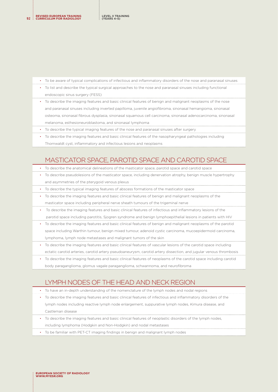**REVISED EUROPEAN TRAINING <sup>92</sup> CURRICULUM FOR RADIOLOGY**

- To be aware of typical complications of infectious and inflammatory disorders of the nose and paranasal sinuses
- To list and describe the typical surgical approaches to the nose and paranasal sinuses including functional endoscopic sinus surgery (FESS)
- To describe the imaging features and basic clinical features of benign and malignant neoplasms of the nose and paranasal sinuses including inverted papilloma, juvenile angiofibroma, sinonasal hemangioma, sinonasal osteoma, sinonasal fibrous dysplasia, sinonasal squamous cell carcinoma, sinonasal adenocarcinoma, sinonasal melanoma, esthesioneuroblastoma, and sinonasal lymphoma
- To describe the typical imaging features of the nose and paranasal sinuses after surgery
- To describe the imaging features and basic clinical features of the nasopharyngeal pathologies including Thornwaldt cyst, inflammatory and infectious lesions and neoplasms

## MASTICATOR SPACE, PAROTID SPACE AND CAROTID SPACE

- To describe the anatomical delineations of the masticator space, parotid space and carotid space
- To describe pseudolesions of the masticator space, including denervation atrophy, benign muscle hypertrophy and asymmetries of the pterygoid venous plexus
- To describe the typical imaging features of abscess formations of the masticator space
- To describe the imaging features and basic clinical features of benign and malignant neoplasms of the masticator space including peripheral nerve sheath tumours of the trigeminal nerve
- To describe the imaging features and basic clinical features of infectious and inflammatory lesions of the parotid space including parotitis, Sjogren syndrome and benign lymphoepithelial lesions in patients with HIV
- To describe the imaging features and basic clinical features of benign and malignant neoplasms of the parotid space including Warthin tumour, benign mixed tumour, adenoid cystic carcinoma, mucoepidermoid carcinoma, lymphoma, lymph node metastases and malignant tumors of the skin
- To describe the imaging features and basic clinical features of vascular lesions of the carotid space including ectatic carotid arteries, carotid artery pseudoaneurysm, carotid artery dissection, and jugular venous thrombosis
- To describe the imaging features and basic clinical features of neoplasms of the carotid space including carotid body paraganglioma, glomus vagale paraganglioma, schwannoma, and neurofibroma

# LYMPH NODES OF THE HEAD AND NECK REGION

- To have an in-depth understanding of the nomenclature of the lymph nodes and nodal regions
- To describe the imaging features and basic clinical features of infectious and inflammatory disorders of the lymph nodes including reactive lymph node enlargement, suppurative lymph nodes, Kimura disease, and Castleman disease
- To describe the imaging features and basic clinical features of neoplastic disorders of the lymph nodes, including lymphoma (Hodgkin and Non-Hodgkin) and nodal metastases
- To be familiar with PET-CT imaging findings in benign and malignant lymph nodes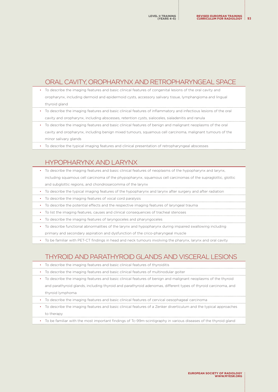### ORAL CAVITY, OROPHARYNX AND RETROPHARYNGEAL SPACE

- To describe the imaging features and basic clinical features of congenital lesions of the oral cavity and oropharynx, including dermoid and epidermoid cysts, accessory salivary tissue, lymphangioma and lingual thyroid gland
- To describe the imaging features and basic clinical features of inflammatory and infectious lesions of the oral cavity and oropharynx, including abscesses, retention cysts, sialoceles, sialadenitis and ranula
- To describe the imaging features and basic clinical features of benign and malignant neoplasms of the oral cavity and oropharynx, including benign mixed tumours, squamous cell carcinoma, malignant tumours of the minor salivary glands
- To describe the typical imaging features and clinical presentation of retropharyngeal abscesses

### HYPOPHARYNX AND LARYNX

- To describe the imaging features and basic clinical features of neoplasms of the hypopharynx and larynx, including squamous cell carcinoma of the phypopharynx, squamous cell carcinomas of the supraglottic, glottic and subglottic regions, and chondrosarcomma of the larynx
- To describe the typical imaging features of the hypopharynx and larynx after surgery and after radiation
- To describe the imaging features of vocal cord paralysis
- To describe the potential effects and the respective imaging features of laryngeal trauma
- To list the imaging features, causes and clinical consequences of tracheal stenoses
- To describe the imaging features of laryngoceles and pharyngoceles
- To describe functional abnormalities of the larynx and hypopharynx during impaired swallowing including primary and secondary aspiration and dysfunction of the crico-pharyngeal muscle
- To be familiar with PET-CT findings in head and neck tumours involving the pharynx, larynx and oral cavity

## THYROID AND PARATHYROID GLANDS AND VISCERAL LESIONS

- To describe the imaging features and basic clinical features of thyroiditis
- To describe the imaging features and basic clinical features of multinodular goiter
- To describe the imaging features and basic clinical features of benign and malignant neoplasms of the thyroid and parathyroid glands, including thyroid and parathyroid adenomas, different types of thyroid carcinoma, and thyroid lymphoma
- To describe the imaging features and basic clinical features of cervical oesophageal carcinoma
- To describe the imaging features and basic clinical features of a Zenker diverticulum and the typical approaches to therapy
- To be familiar with the most important findings of Tc-99m-scintigraphy in various diseases of the thyroid gland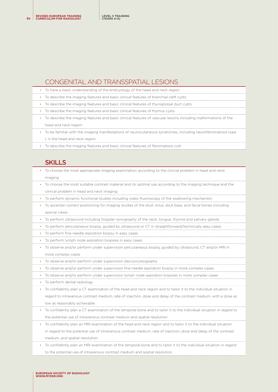**REVISED EUROPEAN TRAINING <sup>94</sup> CURRICULUM FOR RADIOLOGY**

#### CONGENITAL AND TRANSSPATIAL LESIONS

|  |  |  | To have a basic understanding of the embryology of the head and neck region |  |  |
|--|--|--|-----------------------------------------------------------------------------|--|--|
|--|--|--|-----------------------------------------------------------------------------|--|--|

- To describe the imaging features and basic clinical features of branchial cleft cysts
- To describe the imaging features and basic clinical features of thyroglossal duct cysts
- To describe the imaging features and basic clinical features of thymus cysts
- To describe the imaging features and basic clinical features of vascular lesions including malformations of the head and neck region
- To be familiar with the imaging manifestations of neurocutaneous syndromes, including neurofibromatosis type I, in the head and neck region
- To describe the imaging features and basic clinical features of fibromatosis colli

#### **SKILLS**

| To choose the most appropriate imaging examination according to the clinical problem in head and neck            |
|------------------------------------------------------------------------------------------------------------------|
| imaging                                                                                                          |
| To choose the most suitable contrast material and its optimal use according to the imaging technique and the     |
| clinical problem in head and neck imaging                                                                        |
| To perform dynamic functional studies including video-fluoroscopy of the swallowing mechanism                    |
| To ascertain correct positioning for imaging studies of the skull, sinus, skull base, and facial bones including |
| special views                                                                                                    |
| To perform ultrasound including Doppler sonography of the neck, tongue, thyroid and salivary glands              |
| To perform percutaneous biopsy, quided by ultrasound or CT in straightforward/technically easy cases             |
| To perform fine needle aspiration biopsy in easy cases                                                           |
| To perform lymph node aspiration biopsies in easy cases                                                          |
| To observe and/or perform under supervision percutaneous biopsy, quided by ultrasound, CT and/or MRI in          |
| more complex cases                                                                                               |
|                                                                                                                  |

- To observe and/or perform under supervision dacryocystography
- To observe and/or perform under supervision fine needle aspiration biopsy in more complex cases
- To observe and/or perform under supervision lymph node aspiration biopsies in more complex cases
- To perform dental radiology
- To confidently plan a CT examination of the head and neck region and to tailor it to the individual situation in regard to intravenous contrast medium, rate of injection, dose and delay of the contrast medium, with a dose as low as reasonably achievable
- To confidently plan a CT examination of the temporal bone and to tailor it to the individual situation in regard to the potential use of intravenous contrast medium and spatial resolution
- To confidently plan an MRI examination of the head and neck region and to tailor it to the individual situation in regard to the potential use of intravenous contrast medium, rate of injection, dose and delay of the contrast medium, and spatial resolution
- To confidently plan an MRI examination of the temporal bone and to tailor it to the individual situation in regard to the potential use of intravenous contrast medium and spatial resolution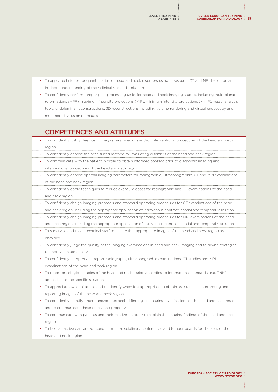- To apply techniques for quantification of head and neck disorders using ultrasound, CT and MRI, based on an in-depth understanding of their clinical role and limitations
- To confidently perform proper post-processing tasks for head and neck imaging studies, including multi-planar reformations (MPR), maximum intensity projections (MIP), minimum intensity projections (MinIP), vessel analysis tools, endoluminal reconstructions, 3D reconstructions including volume rendering and virtual endoscopy and multimodality fusion of images

### COMPETENCES AND ATTITUDES

• To confidently justify diagnostic imaging examinations and/or interventional procedures of the head and neck region • To confidently choose the best-suited method for evaluating disorders of the head and neck region • To communicate with the patient in order to obtain informed consent prior to diagnostic imaging and interventional procedures of the head and neck region • To confidently choose optimal imaging parameters for radiographic, ultrasonographic, CT and MRI examinations of the head and neck region • To confidently apply techniques to reduce exposure doses for radiographic and CT examinations of the head and neck region • To confidently design imaging protocols and standard operating procedures for CT examinations of the head and neck region, including the appropriate application of intravenous contrast, spatial and temporal resolution • To confidently design imaging protocols and standard operating procedures for MRI examinations of the head and neck region, including the appropriate application of intravenous contrast, spatial and temporal resolution • To supervise and teach technical staff to ensure that appropriate images of the head and neck region are obtained • To confidently judge the quality of the imaging examinations in head and neck imaging and to devise strategies to improve image quality • To confidently interpret and report radiographs, ultrasonographic examinations, CT studies and MRI examinations of the head and neck region • To report oncological studies of the head and neck region according to international standards (e.g. TNM) applicable to the specific situation • To appreciate own limitations and to identify when it is appropriate to obtain assistance in interpreting and reporting images of the head and neck region • To confidently identify urgent and/or unexpected findings in imaging examinations of the head and neck region and to communicate these timely and properly • To communicate with patients and their relatives in order to explain the imaging findings of the head and neck region • To take an active part and/or conduct multi-disciplinary conferences and tumour boards for diseases of the head and neck region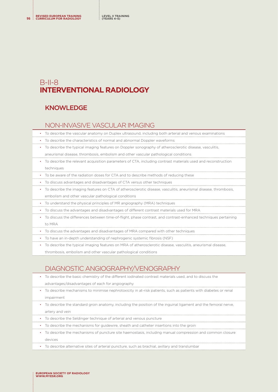# B-II-8 **INTERVENTIONAL RADIOLOGY**

## KNOWLEDGE

### NON-INVASIVE VASCULAR IMAGING

- To describe the vascular anatomy on Duplex ultrasound, including both arterial and venous examinations
- To describe the characteristics of normal and abnormal Doppler waveforms
- To describe the typical imaging features on Doppler sonography of atherosclerotic disease, vasculitis, aneurismal disease, thrombosis, embolism and other vascular pathological conditions
- To describe the relevant acquisition parameters of CTA, including contrast materials used and reconstruction techniques
- To be aware of the radiation doses for CTA and to describe methods of reducing these
- To discuss advantages and disadvantages of CTA versus other techniques
- To describe the imaging features on CTA of atherosclerotic disease, vasculitis, aneurismal disease, thrombosis, embolism and other vascular pathological conditions
- To understand the physical principles of MR angiography (MRA) techniques
- To discuss the advantages and disadvantages of different contrast materials used for MRA
- To discuss the differences between time-of-flight, phase contrast, and contrast-enhanced techniques pertaining to MRA
- To discuss the advantages and disadvantages of MRA compared with other techniques
- To have an in-depth understanding of nephrogenic systemic fibrosis (NSF)
- To describe the typical imaging features on MRA of atherosclerotic disease, vasculitis, aneurismal disease,

thrombosis, embolism and other vascular pathological conditions

## DIAGNOSTIC ANGIOGRAPHY/VENOGRAPHY

- To describe the basic chemistry of the different iodinated contrast materials used, and to discuss the advantages/disadvantages of each for angiography • To describe mechanisms to minimise nephrotoxicity in at-risk patients, such as patients with diabetes or renal impairment • To describe the standard groin anatomy, including the position of the inguinal ligament and the femoral nerve, artery and vein
- To describe the Seldinger technique of arterial and venous puncture
- To describe the mechanisms for guidewire, sheath and catheter insertions into the groin
- To describe the mechanisms of puncture site haemostasis, including manual compression and common closure devices
- To describe alternative sites of arterial puncture, such as brachial, axillary and translumbar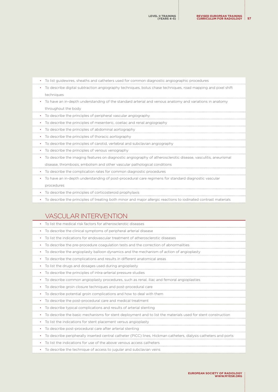| To list guidewires, sheaths and catheters used for common diagnostic angiographic procedures                        |
|---------------------------------------------------------------------------------------------------------------------|
| To describe digital subtraction angiography techniques, bolus chase techniques, road mapping and pixel shift<br>٠   |
| techniques                                                                                                          |
| To have an in-depth understanding of the standard arterial and venous anatomy and variations in anatomy<br>٠        |
| throughout the body                                                                                                 |
| To describe the principles of peripheral vascular angiography                                                       |
| To describe the principles of mesenteric, coeliac and renal angiography                                             |
| To describe the principles of abdominal aortography<br>$\bullet$                                                    |
| To describe the principles of thoracic aortography                                                                  |
| To describe the principles of carotid, vertebral and subclavian angiography<br>٠                                    |
| To describe the principles of venous venography<br>٠                                                                |
| To describe the imaging features on diagnostic angiography of atherosclerotic disease, vasculitis, aneurismal<br>٠  |
| disease, thrombosis, embolism and other vascular pathological conditions                                            |
| To describe the complication rates for common diagnostic procedures<br>٠                                            |
| To have an in-depth understanding of post-procedural care regimens for standard diagnostic vascular<br>٠            |
| procedures                                                                                                          |
| To describe the principles of corticosteroid prophylaxis<br>٠                                                       |
| To describe the principles of treating both minor and major allergic reactions to iodinated contrast materials<br>٠ |
|                                                                                                                     |
| VASCULAR INTERVENTION                                                                                               |
|                                                                                                                     |

| To list the medical risk factors for atherosclerotic diseases<br>٠                                               |
|------------------------------------------------------------------------------------------------------------------|
| To describe the clinical symptoms of peripheral arterial disease<br>٠                                            |
| To list the indications for endovascular treatment of atherosclerotic diseases<br>٠                              |
| To describe the pre-procedure coagulation tests and the correction of abnormalities                              |
| To describe the angioplasty balloon dynamics and the mechanism of action of angioplasty<br>$\bullet$             |
| To describe the complications and results in different anatomical areas<br>$\bullet$                             |
| To list the drugs and dosages used during angioplasty<br>$\bullet$                                               |
| To describe the principles of intra-arterial pressure studies<br>$\bullet$                                       |
| To describe common angioplasty procedures, such as renal, iliac and femoral angioplasties                        |
| To describe groin closure techniques and post-procedural care<br>$\bullet$                                       |
| To describe potential groin complications and how to deal with them<br>٠                                         |
| To describe the post-procedural care and medical treatment<br>$\bullet$                                          |
| To describe typical complications and results of arterial stenting<br>٠                                          |
| To describe the basic mechanisms for stent deployment and to list the materials used for stent construction      |
| To list the indications for stent placement versus angioplasty<br>٠                                              |
| To describe post-procedural care after arterial stenting<br>$\bullet$                                            |
| To describe peripherally inserted central catheter (PICC) lines, Hickman catheters, dialysis catheters and ports |
| To list the indications for use of the above venous access catheters                                             |
| To describe the technique of access to jugular and subclavian veins<br>٠                                         |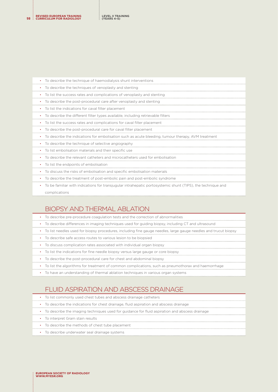| To describe the technique of haemodialysis shunt interventions                                              |
|-------------------------------------------------------------------------------------------------------------|
| To describe the techniques of venoplasty and stenting                                                       |
| To list the success rates and complications of venoplasty and stenting                                      |
| To describe the post-procedural care after venoplasty and stenting                                          |
| To list the indications for caval filter placement                                                          |
| To describe the different filter types available, including retrievable filters                             |
| To list the success rates and complications for caval filter placement                                      |
| To describe the post-procedural care for caval filter placement                                             |
| To describe the indications for embolisation such as acute bleeding, tumour therapy, AVM treatment          |
| To describe the technique of selective angiography                                                          |
| To list embolisation materials and their specific use                                                       |
| To describe the relevant catheters and microcatheters used for embolisation                                 |
| To list the endpoints of embolisation<br>$\bullet$                                                          |
| To discuss the risks of embolisation and specific embolisation materials                                    |
| To describe the treatment of post-embolic pain and post-embolic syndrome                                    |
| To be familiar with indications for transjugular intrahepatic portosystemic shunt (TIPS), the technique and |
| complications                                                                                               |

# BIOPSY AND THERMAL ABLATION

| • To describe pre-procedure coagulation tests and the correction of abnormalities                                 |
|-------------------------------------------------------------------------------------------------------------------|
| • To describe differences in imaging techniques used for guiding biopsy, including CT and ultrasound              |
| • To list needles used for biopsy procedures, including fine gauge needles, large gauge needles and trucut biopsy |
| • To describe safe access routes to various lesion to be biopsied                                                 |
| • To discuss complication rates associated with individual organ biopsy                                           |
| • To list the indications for fine needle biopsy versus large gauge or core biopsy                                |
| • To describe the post-procedural care for chest and abdominal biopsy                                             |
| • To list the algorithms for treatment of common complications, such as pneumothorax and haemorrhage              |

• To have an understanding of thermal ablation techniques in various organ systems

# FLUID ASPIRATION AND ABSCESS DRAINAGE

| • To list commonly used chest tubes and abscess drainage catheters                               |
|--------------------------------------------------------------------------------------------------|
| • To describe the indications for chest drainage, fluid aspiration and abscess drainage          |
| • To describe the imaging techniques used for guidance for fluid aspiration and abscess drainage |
| • To interpret Gram stain results                                                                |
| • To describe the methods of chest tube placement                                                |

- 
- To describe underwater seal drainage systems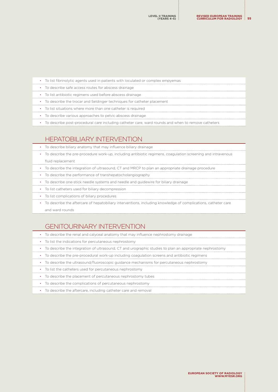| • To list fibrinolytic agents used in patients with loculated or complex empyemas                  |
|----------------------------------------------------------------------------------------------------|
| • To describe safe access routes for abscess drainage                                              |
| • To list antibiotic regimens used before abscess drainage                                         |
| • To describe the trocar and Seldinger techniques for catheter placement                           |
| • To list situations where more than one catheter is required                                      |
| • To describe various approaches to pelvic abscess drainage                                        |
| To describe post-procedural care including catheter care, ward rounds and when to remove catheters |

## HEPATOBILIARY INTERVENTION

| To describe biliary anatomy that may influence biliary drainage                                                          |
|--------------------------------------------------------------------------------------------------------------------------|
| To describe the pre-procedure work-up, including antibiotic regimens, coagulation screening and intravenous<br>$\bullet$ |
| fluid replacement                                                                                                        |
| • To describe the integration of ultrasound, CT and MRCP to plan an appropriate drainage procedure                       |
| • To describe the performance of transhepatocholangiography                                                              |
| • To describe one-stick needle systems and needle and quidewire for biliary drainage                                     |
| • To list catheters used for biliary decompression                                                                       |
| • To list complications of biliary procedures                                                                            |
| • To describe the aftercare of hepatobiliary interventions, including knowledge of complications, catheter care          |
| and ward rounds                                                                                                          |

## GENITOURINARY INTERVENTION

| • To describe the renal and calyceal anatomy that may influence nephrostomy drainage                      |
|-----------------------------------------------------------------------------------------------------------|
| • To list the indications for percutaneous nephrostomy                                                    |
| • To describe the integration of ultrasound, CT and urographic studies to plan an appropriate nephrostomy |
| • To describe the pre-procedural work-up including coagulation screens and antibiotic regimens            |
| • To describe the ultrasound/fluoroscopic guidance mechanisms for percutaneous nephrostomy                |

- To list the catheters used for percutaneous nephrostomy
- To describe the placement of percutaneous nephrostomy tubes
- To describe the complications of percutaneous nephrostomy
- To describe the aftercare, including catheter care and removal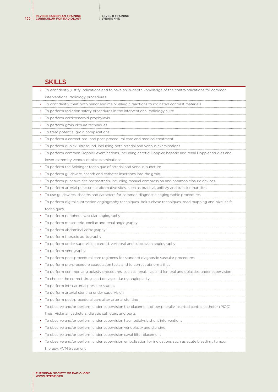#### **SKILLS**

| To confidently justify indications and to have an in-depth knowledge of the contraindications for common    |
|-------------------------------------------------------------------------------------------------------------|
| interventional radiology procedures                                                                         |
| To confidently treat both minor and major allergic reactions to iodinated contrast materials                |
| To perform radiation safety procedures in the interventional radiology suite                                |
| To perform corticosteroid prophylaxis<br>$\bullet$                                                          |
| To perform groin closure techniques<br>$\bullet$                                                            |
| To treat potential groin complications                                                                      |
| To perform a correct pre- and post-procedural care and medical treatment<br>$\bullet$                       |
| To perform duplex ultrasound, including both arterial and venous examinations                               |
| To perform common Doppler examinations, including carotid Doppler, hepatic and renal Doppler studies and    |
| lower extremity venous duplex examinations                                                                  |
| To perform the Seldinger technique of arterial and venous puncture                                          |
| To perform guidewire, sheath and catheter insertions into the groin                                         |
| To perform puncture site haemostasis, including manual compression and common closure devices<br>$\bullet$  |
| To perform arterial puncture at alternative sites, such as brachial, axillary and translumbar sites         |
| To use guidewires, sheaths and catheters for common diagnostic angiographic procedures                      |
| To perform digital subtraction angiography techniques, bolus chase techniques, road mapping and pixel shift |
| techniques                                                                                                  |
| To perform peripheral vascular angiography                                                                  |
| • To perform mesenteric, coeliac and renal angiography                                                      |
| To perform abdominal aortography                                                                            |
| To perform thoracic aortography<br>$\bullet$                                                                |
| To perform under supervision carotid, vertebral and subclavian angiography                                  |
| To perform venography                                                                                       |
| To perform post-procedural care regimens for standard diagnostic vascular procedures                        |
| • To perform pre-procedure coagulation tests and to correct abnormalities                                   |
| To perform common angioplasty procedures, such as renal, iliac and femoral angioplasties under supervision  |
| To choose the correct drugs and dosages during angioplasty                                                  |
| To perform intra-arterial pressure studies                                                                  |
| • To perform arterial stenting under supervision                                                            |
| To perform post-procedural care after arterial stenting                                                     |
| To observe and/or perform under supervision the placement of peripherally inserted central catheter (PICC)  |
| lines, Hickman catheters, dialysis catheters and ports                                                      |
| To observe and/or perform under supervision haemodialysis shunt interventions<br>$\bullet$                  |
| To observe and/or perform under supervision venoplasty and stenting                                         |
| To observe and/or perform under supervision caval filter placement<br>$\bullet$                             |
| To observe and/or perform under supervision embolisation for indications such as acute bleeding, tumour     |
| therapy, AVM treatment                                                                                      |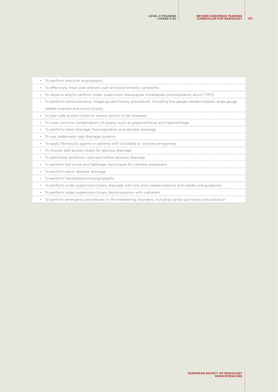| To perform selective angiography                                                                             |
|--------------------------------------------------------------------------------------------------------------|
| To effectively treat post-embolic pain and post-embolic syndrome                                             |
| To observe and/or perform under supervision transjugular intrahepatic portosystemic shunt (TIPS)             |
| To perform transcutaneous, image-guided biopsy procedures, including fine gauge needle biopsies, large gauge |
| needle biopsies and trucut biopsy                                                                            |
| • To plan safe access routes to various lesions to be biopsied                                               |
| • To treat common complications of biopsy, such as pneumothorax and haemorrhage                              |
| To perform chest drainage, fluid aspiration and abscess drainage<br>$\bullet$                                |
| To use underwater seal drainage systems<br>$\bullet$                                                         |
| To apply fibrinolytic agents in patients with loculated or complex empyemas                                  |
| To choose safe access routes for abscess drainage                                                            |
| To administer antibiotic regimens before abscess drainage                                                    |
| To perform the trocar and Seldinger techniques for catheter placement                                        |
| To perform pelvic abscess drainage                                                                           |
| To perform transhepatocholangiography                                                                        |
| To perform under supervision biliary drainage with one-stick needle systems and needle and quidewire         |
| To perform under supervision biliary decompression with catheters                                            |
| To perform emergency procedures in life-threatening disorders, including cardio-pulmonary resuscitatior      |
|                                                                                                              |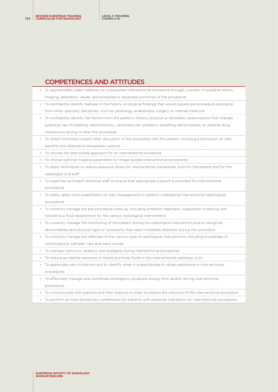### COMPETENCES AND ATTITUDES

| imaging, laboratory values, and proposed or expected outcomes of the procedure                                     |
|--------------------------------------------------------------------------------------------------------------------|
| To confidently identify features in the history or physical findings that would require pre-procedure assistance   |
| from other specialty disciplines, such as cardiology, anaesthesia, surgery or internal medicine                    |
| To confidently identify risk factors from the patient's history, physical or laboratory examinations that indicate |
| potential risk of bleeding, nephrotoxicity, cardiovascular problems, breathing abnormalities, or adverse drug      |
| interactions during or after the procedure                                                                         |
| To obtain informed consent after discussion of the procedure with the patient, including a discussion of risks,    |
| benefits and alternative therapeutic options                                                                       |
| To choose the best-suited approach for an interventional procedure                                                 |
| To choose optimal imaging parameters for image-guided interventional procedures                                    |
| To apply techniques to reduce exposure doses for interventional procedures, both for the patient and for the       |
| radiologist and staff                                                                                              |
| To supervise and teach technical staff to ensure that appropriate support is provided for interventional           |
| procedures                                                                                                         |
| To safely apply local anaesthetics for pain management in patients undergoing interventional radiological          |
| procedures                                                                                                         |
| To correctly manage the pre-procedure work-up, including antibiotic regimens, coagulation screening and            |
| intravenous fluid replacement for the various radiological interventions                                           |
| To correctly manage the monitoring of the patient during the radiological intervention and to recognize            |
| abnormalities and physical signs or symptoms that need immediate attention during the procedure                    |
| To correctly manage the aftercare of the various type of radiological interventions, including knowledge of        |
| complications, catheter care and ward rounds                                                                       |
| To manage conscious sedation and analgesia during interventional procedures                                        |
| To reduce accidental exposure to blood and body fluids in the interventional radiology suite                       |
| To appreciate own limitations and to identify when it is appropriate to obtain assistance in interventional        |
| procedures                                                                                                         |
| To effectively manage and coordinate emergency situations arising from and/or during interventional                |
| procedures                                                                                                         |
| To communicate with patients and their relatives in order to explain the outcome of the interventional procedure   |
| To perform at multi-disciplinary conferences for patients with potential indications for interventional procedures |

• To appropriately select patients for a requested interventional procedure through a review of available history,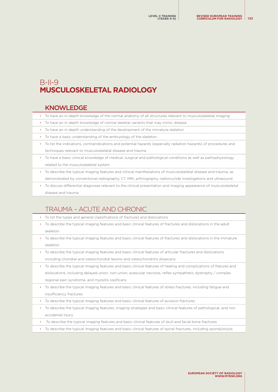# B-II-9 **MUSCULOSKELETAL RADIOLOGY**

#### KNOWLEDGE

- To have an in-depth knowledge of the normal anatomy of all structures relevant to musculoskeletal imaging
- To have an in-depth knowledge of normal skeletal variants that may mimic disease
- To have an in-depth understanding of the development of the immature skeleton
- To have a basic understanding of the embryology of the skeleton
- To list the indications, contraindications and potential hazards (especially radiation hazards) of procedures and techniques relevant to musculoskeletal disease and trauma
- To have a basic clinical knowledge of medical, surgical and pathological conditions as well as pathophysiology related to the musculoskeletal system
- To describe the typical imaging features and clinical manifestations of musculoskeletal disease and trauma, as demonstrated by conventional radiography, CT, MRI, arthrography, radionuclide investigations and ultrasound
- To discuss differential diagnoses relevant to the clinical presentation and imaging appearance of musculoskeletal disease and trauma

# TRAUMA – ACUTE AND CHRONIC

• To list the types and general classifications of fractures and dislocations • To describe the typical imaging features and basic clinical features of fractures and dislocations in the adult skeleton • To describe the typical imaging features and basic clinical features of fractures and dislocations in the immature skeleton • To describe the typical imaging features and basic clinical features of articular fractures and dislocations including chondral and osteochondral lesions and osteochondritis dissecans • To describe the typical imaging features and basic clinical features of healing and complications of fratures and dislocations, including delayed union, non-union, avascular necrosis, reflex sympathetic dystrophy / complex regional pain syndrome, and myositis ossificans • To describe the typical imaging features and basic clinical features of stress fractures, including fatigue and insufficiency fractures • To describe the typical imaging features and basic clinical features of avulsion fractures • To describe the typical imaging features, imaging strategies and basic clinical features of pathological, and non accidental injury • To describe the typical imaging features and basic clinical features of skull and facial bone fractures • To describe the typical imaging features and basic clinical features of spinal fractures, including spondylolysis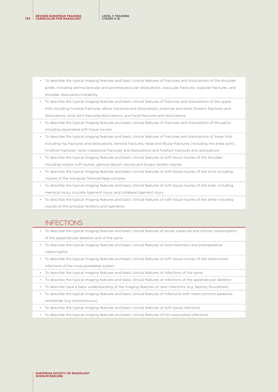**REVISED EUROPEAN TRAINING <sup>104</sup> CURRICULUM FOR RADIOLOGY**

- To describe the typical imaging features and basic clinical features of fractures and dislocations of the shoulder girdle, including sternoclavicular and acromioclavicular dislocations, clavicular fractures, scapular fractures, and shoulder dislocation/instability
- To describe the typical imaging features and basic clinical features of fractures and dislocations of the upper limb including humeral fractures, elbow fractures and dislocations, proximal and distal forearm fractures and dislocations, wrist joint fractures/dislocations, and hand fractures and dislocations
- To describe the typical imaging features and basic clinical features of fractures and dislocations of the pelvis including associated soft tissue injuries
- To describe the typical imaging features and basic clinical features of fractures and dislocations of lower limb including hip fractures and dislocations, femoral fractures, tibial and fibular fractures (including the ankle joint), hindfoot fractures, tarso-metatarsal fractures and dislocations and forefoot fractures and dislocations
- To describe the typical imaging features and basic clinical features of soft tissue injuries of the shoulder, including rotator cuff injuries, glenoid labrum injuries and biceps tendon injuries
- To describe the typical imaging features and basic clinical features of soft tissue injuries of the wrist including injuries of the triangular fibrocartilage complex
- To describe the typical imaging features and basic clinical features of soft tissue injuries of the knee, including meniscal injury, cruciate ligament injury, and collateral ligament injury
- To describe the typical imaging features and basic clinical features of soft tissue injuries of the ankle including injuries of the principal tendons and ligaments

### INFECTIONS

- To describe the typical imaging features and basic clinical features of acute, subacute and chronic osteomyelitis of the appendicular skeleton and of the spine
- To describe the typical imaging features and basic clinical features of post-traumatic and postoperative osteomyelitis
- To describe the typical imaging features and basic clinical features of soft tissue injuries of the tuberculosis infections of the musculoskeletal system
- To describe the typical imaging features and basic clinical features of infections of the spine
- To describe the typical imaging features and basic clinical features of infections of the appendicular skeleton
- To describe have a basic understanding of the imaging features of rarer infections (e.g. leprosy, brucellosis)
- To describe the typical imaging features and basic clinical features of infections with more common parasites worldwide (e.g. echinococcus)
- To describe the typical imaging features and basic clinical features of soft tissue infections
- To describe the typical imaging features and basic clinical features of HIV-associated infections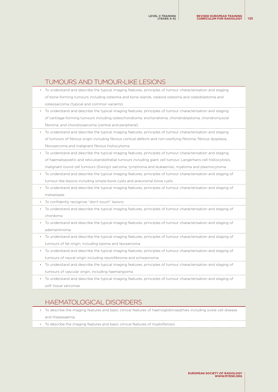#### TUMOURS AND TUMOUR-LIKE LESIONS

- To understand and describe the typical imaging features, principles of tumour characterisation and staging of bone-forming tumours including osteoma and bone islands, osteoid osteoma and osteoblastoma and osteosarcoma (typical and common variants) • To understand and describe the typical imaging features, principles of tumour characterisation and staging of cartilage-forming tumours including osteochondroma, enchondroma, chondroblastoma, chondromyxoid fibroma, and chondrosarcoma (central and peripheral) • To understand and describe the typical imaging features, principles of tumour characterisation and staging of tumours of fibrous origin including fibrous cortical defects and non-ossifying fibroma, fibrous dysplasia, fibrosarcoma and malignant fibrous histiocytoma • To understand and describe the typical imaging features, principles of tumour characterisation and staging of haematopoietic and reticuloendothelial tumours including giant cell tumour, Langerhans cell histiocytosis, malignant round cell tumours (Ewing's sarcoma, lymphoma and leukaemia), myeloma and plasmocytoma • To understand and describe the typical imaging features, principles of tumour characterisation and staging of tumour-like lesions including simple bone cysts and aneurismal bone cysts • To understand and describe the typical imaging features, principles of tumour characterisation and staging of metastases • To confidently recognize "don't touch" lesions • To understand and describe the typical imaging features, principles of tumour characterisation and staging of chordoma • To understand and describe the typical imaging features, principles of tumour characterisation and staging of adamantinoma • To understand and describe the typical imaging features, principles of tumour characterisation and staging of
	- tumours of fat origin, including lipoma and liposarcoma
- To understand and describe the typical imaging features, principles of tumour characterisation and staging of tumours of neural origin including neurofibroma and schwannoma
- To understand and describe the typical imaging features, principles of tumour characterisation and staging of tumours of vascular origin, including haemangioma
- To understand and describe the typical imaging features, principles of tumour characterisation and staging of soft tissue sarcomas

## HAEMATOLOGICAL DISORDERS

- To describe the imaging features and basic clinical features of haemoglobinopathies including sickle cell disease and thalassaemia
- To describe the imaging features and basic clinical features of myelofibrosis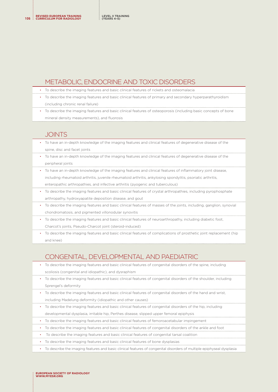### METABOLIC, ENDOCRINE AND TOXIC DISORDERS

- To describe the imaging features and basic clinical features of rickets and osteomalacia
- To describe the imaging features and basic clinical features of primary and secondary hyperparathyroidism (including chronic renal failure)
- To describe the imaging features and basic clinical features of osteoporosis (including basic concepts of bone mineral density measurements), and fluorosis

#### **JOINTS**

- To have an in-depth knowledge of the imaging features and clinical features of degenerative disease of the spine, disc and facet joints
- To have an in-depth knowledge of the imaging features and clinical features of degenerative disease of the peripheral joints
- To have an in-depth knowledge of the imaging features and clinical features of inflammatory joint disease, including rheumatoid arthritis, juvenile rheumatoid arthritis, ankylosing spondylitis, psoriatic arthritis, enteropathic arthropathies, and infective arthritis (pyogenic and tuberculous)
- To describe the imaging features and basic clinical features of crystal arthropathies, including pyrophosphate arthropathy, hydroxyapatite deposition disease, and gout
- To describe the imaging features and basic clinical features of masses of the joints, including, ganglion, synovial chondromatosis, and pigmented villonodular synovitis
- To describe the imaging features and basic clinical features of neuroarthropathy, including diabetic foot,
- Charcot's joints, Pseudo-Charcot joint (steroid-induced)
- To describe the imaging features and basic clinical features of complications of prosthetic joint replacement (hip and knee)

# CONGENITAL, DEVELOPMENTAL AND PAEDIATRIC

- To describe the imaging features and basic clinical features of congenital disorders of the spine, including scoliosis (congenital and idiopathic), and dysraphism
- To describe the imaging features and basic clinical features of congenital disorders of the shoulder, including Sprengel's deformity
- To describe the imaging features and basic clinical features of congenital disorders of the hand and wrist, including Madelung deformity (idiopathic and other causes)
- To describe the imaging features and basic clinical features of congenital disorders of the hip, including developmental dysplasia, irritable hip, Perthes disease, slipped upper femoral epiphysis
- To describe the imaging features and basic clinical features of femoroacetabular impingement
- To describe the imaging features and basic clinical features of congenital disorders of the ankle and foot
- To describe the imaging features and basic clinical features of congenital tarsal coalition
- To describe the imaging features and basic clinical features of bone dysplasias
- To describe the imaging features and basic clinical features of congenital disorders of multiple epiphyseal dysplasia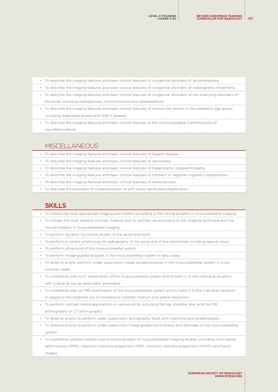| • To describe the imaging features and basic clinical features of congenital disorders of achondroplasia              |
|-----------------------------------------------------------------------------------------------------------------------|
| • To describe the imaging features and basic clinical features of congenital disorders of osteogenesis imperfecta     |
| • To describe the imaging features and basic clinical features of congenital disorders of the sclerosing disorders of |
| the bone, including osteopetrosis, melorheostosis and osteopoikilosis                                                 |
| • To describe the imaging features and basic clinical features of tumour-like lesions in the paediatric age group,    |
| including diaphyseal aclasis and Ollier's disease                                                                     |

• To describe the imaging features and basic clinical features of the musculoskeletal manifestations of neurofibromatosis

# MISCELLANEOUS

|           | • To describe the imaging features and basic clinical features of Paget's disease                              |
|-----------|----------------------------------------------------------------------------------------------------------------|
|           | • To describe the imaging features and basic clinical features of sarcoidosis                                  |
|           | • To describe the imaging features and basic clinical features of hypertrophic osteoarthropathy                |
|           | • To describe the imaging features and basic clinical features of transient or regional migratory osteoporosis |
| $\bullet$ | To describe the imaging features and basic clinical features of osteonecrosis                                  |

• To describe the principles of characterisation of soft tissue calcification/ossification

## **SKILLS**

| To choose the most appropriate imaging examination according to the clinical problem in musculoskeletal imaging                |
|--------------------------------------------------------------------------------------------------------------------------------|
| To choose the most suitable contrast material and its optimal use according to the imaging technique and the                   |
| clinical problem in musculoskeletal imaging                                                                                    |
| To perform dynamic functional studies of the spine and joints                                                                  |
| To perform a correct positioning for radiography of the spine and of the extremities including special views                   |
| To perform ultrasound of the musculoskeletal system                                                                            |
| To perform image-guided biopsies in the musculoskeletal system in easy cases                                                   |
| To observe and/or perform under supervision image-guided biopsies in the musculoskeletal system in more                        |
| complex cases                                                                                                                  |
| To confidently plan a CT examination of the musculoskeletal system and to tailor it to the individual situation,<br>$\bullet$  |
| with a dose as low as reasonably achievable                                                                                    |
| To confidently plan an MRI examination of the musculoskeletal system and to tailor it to the individual situation<br>$\bullet$ |
| in regard to the potential use of intravenous contrast medium and spatial resolution                                           |
| To perform contrast media applications in various joints, including the hip, shoulder and wrist for MR<br>$\bullet$            |
| arthrography or CT arthrography                                                                                                |
| To observe and/or to perform under supervision discography, facet joint injections and vertebroplasty                          |
| To observe and/or to perform under supervision image-guided bone biopsy and drainage of the musculoskeletal<br>$\bullet$       |
| system                                                                                                                         |
| • To confidently perform proper post-processing tasks of musculoskeletal imaging studies, including multi-planar               |

reformations (MPR), maximum intensity projections (MIP), minimum intensity projections (MinIP), and fusion images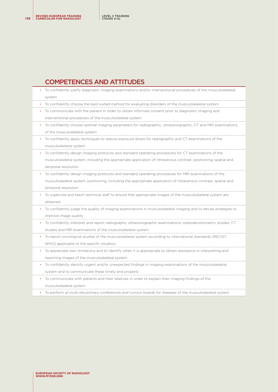### COMPETENCES AND ATTITUDES

| To confidently justify diagnostic imaging examinations and/or interventional procedures of the musculoskeletal  |
|-----------------------------------------------------------------------------------------------------------------|
| system                                                                                                          |
| To confidently choose the best-suited method for evaluating disorders of the musculoskeletal system             |
| To communicate with the patient in order to obtain informed consent prior to diagnostic imaging and             |
| interventional procedures of the musculoskeletal system                                                         |
| To confidently choose optimal imaging parameters for radiographic, ultrasonographic, CT and MRI examinations    |
| of the musculoskeletal system                                                                                   |
| To confidently apply techniques to reduce exposure doses for radiographic and CT examinations of the            |
| musculoskeletal system                                                                                          |
| To confidently design imaging protocols and standard operating procedures for CT examinations of the            |
| musculoskeletal system, including the appropriate application of intravenous contrast, positioning, spatial and |
| temporal resolution                                                                                             |
| To confidently design imaging protocols and standard operating procedures for MRI examinations of the           |
| musculoskeletal system, positioning, including the appropriate application of intravenous contrast, spatial and |
| temporal resolution                                                                                             |
| To supervise and teach technical staff to ensure that appropriate images of the musculoskeletal system are      |
| obtained                                                                                                        |
| To confidently judge the quality of imaging examinations in musculoskeletal imaging and to devise strategies to |
| improve image quality                                                                                           |
| To confidently interpret and report radiographs, ultrasonographic examinations, osteodensitometric studies, CT  |
| studies and MRI examinations of the musculoskeletal system                                                      |
| To report oncological studies of the musculoskeletal system according to international standards (RECIST,       |
| WHO) applicable to the specific situation                                                                       |
| To appreciate own limitations and to identify when it is appropriate to obtain assistance in interpreting and   |
| reporting images of the musculoskeletal system                                                                  |
| To confidently identify urgent and/or unexpected findings in imaging examinations of the musculoskeletal        |
| system and to communicate these timely and properly                                                             |
| To communicate with patients and their relatives in order to explain their imaging findings of the              |
| musculoskeletal system                                                                                          |

• To perform at multi-disciplinary conferences and tumour boards for diseases of the musculoskeletal system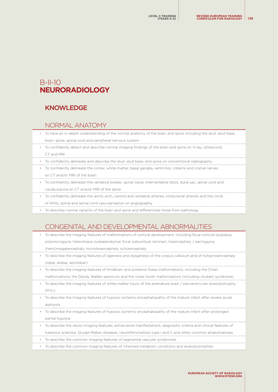# B-II-10 **NEURORADIOLOGY**

### KNOWLEDGE

#### NORMAL ANATOMY

- To have an in-depth understanding of the normal anatomy of the brain and spine including the skull, skull base, brain, spine, spinal cord and peripheral nervous system
- To confidently detect and describe normal imaging findings of the brain and spine on X-ray, ultrasound, CT and MRI
- To confidently delineate and describe the skull, skull base, and spine on conventional radiography
- To confidently delineate the cortex, white matter, basal ganglia, ventricles, cisterns and cranial nerves on CT and/or MRI of the brain
- To confidently delineate the vertebral bodies, spinal canal, intervertebral discs, dural sac, spinal cord and cauda equina on CT and/or MRI of the spine
- To confidently delineate the aortic arch, carotid and vertebral arteries, intracranial arteries and the circle of Willis, spinal and spinal cord vascularisation on angiography
- To describe normal variants of the brain and spine and differentiate these from pathology

# CONGENITAL AND DEVELOPMENTAL ABNORMALITIES

- To describe the imaging features of malformations of cortical development, including focal cortical dysplasia, polymicrogyria, heterotopia (subependymal, focal subcortical, laminar), lissencephaly / pachygyria, (hemi)megalencephaly, microlissencephaly, schizencephaly
- To describe the imaging features of agenesis and dysgenesis of the corpus callosum and of holoprosencephaly (lobar, alobar, semilobar)
- To describe the imaging features of hindbrain and posterior fossa malformations, including the Chiari malformations, the Dandy Walker spectrum and the molar tooth malformations (including Joubert syndrome)
- To describe the imaging features of white matter injury of the premature brain / periventricular leukodystrophy  $(PV|\ )$
- To describe the imaging features of hypoxic ischemic encephalopathy of the mature infant after severe acute asphyvia
- To describe the imaging features of hypoxic ischemic encephalopathy of the mature infant after prolonged partial hypoxia
- To describe the neuro-imaging features, extracranial manifestations, diagnostic criteria and clinical features of tuberous sclerosis, Sturge-Weber diseases, neurofibromatosis type I and II, and other common phakomatoses
- To describe the common imaging features of segmental vascular syndromes
- To describe the common imaging features of inherited metabolic conditions and leukodystrophies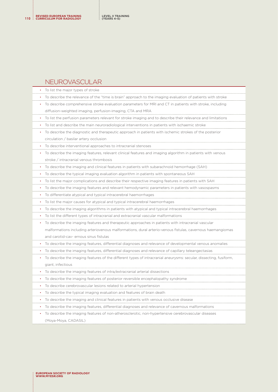# NEUROVASCULAR

| To list the major types of stroke                                                                                              |
|--------------------------------------------------------------------------------------------------------------------------------|
| To describe the relevance of the "time is brain" approach to the imaging evaluation of patients with stroke                    |
| To describe comprehensive stroke evaluation parameters for MRI and CT in patients with stroke, including<br>٠                  |
| diffusion-weighted imaging, perfusion-imaging, CTA and MRA                                                                     |
| To list the perfusion parameters relevant for stroke imaging and to describe their relevance and limitations                   |
| To list and describe the main neuroradiological interventions in patients with ischaemic stroke                                |
| To describe the diagnostic and therapeutic approach in patients with ischemic strokes of the posterior<br>٠                    |
| circulation / basilar artery occlusion                                                                                         |
| To describe interventional approaches to intracranial stenoses<br>$\bullet$                                                    |
| To describe the imaging features, relevant clinical features and imaging algorithm in patients with venous                     |
| stroke / intracranial venous thrombosis                                                                                        |
| To describe the imaging and clinical features in patients with subarachnoid hemorrhage (SAH)<br>$\bullet$                      |
| To describe the typical imaging evaluation algorithm in patients with spontaneous SAH<br>$\bullet$                             |
| To list the major complications and describe their respective imaging features in patients with SAH                            |
| To describe the imaging features and relevant hemodynamic parameters in patients with vasospasms<br>$\bullet$                  |
| To differentiate atypical and typical intracerebral haemorrhages<br>٠                                                          |
| To list the major causes for atypical and typical intracerebral haemorrhages<br>$\bullet$                                      |
| To describe the imaging algorithms in patients with atypical and typical intracerebral haemorrhages                            |
| To list the different types of intracranial and extracranial vascular malformations                                            |
| To describe the imaging features and therapeutic approaches in patients with intracranial vascular<br>$\bullet$                |
| malformations including arteriovenous malformations, dural arterio-venous fistulas, cavernous haemangiomas                     |
| and carotid-cav- ernous sinus fistulas                                                                                         |
| To describe the imaging features, differential diagnoses and relevance of developmental venous anomalies                       |
| To describe the imaging features, differential diagnoses and relevance of capillary teleangectasias                            |
| To describe the imaging features of the different types of intracranial aneurysms: secular, dissecting, fusiform,<br>$\bullet$ |
| giant, infectious                                                                                                              |
| To describe the imaging features of intra/extracranial arterial dissections                                                    |
| To describe the imaging features of posterior reversible encephalopathy syndrome                                               |
| To describe cerebrovascular lesions related to arterial hypertension<br>$\bullet$                                              |
| To describe the typical imaging evaluation and features of brain death<br>$\bullet$                                            |
| To describe the imaging and clinical features in patients with venous occlusive disease                                        |
| To describe the imaging features, differential diagnoses and relevance of cavernous malformations                              |
| To describe the imaging features of non-atherosclerotic, non-hypertensive cerebrovascular diseases                             |
| (Moya-Moya, CADASIL)                                                                                                           |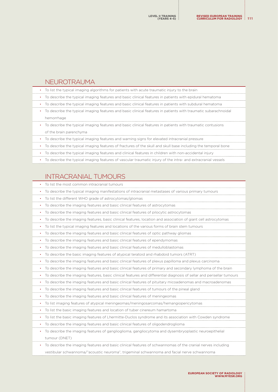#### NEUROTRAUMA

| • To list the typical imaging algorithms for patients with acute traumatic injury to the brain            |
|-----------------------------------------------------------------------------------------------------------|
| • To describe the typical imaging features and basic clinical features in patients with epidural hematoma |

- 
- To describe the typical imaging features and basic clinical features in patients with subdural hematoma
- To describe the typical imaging features and basic clinical features in patients with traumatic subarachnoidal hemorrhage
- To describe the typical imaging features and basic clinical features in patients with traumatic contusions of the brain parenchyma
- To describe the typical imaging features and warning signs for elevated intracranial pressure
- To describe the typical imaging features of fractures of the skull and skull base including the temporal bone
- To describe the typical imaging features and clinical features in children with non-accidental injury
- To describe the typical imaging features of vascular traumatic injury of the intra- and extracranial vessels

## INTRACRANIAL TUMOURS

| To list the most common intracranial tumours                                                                                       |
|------------------------------------------------------------------------------------------------------------------------------------|
| To describe the typical imaging manifestations of intracranial metastases of various primary tumours<br>٠                          |
| To list the different WHO grade of astrocytomas/gliomas<br>$\bullet$                                                               |
| To describe the imaging features and basic clinical features of astrocytomas                                                       |
| To describe the imaging features and basic clinical features of pilocytic astrocytomas                                             |
| To describe the imaging features, basic clinical features, location and association of giant cell astrocytomas                     |
| To list the typical imaging features and locations of the various forms of brain stem tumours<br>٠                                 |
| To describe the imaging features and basic clinical features of optic pathway gliomas<br>$\bullet$                                 |
| To describe the imaging features and basic clinical features of ependymomas                                                        |
| To describe the imaging features and basic clinical features of medulloblastomas                                                   |
| To describe the basic imaging features of atypical teratoid and rhabdoid tumors (ATRT)                                             |
| To describe the imaging features and basic clinical features of plexus papilloma and plexus carcinoma<br>$\bullet$                 |
| To describe the imaging features and basic clinical features of primary and secondary lymphoma of the brain<br>$\bullet$           |
| To describe the imaging features, basic clinical features and differential diagnosis of sellar and perisellar tumours<br>$\bullet$ |
| To describe the imaging features and basic clinical features of pituitary micoadenomas and macroadenomas<br>$\bullet$              |
| To describe the imaging features and basic clinical features of tumours of the pineal gland<br>$\bullet$                           |
| To describe the imaging features and basic clinical features of meningeomas<br>٠                                                   |
| To list imaging features of atypical meningeomas/meningosarcomas/hemangiopericytomas<br>٠                                          |
| To list the basic imaging features and location of tuber cinereum hamartoma<br>$\bullet$                                           |
| To list the basic imaging features of Lhermitte-Duclos syndrome and its association with Cowden syndrome<br>$\bullet$              |
| To describe the imaging features and basic clinical features of oligodendroglioma<br>$\bullet$                                     |
| To describe the imaging features of ganglioglioma, gangliocytoma and dysembryoplastic neuroepithelial<br>٠                         |
| tumour (DNET)                                                                                                                      |
| To describe the imaging features and basic clinical features of schwannomas of the cranial nerves including                        |
| vestibular schwannoma/"acoustic neuroma", trigeminal schwannoma and facial nerve schwannoma                                        |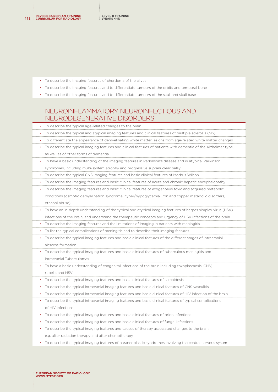- To describe the imaging features of chordoma of the clivus
- To describe the imaging features and to differentiate tumours of the orbits and temporal bone
- To describe the imaging features and to differentiate tumours of the skull and skull base

## NEUROINFLAMMATORY, NEUROINFECTIOUS AND NEURODEGENERATIVE DISORDERS

|           | To describe the typical age-related changes to the brain                                                        |
|-----------|-----------------------------------------------------------------------------------------------------------------|
|           | To describe the typical and atypical imaging features and clinical features of multiple sclerosis (MS)          |
|           | To differentiate the appearance of demyelinating white matter lesions from age-related white matter changes     |
| ٠         | To describe the typical imaging features and clinical features of patients with dementia of the Alzheimer type, |
|           | as well as of other forms of demential                                                                          |
|           | To have a basic understanding of the imaging features in Parkinson's disease and in atypical Parkinson          |
|           | syndromes, including multi-system atrophy and progressive supranuclear palsy                                    |
| $\bullet$ | To describe the typical CNS imaging features and basic clinical features of Morbus Wilson                       |
| ٠         | To describe the imaging features and basic clinical features of acute and chronic hepatic encephalopathy        |
|           | To describe the imaging features and basic clinical features of exogenoeus toxic and acquired metabolic         |
|           | conditions (osmotic demyelination syndrome, hyper/hypoglycemia, iron and copper metabolic disorders,            |
|           | ethanol abuse)                                                                                                  |
|           | To have an in-depth understanding of the typical and atypical imaging features of herpes simplex virus (HSV)    |
|           | infections of the brain, and understand the therapeutic concepts and urgency of HSV infections of the brain     |
| ٠         | To describe the imaging features and the limitations of imaging in patients with meningitis                     |
| ٠         | To list the typical complications of meningitis and to describe their imaging features                          |
|           | To describe the typical imaging features and basic clinical features of the different stages of intracranial    |
|           | abscess formation                                                                                               |
|           | To describe the typical imaging features and basic clinical features of tuberculous meningitis and              |
|           | intracranial Tuberculomas                                                                                       |
|           | To have a basic understanding of congenital infections of the brain including toxoplasmosis, CMV,               |
|           | rubella and HSV                                                                                                 |
| ٠         | To describe the typical imaging features and basic clinical features of sarcoidosis                             |
|           | To describe the typical intracranial imaging features and basic clinical features of CNS vasculitis             |
| ٠         | To describe the typical intracranial imaging features and basic clinical features of HIV infection of the brain |
|           | To describe the typical intracranial imaging features and basic clinical features of typical complications      |
|           | of HIV infections                                                                                               |
| ٠         | To describe the typical imaging features and basic clinical features of prion infections                        |
|           | To describe the typical imaging features and basic clinical features of fungal infections                       |
|           | To describe the typical imaging features and causes of therapy associated changes to the brain,                 |
|           | e.g. after radiation therapy and after chemotherapy                                                             |
|           |                                                                                                                 |

• To describe the typical imaging features of paraneoplastic syndromes involving the central nervous system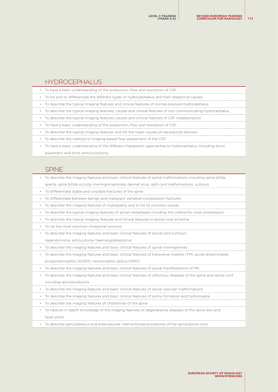#### HYDROCEPHALUS

| • To list and to differentiate the different types of hydrocephalkus and their respective causes          |
|-----------------------------------------------------------------------------------------------------------|
| • To describe the typical imaging features and clinical features of normal pressure hydrocephalus         |
| To describe the typical imaging features, causes and clinical features of non-communicating hydrocephalus |
| To describe the typical imaging features, causes and clinical features of CSF malabsorption               |
| To have a basic understanding of the production, flow and resorption of CSF                               |

• To describe the typical imaging features and list the major causes of aqueductal stenosis

• To describe the method of imaging-based flow assessment of the CSF

• To have a basic understanding of the production, flow and resorption of CSF

• To have a basic understanding of the different therapeutic approaches to hydrocephalus, including shunt placement and third ventriculostomy

#### SPINE

| To describe the imaging features and basic clinical features of spinal malformations including spina bifida                   |
|-------------------------------------------------------------------------------------------------------------------------------|
| aperta, spina bifida occulta, meningomyelocele, dermal sinus, split cord malformations, scoliosis                             |
| To differentiate stable and unstable fractures of the spine                                                                   |
| To differentiate between benign and malignant vertebral compression fractures<br>$\bullet$                                    |
| To describe the imaging features of myelopathy and to list its common causes<br>٠                                             |
| To describe the typical imaging features of spinal metastases including the criteria for cord compression<br>$\bullet$        |
| To describe the typical imaging features and clinical features in spinal cord ischemia                                        |
| To list the most common intraspinal tumours<br>$\bullet$                                                                      |
| • To describe the imaging features and basic clinical features of spinal cord tumours                                         |
| (ependymoma, astrocytoma, haemangioblastoma)                                                                                  |
| To describe the imaging features and basic clinical features of spinal meningeomas<br>$\bullet$                               |
| To describe the imaging features and basic clinical features of transverse myelitis (TM), acute disseminated<br>$\bullet$     |
| encephalomyelitis (ADEM), neuromyelitis optica (NMO)                                                                          |
| To describe the imaging features and basic clinical features of spinal manifestations of MS<br>٠                              |
| To describe the imaging features and basic clinical features of infectious diseases of the spine and spinal cord<br>$\bullet$ |
| including spondylodiscitis                                                                                                    |
| To describe the imaging features and basic clinical features of spinal vascular malformations<br>$\bullet$                    |
| To describe the imaging features and basic clinical features of syrinx formation and hydromyelia                              |
| To describe the imaging features of chordomas of the spine<br>$\bullet$                                                       |
| To have an in-depth knowledge of the imaging features of degenerative diseases of the spine disc and<br>٠                     |
| facet joints                                                                                                                  |
| • To describe percutaneous and endovascular interventional procedures of the spine/spinal cord                                |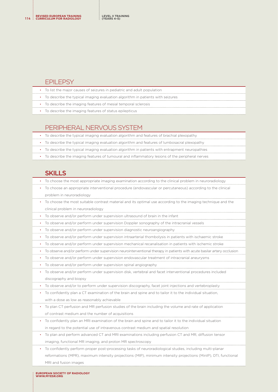#### FPII FPSY

| • To list the major causes of seizures in pediatric and adult population         |
|----------------------------------------------------------------------------------|
| • To describe the typical imaging evaluation algorithm in patients with seizures |
| • To describe the imaging features of mesial temporal sclerosis                  |
| • To describe the imaging features of status epilepticus                         |

# PERIPHERAL NERVOUS SYSTEM

| • To describe the typical imaging evaluation algorithm and features of brachial plexopathy      |
|-------------------------------------------------------------------------------------------------|
| • To describe the typical imaging evaluation algorithm and features of lumbosacral plexopathy   |
| • To describe the typical imaging evaluation algorithm in patients with entrapment neuropathies |
| To describe the imaging features of tumoural and inflammatory lesions of the peripheral nerves  |

#### **SKILLS**

| To choose the most appropriate imaging examination according to the clinical problem in neuroradiology |  |  |
|--------------------------------------------------------------------------------------------------------|--|--|
|                                                                                                        |  |  |

- To choose an appropriate interventional procedure (endovascular or percutaneous) according to the clinical problem in neuroradiology
- To choose the most suitable contrast material and its optimal use according to the imaging technique and the clinical problem in neuroradiology
- To observe and/or perform under supervision ultrasound of brain in the infant
- To observe and/or perform under supervision Doppler sonography of the intracranial vessels
- To observe and/or perform under supervision diagnostic neuroangiography
- To observe and/or perform under supervision intraarterial thombolysis in patients with ischaemic stroke
- To observe and/or perform under supervision mechanical recanalisation in patients with ischemic stroke
- To observe and/or perform under supervision neurointerventional therapy in patients with acute basilar artery occlusion
- To observe and/or perform under supervision endovascular treatment of intracranial aneurysms
- To observe and/or perform under supervision spinal angiography
- To observe and/or perform under supervision disk, vertebral and facet interventional procedures included discography and biopsy
- To observe and/or to perform under supervision discography, facet joint injections and vertebroplasty
- To confidently plan a CT examination of the brain and spine and to tailor it to the individual situation, with a dose as low as reasonably achievable
- To plan CT perfusion and MR perfusion studies of the brain including the volume and rate of application of contrast medium and the number of acquisitions
- To confidently plan an MRI examination of the brain and spine and to tailor it to the individual situation in regard to the potential use of intravenous contrast medium and spatial resolution
- To plan and perform advanced CT and MRI examinations including perfusion CT and MR, diffusion tensor imaging, functional MR imaging, and proton MR spectroscopy
- To confidently perform proper post-processing tasks of neuroradiological studies, including multi-planar reformations (MPR), maximum intensity projections (MIP), minimum intensity projections (MinIP), DTI, functional MRI and fusion images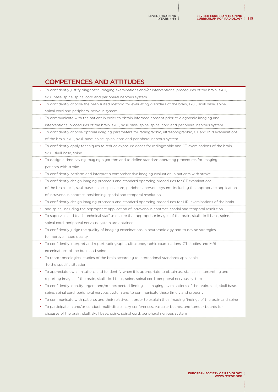### COMPETENCES AND ATTITUDES

| To confidently justify diagnostic imaging examinations and/or interventional procedures of the brain, skull,          |
|-----------------------------------------------------------------------------------------------------------------------|
| skull base, spine, spinal cord and peripheral nervous system                                                          |
| To confidently choose the best-suited method for evaluating disorders of the brain, skull, skull base, spine,         |
| spinal cord and peripheral nervous system                                                                             |
| To communicate with the patient in order to obtain informed consent prior to diagnostic imaging and                   |
| interventional procedures of the brain, skull, skull base, spine, spinal cord and peripheral nervous system           |
| To confidently choose optimal imaging parameters for radiographic, ultrasonographic, CT and MRI examinations          |
| of the brain, skull, skull base, spine, spinal cord and peripheral nervous system                                     |
| To confidently apply techniques to reduce exposure doses for radiographic and CT examinations of the brain,           |
| skull, skull base, spine                                                                                              |
| To design a time-saving imaging algorithm and to define standard operating procedures for imaging                     |
| patients with stroke                                                                                                  |
| To confidently perform and interpret a comprehensive imaging evaluation in patients with stroke                       |
| To confidently design imaging protocols and standard operating procedures for CT examinations                         |
| of the brain, skull, skull base, spine, spinal cord, peripheral nervous system, including the appropriate application |
| of intravenous contrast, positioning, spatial and temporal resolution                                                 |
| To confidently design imaging protocols and standard operating procedures for MRI examinations of the brain           |
| and spine, including the appropriate application of intravenous contrast, spatial and temporal resolution             |
| To supervise and teach technical staff to ensure that appropriate images of the brain, skull, skull base, spine,      |
| spinal cord, peripheral nervous system are obtained                                                                   |
| To confidently judge the quality of imaging examinations in neuroradiology and to devise strategies                   |
| to improve image quality                                                                                              |
| To confidently interpret and report radiographs, ultrasonographic examinations, CT studies and MRI                    |
| examinations of the brain and spine                                                                                   |
| To report oncological studies of the brain according to international standards applicable                            |
| to the specific situation                                                                                             |
| To appreciate own limitations and to identify when it is appropriate to obtain assistance in interpreting and         |
| reporting images of the brain, skull, skull base, spine, spinal cord, peripheral nervous system                       |
| To confidently identify urgent and/or unexpected findings in imaging examinations of the brain, skull, skull base,    |
| spine, spinal cord, peripheral nervous system and to communicate these timely and properly                            |
| To communicate with patients and their relatives in order to explain their imaging findings of the brain and spine    |
| To participate in and/or conduct multi-disciplinary conferences, vascular boards, and tumour boards for               |

diseases of the brain, skull, skull base, spine, spinal cord, peripheral nervous system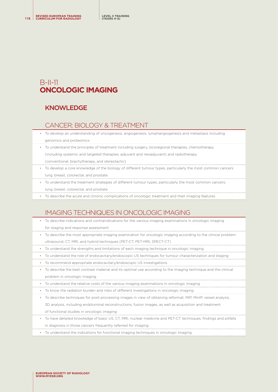## B-II-11 **ONCOLOGIC IMAGING**

#### KNOWLEDGE

#### CANCER: BIOLOGY & TREATMENT

- To develop an understanding of oncogenesis, angiogenesis, lymphangiogenesis and metastasis including genomics and proteomics
- To understand the principles of treatment including surgery, locoregional therapies, chemotherapy (including systemic and targeted therapies; adjuvant and neoadjuvant) and radiotherapy (conventional, brachytherapy, and stereotactic)
- To develop a core knowledge of the biology of different tumour types, particularly the most common cancers: lung, breast, colorectal, and prostate.
- To understand the treatment strategies of different tumour types, particularly the most common cancers: lung, breast, colorectal, and prostate
- To describe the acute and chronic complications of oncologic treatment and their imaging features

### IMAGING TECHNIQUES IN ONCOLOGIC IMAGING

- To describe indications and contraindications for the various imaging examinations in oncologic imaging for staging and response assessment • To describe the most appropriate imaging examination for oncologic imaging according to the clinical problem: ultrasound, CT, MRI, and hybrid techniques (PET-CT, PET-MRI, SPECT-CT) • To understand the strengths and limitations of each imaging technique in oncologic imaging • To understand the role of endocavitary/endoscopic US techniques for tumour characterization and staging • To recommend appropriate endocavitary/endoscopic US investigations • To describe the best contrast material and its optimal use according to the imaging technique and the clinical
- problem in oncologic imaging
- To understand the relative costs of the various imaging examinations in oncologic imaging
- To know the radiation burden and risks of different investigations in oncologic imaging
- To describe techniques for post-processing images in view of obtaining reformat, MIP, MinIP, vessel analysis, 3D analysis, including endoluminal reconstructions, fusion images, as well as acquisition and treatment of functional studies in oncologic imaging
- To have detailed knowledge of basic US, CT, MRI, nuclear medicine and PET-CT techniques, findings and pitfalls in diagnosis in those cancers frequently referred for imaging
- To understand the indications for functional imaging techniques in oncologic imaging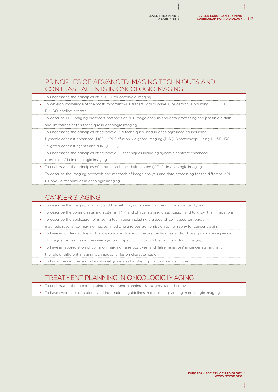#### PRINCIPLES OF ADVANCED IMAGING TECHNIQUES AND CONTRAST AGENTS IN ONCOLOGIC IMAGING

| • To understand the principles of PET-CT for oncologic imaging                                             |
|------------------------------------------------------------------------------------------------------------|
| • To develop knowledge of the most important PET tracers with fluorine 18 or carbon 11 including FDG. FLT. |
| F-MISO, choline, acetate                                                                                   |

- To describe PET imaging protocols, methods of PET image analysis and data processing and possible pitfalls and limitations of this technique in oncologic imaging
- To understand the principles of advanced MRI techniques used in oncologic imaging including: Dynamic contrast-enhanced (DCE) MRI, Diffusion-weighted imaging (DWI), Spectroscopy using 1H, 31P, 13C, Targeted contrast agents and fMRI (BOLD)
- To understand the principles of advanced CT techniques including dynamic contrast enhanced CT
- (perfusion CT) in oncologic imaging
- To understand the principles of contrast-enhanced ultrasound (CEUS) in oncologic imaging
- To describe the imaging protocols and methods of image analysis and data processing for the different MRI,
	- CT and US techniques in oncologic imaging

#### CANCER STAGING

- To describe the imaging anatomy and the pathways of spread for the common cancer types
- To describe the common staging systems: TNM and clinical staging classification and to know their limitations
- To describe the application of imaging techniques including ultrasound, computed tomography,
- magnetic resonance imaging, nuclear medicine and positron emission tomography for cancer staging
- To have an understanding of the appropriate choice of imaging techniques and/or the appropriate sequence of imaging techniques in the investigation of specific clinical problems in oncologic imaging
- To have an appreciation of common imaging 'false positives' and 'false negatives' in cancer staging, and the role of different imaging techniques for lesion characterisation
- To know the national and international guidelines for staging common cancer types

### TREATMENT PLANNING IN ONCOLOGIC IMAGING

- To understand the role of imaging in treatment planning e.g. surgery, radiotherapy
- To have awareness of national and international guidelines in treatment planning in oncologic imaging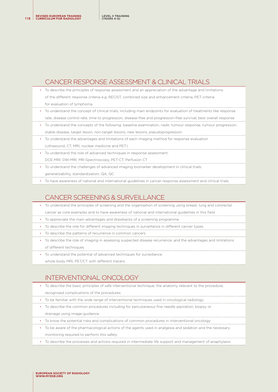**REVISED EUROPEAN TRAINING <sup>118</sup> CURRICULUM FOR RADIOLOGY**

#### CANCER RESPONSE ASSESSMENT & CLINICAL TRIALS

- To describe the principles of response assessment and an appreciation of the advantage and limitations of the different response criteria e.g. RECIST, combined size and enhancement criteria, PET criteria for evaluation of lymphoma
- To understand the concept of clinical trials, including main endpoints for evaluation of treatments like response rate, disease control rate, time to progression, disease-free and progression-free survival, best overall response
- To understand the concepts of the following: baseline examination, nadir, tumour response, tumour progression, stable disease, target lesion, non-target lesions, new lesions, pseudoprogression
- To understand the advantages and limitations of each imaging method for response evaluation (ultrasound, CT, MRI, nuclear medicine and PET)
- To understand the role of advanced techniques in response assessment:
- DCE-MRI. DW-MRI, MR-Spectroscopy, PET-CT, Perfusion CT
- To understand the challenges of advanced imaging biomarker development in clinical trials: generalizability, standardization, QA, QC
- To have awareness of national and international guidelines in cancer response assessment and clinical trials

#### CANCER SCREENING & SURVEILLANCE

- To understand the principles of screening and the organisation of screening using breast, lung and colorectal
- cancer as core examples and to have awareness of national and international guidelines in this field
- To appreciate the main advantages and drawbacks of a screening programme
- To describe the role for different imaging techniques in surveillance in different cancer types
- To describe the patterns of recurrence in common cancers
- To describe the role of imaging in assessing suspected disease recurrence, and the advantages and limitations of different techniques
- To understand the potential of advanced techniques for surveillance:
	- whole body MRI, PET/CT with different tracers

### INTERVENTIONAL ONCOLOGY

- To describe the basic principles of safe interventional technique; the anatomy relevant to the procedure;
- recognised complications of the procedures
- To be familiar with the wide range of interventional techniques used in oncological radiology
- To describe the common procedures including for percutaneous fine needle aspiration, biopsy or
	- drainage using image-guidance
- To know the potential risks and complications of common procedures in interventional oncology
- To be aware of the pharmacological actions of the agents used in analgesia and sedation and the necessary monitoring required to perform this safely
- To describe the processes and actions required in intermediate life support and management of anaphylaxis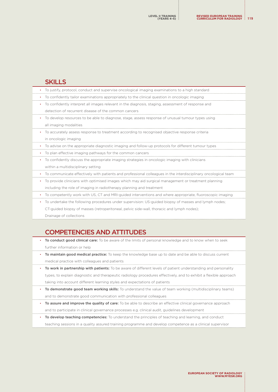#### SKILLS

| To justify, protocol, conduct and supervise oncological imaging examinations to a high standard                   |
|-------------------------------------------------------------------------------------------------------------------|
| To confidently tailor examinations appropriately to the clinical question in oncologic imaging                    |
| To confidently interpret all images relevant in the diagnosis, staging, assessment of response and                |
| detection of recurrent disease of the common cancers                                                              |
| To develop resources to be able to diagnose, stage, assess response of unusual tumour types using                 |
| all imaging modalities                                                                                            |
| • To accurately assess response to treatment according to recognised objective response criteria                  |
| in oncologic imaging                                                                                              |
| To advise on the appropriate diagnostic imaging and follow-up protocols for different tumour types<br>٠           |
| To plan effective imaging pathways for the common cancers                                                         |
| To confidently discuss the appropriate imaging strategies in oncologic imaging with clinicians<br>٠               |
| within a multidisciplinary setting                                                                                |
| To communicate effectively with patients and professional colleagues in the interdisciplinary oncological team    |
| To provide clinicians with optimised images which may aid surgical management or treatment planning               |
| including the role of imaging in radiotherapy planning and treatment                                              |
| To competently work with US, CT and MRI-guided interventions and where appropriate, fluoroscopic imaging          |
| To undertake the following procedures under supervision: US-guided biopsy of masses and lymph nodes;<br>$\bullet$ |
| CT-quided biopsy of masses (retroperitoneal, pelvic side-wall, thoracic and lymph nodes);                         |
|                                                                                                                   |

Drainage of collections

# COMPETENCIES AND ATTITUDES

- To conduct good clinical care: To be aware of the limits of personal knowledge and to know when to seek further information or help
- To maintain good medical practice: To keep the knowledge base up to date and be able to discuss current medical practice with colleagues and patients
- To work in partnership with patients: To be aware of different levels of patient understanding and personality types, to explain diagnostic and therapeutic radiology procedures effectively, and to exhibit a flexible approach taking into account different learning styles and expectations of patients
- To demonstrate good team working skills: To understand the value of team working (multidisciplinary teams) and to demonstrate good communication with professional colleagues
- To assure and improve the quality of care: To be able to describe an effective clinical governance approach and to participate in clinical governance processes e.g. clinical audit, guidelines development
- To develop teaching competencies: To understand the principles of teaching and learning, and conduct teaching sessions in a quality assured training programme and develop competence as a clinical supervisor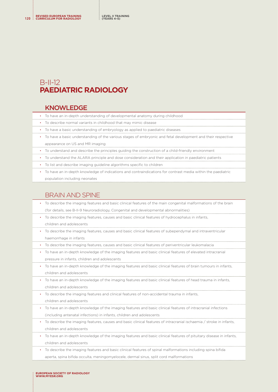## B-II-12 **PAEDIATRIC RADIOLOGY**

#### KNOWLEDGE

- To have an in-depth understanding of developmental anatomy during childhood
- To describe normal variants in childhood that may mimic disease
- To have a basic understanding of embryology as applied to paediatric diseases
- To have a basic understanding of the various stages of embryonic and fetal development and their respective appearance on US and MR imaging
- To understand and describe the principles guiding the construction of a child-friendly environment
- To understand the ALARA principle and dose consideration and their application in paediatric patients
- To list and describe imaging guideline algorithms specific to children
- To have an in-depth knowledge of indications and contraindications for contrast media within the paediatric population including neonates

#### BRAIN AND SPINE

- To describe the imaging features and basic clinical features of the main congenital malformations of the brain
- (for details, see B-II-9 Neuroradiology, Congenital and developmental abnormalities)
- To describe the imaging features, causes and basic clinical features of hydrocephalus in infants, children and adolescents
- To describe the imaging features, causes and basic clinical features of subependymal and intraventricular
	- haemorrhage in infants
- To describe the imaging features, causes and basic clinical features of periventricular leukomalacia
- To have an in-depth knowledge of the imaging features and basic clinical features of elevated intracranial pressure in infants, children and adolescents
- To have an in-depth knowledge of the imaging features and basic clinical features of brain tumours in infants, children and adolescents
- To have an in-depth knowledge of the imaging features and basic clinical features of head trauma in infants, children and adolescents
- To describe the imaging features and clinical features of non-accidental trauma in infants, children and adolescents
- To have an in-depth knowledge of the imaging features and basic clinical features of intracranial infections
- (including antenatal infections) in infants, children and adolescents
- To describe the imaging features, causes and basic clinical features of intracranial ischaemia / stroke in infants, children and adolescents
- To have an in-depth knowledge of the imaging features and basic clinical features of pituitary disease in infants, children and adolescents
- To describe the imaging features and basic clinical features of spinal malformations including spina bifida aperta, spina bifida occulta, meningomyelocele, dermal sinus, split cord malformations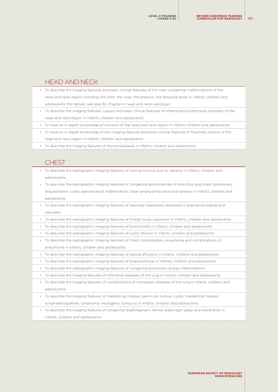#### HEAD AND NECK

- To describe the imaging features and basic clinical features of the main congenital malformations of the head and neck region including the orbit, the nose, the pharynx, the temporal bone in infants, children and adolescents (for details, see specific chapter in head and neck radiology)
- To describe the imaging features, causes and basic clinical features of inflammatory/infectious disorders of the head and neck region in infants, children and adolescents
- To have an in-depth knowledge of tumours of the head and neck region in infants, children and adolescents
- To have an in-depth knowledge of the imaging features and basic clinical features of traumatic lesions of the head and neck region in infants, children and adolescents
- To describe the imaging features of thyroid diseases in infants, children and adolescents

#### **CHEST**

- To describe the radiographic imaging features of normal thymus and its variants in infants, children and adolescents
- To describe the radiographic imaging features of congenital abnormalities of bronchus and chest (pulmonary sequestration, cystic adenomatoid malformation, lobar emphysema, bronchial atresia) in infants, children and adolescents
- To describe the radiographic imaging features of neonatal respiratory distresses in premature babies and neonates
- To describe the radiographic imaging features of foreign body aspiration in infants, children and adolescents
- To describe the radiographic imaging features of bronchiolitis in infants, children and adolescents
- To describe the radiographic imaging features of cystic fibrosis in infants, children and adolescents
- To describe the radiographic imaging features of chest consolidation, pneumonia and complications of pneumonia in infants, children and adolescents
- To describe the radiographic imaging features of pleural effusions in infants, children and adolescents
- To describe the radiographic imaging features of pneumothorax in infants, children and adolescents
- To describe the radiographic imaging features of congenital pulmonary airway malformations
- To describe the imaging features of infiltrative diseases of the lung in infants, children and adolescents
- To describe the imaging features of complications of metastatic diseases of the lung in infants, children and adolescents
- To describe the imaging features of mediastinal masses (germ-cell tumour, cystic mediastinal masses, lymphadenopathies, lymphoma, neurogenic tumours) in infants, children and adolescents
- To describe the imaging features of congenital diaphragmatic hernia, diaphragm palsy and eventration in infants, children and adolescents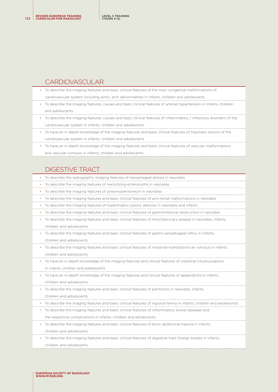#### CARDIOVASCULAR

- To describe the imaging features and basic clinical features of the main congenital malformations of
- cardiovascular system including aortic arch abnormalities in infants, children and adolescents
- To describe the imaging features, causes and basic clinical features of arterial hypertension in infants, children and adolescents
- To describe the imaging features, causes and basic clinical features of inflammatory / infectious disorders of the cardiovascular system in infants, children and adolescents
- To have an in-depth knowledge of the imaging features and basic clinical features of traumatic lesions of the cardiovascular system in infants, children and adolescents
- To have an in-depth knowledge of the imaging features and basic clinical features of vascular malformations and vascular tumours in infants, children and adolescents

# DIGESTIVE TRACT

- To describe the radiographic imaging features of oesophageal atresia in neonates
- To describe the imaging features of necrotizing enterocolitis in neonates
- To describe the imaging features of pneumoperitoneum in neonates
- To describe the imaging features and basic clinical features of ano-rectal malformations in neonates
- To describe the imaging features of hypertrophic pyloric stenosis in neonates and infants
- To describe the imaging features and basic clinical features of gastrointestinal obstruction in neonates
- To describe the imaging features and basic clinical features of Hirschsprung's disease in neonates, infants, children and adolescents
- To describe the imaging features and basic clinical features of gastro-oesophageal reflux in infants, children and adolescents
- To describe the imaging features and basic clinical features of intestinal malrotations an volvulus in infants, children and adolescents
- To have an in-depth knowledge of the imaging features and clinical features of intestinal intussusception in infants, children and adolescents
- To have an in-depth knowledge of the imaging features and clinical features of appendicitis in infants, children and adolescents
- To describe the imaging features and basic clinical features of peritonitis in neonates, infants,
	- children and adolescents
- To describe the imaging features and basic clinical features of inguinal hernia in infants, children and adolescents
- To describe the imaging features and basic clinical features of inflammatory bowel diseases and
- the respective complications in infants, children and adolescents
- To describe the imaging features and basic clinical features of blunt abdominal trauma in infants, children and adolescents
- To describe the imaging features and basic clinical features of digestive tract foreign bodies in infants, children and adolescents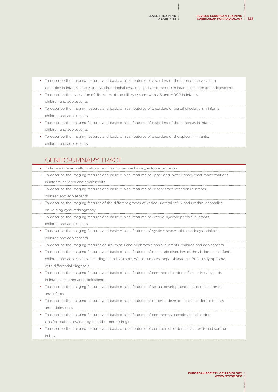- To describe the imaging features and basic clinical features of disorders of the hepatobiliary system (jaundice in infants, biliary atresia, choledochal cyst, benign liver tumours) in infants, children and adolescents
- To describe the evaluation of disorders of the biliary system with US and MRCP in infants,
- children and adolescents
- To describe the imaging features and basic clinical features of disorders of portal circulation in infants, children and adolescents
- To describe the imaging features and basic clinical features of disorders of the pancreas in infants, children and adolescents
- To describe the imaging features and basic clinical features of disorders of the spleen in infants, children and adolescents

#### GENITO-URINARY TRACT

- To list main renal malformations, such as horseshoe kidney, ectopia, or fusion
- To describe the imaging features and basic clinical features of upper and lower urinary tract malformations in infants, children and adolescents
- To describe the imaging features and basic clinical features of urinary tract infection in infants,
- children and adolescents
- To describe the imaging features of the different grades of vesico-ureteral reflux and urethral anomalies on voiding cysturethrography
- To describe the imaging features and basic clinical features of uretero-hydronephrosis in infants, children and adolescents
- To describe the imaging features and basic clinical features of cystic diseases of the kidneys in infants, children and adolescents
- To describe the imaging features of urolithiasis and nephrocalcinosis in infants, children and adolescents
- To describe the imaging features and basic clinical features of oncologic disorders of the abdomen in infants, children and adolescents, including neuroblastoma, Wilms tumours, hepatoblastoma, Burkitt's lymphoma, with differential diagnosis
- To describe the imaging features and basic clinical features of common disorders of the adrenal glands in infants, children and adolescents
- To describe the imaging features and basic clinical features of sexual development disorders in neonates and infants
- To describe the imaging features and basic clinical features of pubertal development disorders in infants and adolescents
- To describe the imaging features and basic clinical features of common gynaecological disorders (malformations, ovarian cysts and tumours) in girls
- To describe the imaging features and basic clinical features of common disorders of the testis and scrotum in boys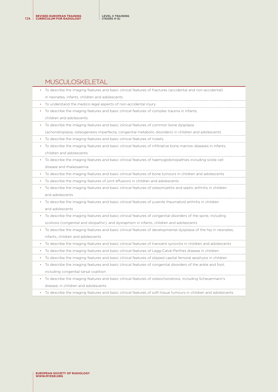#### MUSCULOSKELETAL

| To describe the imaging features and basic clinical features of fractures (accidental and non-accidental)       |
|-----------------------------------------------------------------------------------------------------------------|
| in neonates, infants, children and adolescents                                                                  |
| To understand the medico-legal aspects of non-accidental injury                                                 |
| To describe the imaging features and basic clinical features of complex trauma in infants,                      |
| children and adolescents                                                                                        |
| To describe the imaging features and basic clinical features of common bone dysplasia                           |
| (achondroplasia, osteogenesis imperfecta, congenital metabolic disorders) in children and adolescents           |
| To describe the imaging features and basic clinical features of rickets                                         |
| To describe the imaging features and basic clinical features of infiltrative bone marrow diseases in infants,   |
| children and adolescents                                                                                        |
| To describe the imaging features and basic clinical features of haemoglobinopathies including sickle cell       |
| disease and thalassaemia                                                                                        |
| To describe the imaging features and basic clinical features of bone tumours in children and adolescents        |
| To describe the imaging features of joint effusions in children and adolescents                                 |
| To describe the imaging features and basic clinical features of osteomyelitis and septic arthritis in children  |
| and adolescents                                                                                                 |
| To describe the imaging features and basic clinical features of juvenile rheumatoid arthritis in children       |
| and adolescents                                                                                                 |
| To describe the imaging features and basic clinical features of congenital disorders of the spine, including    |
| scoliosis (congenital and idiopathic), and dysraphism in infants, children and adolescents                      |
| To describe the imaging features and basic clinical features of developmental dysplasia of the hip in neonates, |
| infants, children and adolescents                                                                               |
| To describe the imaging features and basic clinical features of transient synovitis in children and adolescents |
| To describe the imaging features and basic clinical features of Legg-Calvé-Perthes disease in children          |
| To describe the imaging features and basic clinical features of slipped capital femoral epiphysis in children   |
| To describe the imaging features and basic clinical features of congenital disorders of the ankle and foot,     |
| including congenital tarsal coalition                                                                           |
| To describe the imaging features and basic clinical features of osteochondrosis, including Scheuermann's        |
| disease, in children and adolescents                                                                            |
|                                                                                                                 |

• To describe the imaging features and basic clinical features of soft-tissue tumours in children and adolescents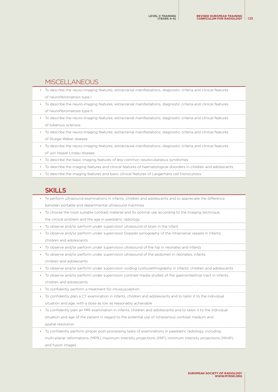#### MISCELLANEOUS

| To describe the neuro-imaging features, extracranial manifestations, diagnostic criteria and clinical features              |
|-----------------------------------------------------------------------------------------------------------------------------|
| of neurofibromatosis type I                                                                                                 |
| To describe the neuro-imaging features, extracranial manifestations, diagnostic criteria and clinical features<br>$\bullet$ |
| of neurofibromatosis type II                                                                                                |
| • To describe the neuro-imaging features, extracranial manifestations, diagnostic criteria and clinical features            |
| of tuberous sclerosis                                                                                                       |
| • To describe the neuro-imaging features, extracranial manifestations, diagnostic criteria and clinical features            |
| of Sturge-Weber disease                                                                                                     |
| To describe the neuro-imaging features, extracranial manifestations, diagnostic criteria and clinical features<br>$\bullet$ |
|                                                                                                                             |

of von Hippel Lindau disease

• To describe the basic imaging features of less common neurocutaneous syndromes

• To describe the imaging features and clinical features of haematological disorders in children and adolescents

• To describe the imaging features and basic clinical features of Langerhans cell histiocytosis

#### **SKILLS**

- To perform ultrasound examinations in infants, children and adolescents and to appreciate the difference between portable and departmental ultrasound machines
- To choose the most suitable contrast material and its optimal use according to the imaging technique, the clinical problem and the age in paediatric radiology
- To observe and/or perform under supervision ultrasound of brain in the infant
- To observe and/or perform under supervision Doppler sonography of the intracranial vessels in infants, children and adolescents
- To observe and/or perform under supervision ultrasound of the hip in neonates and infants
- To observe and/or perform under supervision ultrasound of the abdomen in neonates, infants,
- children and adolescents
- To observe and/or perform under supervision voiding cystourethrography in infants, children and adolescents
- To observe and/or perform under supervision contrast-media studies of the gastrointestinal tract in infants,
	- children and adolescents
- To confidently perform a treatment for intussusception
- To confidently plan a CT examination in infants, children and adolescents and to tailor it to the individual situation and age, with a dose as low as reasonably achievable
- To confidently plan an MRI examination in infants, children and adolescents and to tailor it to the individual situation and age of the patient in regard to the potential use of intravenous contrast medium and spatial resolution
- To confidently perform proper post-processing tasks of examinations in paediatric radiology, including multi-planar reformations (MPR), maximum intensity projections (MIP), minimum intensity projections (MinIP), and fusion images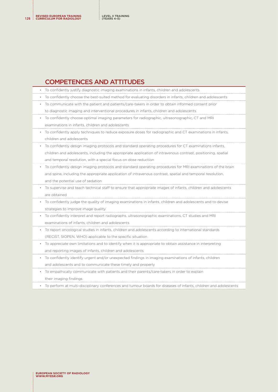#### COMPETENCES AND ATTITUDES

|   | To confidently justify diagnostic imaging examinations in infants, children and adolescents                   |
|---|---------------------------------------------------------------------------------------------------------------|
|   | To confidently choose the best-suited method for evaluating disorders in infants, children and adolescents    |
|   | To communicate with the patient and patients/care-takers in order to obtain informed consent prior            |
|   | to diagnostic imaging and interventional procedures in infants, children and adolescents                      |
|   | To confidently choose optimal imaging parameters for radiographic, ultrasonographic, CT and MRI               |
|   | examinations in infants, children and adolescents                                                             |
|   | To confidently apply techniques to reduce exposure doses for radiographic and CT examinations in infants,     |
|   | children and adolescents                                                                                      |
|   | To confidently design imaging protocols and standard operating procedures for CT examinations infants,        |
|   | children and adolescents, including the appropriate application of intravenous contrast, positioning, spatial |
|   | and temporal resolution, with a special focus on dose reduction                                               |
|   | To confidently design imaging protocols and standard operating procedures for MRI examinations of the brain   |
|   | and spine, including the appropriate application of intravenous contrast, spatial and temporal resolution,    |
|   | and the potential use of sedation                                                                             |
|   | To supervise and teach technical staff to ensure that appropriate images of infants, children and adolescents |
|   | are obtained                                                                                                  |
|   | To confidently judge the quality of imaging examinations in infants, children and adolescents and to devise   |
|   | strategies to improve image quality                                                                           |
|   | To confidently interpret and report radiographs, ultrasonographic examinations, CT studies and MRI            |
|   | examinations of infants, children and adolescents                                                             |
|   | To report oncological studies in infants, children and adolescents according to international standards       |
|   | (RECIST, SIOPEN, WHO) applicable to the specific situation                                                    |
|   | To appreciate own limitations and to identify when it is appropriate to obtain assistance in interpreting     |
|   | and reporting images of infants, children and adolescents                                                     |
|   | To confidently identify urgent and/or unexpected findings in imaging examinations of infants, children        |
|   | and adolescents and to communicate these timely and properly                                                  |
| ٠ | To empathically communicate with patients and their parents/care-takers in order to explain                   |
|   | their imaging findings                                                                                        |

• To perform at multi-disciplinary conferences and tumour boards for diseases of infants, children and adolescents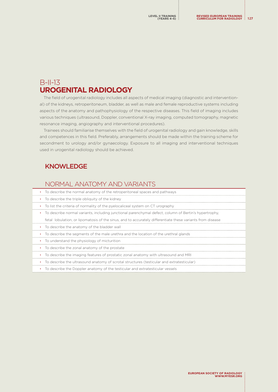# B-II-13 **UROGENITAL RADIOLOGY**

The field of urogenital radiology includes all aspects of medical imaging (diagnostic and interventional) of the kidneys, retroperitoneum, bladder, as well as male and female reproductive systems including aspects of the anatomy and pathophysiology of the respective diseases. This field of imaging includes various techniques (ultrasound, Doppler, conventional X-ray imaging, computed tomography, magnetic resonance imaging, angiography and interventional procedures).

Trainees should familiarise themselves with the field of urogenital radiology and gain knowledge, skills and competences in this field. Preferably, arrangements should be made within the training scheme for secondment to urology and/or gynaecology. Exposure to all imaging and interventional techniques used in urogenital radiology should be achieved.

#### KNOWLEDGE

#### NORMAL ANATOMY AND VARIANTS

| To describe the normal anatomy of the retroperitoneal spaces and pathways                                            |
|----------------------------------------------------------------------------------------------------------------------|
| • To describe the triple obliquity of the kidney                                                                     |
| • To list the criteria of normality of the pyelocaliceal system on CT urography                                      |
| To describe normal variants, including junctional parenchymal defect, column of Bertin's hypertrophy,<br>$\bullet$ . |
| fetal lobulation, or lipomatosis of the sinus, and to accurately differentiate these variants from disease           |
| • To describe the anatomy of the bladder wall                                                                        |
| To describe the segments of the male urethra and the location of the urethral glands<br>$\bullet$                    |
| • To understand the physiology of micturition                                                                        |
| To describe the zonal anatomy of the prostate<br>$\bullet$                                                           |
| • To describe the imaging features of prostatic zonal anatomy with ultrasound and MRI                                |
| To describe the ultrasound anatomy of scrotal structures (testicular and extratesticular)<br>$\bullet$               |
| To describe the Doppler anatomy of the testicular and extratesticular vessels                                        |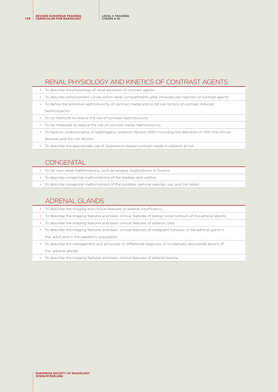#### RENAL PHYSIOLOGY AND KINETICS OF CONTRAST AGENTS

| • To describe the physiology of renal excretion of contrast agents                                          |
|-------------------------------------------------------------------------------------------------------------|
| • To describe enhancement curves within renal compartments after intravascular injection of contrast agents |

- To define the potential nephrotoxicity of contrast media and to list risk factors of contrast induced nephrotoxicity
- 
- To list methods to reduce the risk of contrast nephrotoxicity
- To list measures to reduce the risk of contrast media nephrotoxicity
- To have an understanding of nephrogenic systemic fibrosis (NSF) including the definition of NSF, the clinical features and the risk factors
- To describe the appropriate use of Gadolinium-based contrast media in patients at risk

#### **CONGENITAL**

- To list main renal malformations, such as ectopia, duplicatioins or fusions
- To describe congenital malformations of the bladder and urethra
- To describe congenital malformations of the prostate, seminal vesicles, vas, and the testes

### ADRENAL GLANDS

| • To describe the imaging and clinical features of adrenal insufficiency                                     |
|--------------------------------------------------------------------------------------------------------------|
| • To describe the imaging features and basic clinical features of benign solid tumours of the adrenal glands |
| • To describe the imaging features and basic clinical features of adrenal cysts                              |
| • To describe the imaging features and basic clinical features of malignant tumours of the adrenal gland in  |
| the adult and in the paediatric population                                                                   |
| To describe the management and principles of differential diagnosis of incidentally discovered lesions of    |

the adrenal glands

• To describe the imaging features and basic clinical features of adrenal trauma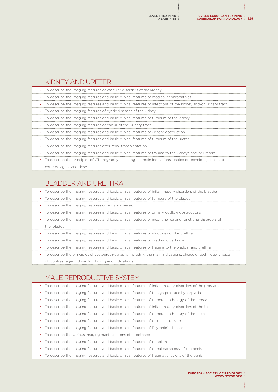#### KIDNEY AND URETER

|  |  | • To describe the imaging features of vascular disorders of the kidney |  |  |  |
|--|--|------------------------------------------------------------------------|--|--|--|
|--|--|------------------------------------------------------------------------|--|--|--|

- To describe the imaging features and basic clinical features of medical nephropathies
- To describe the imaging features and basic clinical features of infections of the kidney and/or urinary tract
- To describe the imaging features of cystic diseases of the kidney
- To describe the imaging features and basic clinical features of tumours of the kidney
- To describe the imaging features of calculi of the urinary tract
- To describe the imaging features and basic clinical features of urinary obstruction
- To describe the imaging features and basic clinical features of tumours of the ureter
- To describe the imaging features after renal transplantation
- To describe the imaging features and basic clinical features of trauma to the kidneys and/or ureters
- To describe the principles of CT urography including the main indications, choice of technique, choice of contrast agent and dose

#### BLADDER AND URETHRA

- To describe the imaging features and basic clinical features of inflammatory disorders of the bladder
- To describe the imaging features and basic clinical features of tumours of the bladder
- To describe the imaging features of urinary diversion
- To describe the imaging features and basic clinical features of urinary outflow obstructions
- To describe the imaging features and basic clinical features of incontinence and functional disorders of the bladder
- To describe the imaging features and basic clinical features of strictures of the urethra
- To describe the imaging features and basic clinical features of urethral diverticula
- To describe the imaging features and basic clinical features of trauma to the bladder and urethra
- To describe the principles of cystourethrography including the main indications, choice of technique, choice
- of contrast agent, dose, film timing and indications

#### MALE REPRODUCTIVE SYSTEM

| To describe the imaging features and basic clinical features of inflammatory disorders of the prostate |  |
|--------------------------------------------------------------------------------------------------------|--|
|                                                                                                        |  |

- To describe the imaging features and basic clinical features of benign prostatic hyperplasia
- To describe the imaging features and basic clinical features of tumoral pathology of the prostate
- To describe the imaging features and basic clinical features of inflammatory disorders of the testes
- To describe the imaging features and basic clinical features of tumoral pathology of the testes
- To describe the imaging features and basic clinical features of testicular torsion
- To describe the imaging features and basic clinical features of Peyronie's disease
- To describe the various imaging manifestations of impotence
- To describe the imaging features and basic clinical features of priapism
- To describe the imaging features and basic clinical features of tumal pathology of the penis
- To describe the imaging features and basic clinical features of traumatic lesions of the penis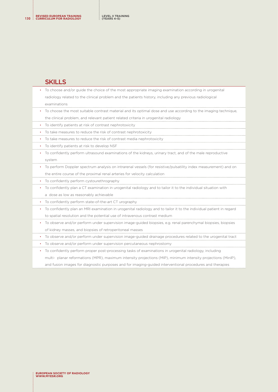#### SKILLS

| • To choose and/or guide the choice of the most appropriate imaging examination according in urogenital          |
|------------------------------------------------------------------------------------------------------------------|
| radiology related to the clinical problem and the patients history, including any previous radiological          |
| examinations                                                                                                     |
| • To choose the most suitable contrast material and its optimal dose and use according to the imaging technique, |
| the clinical problem, and relevant patient related criteria in urogenital radiology                              |
| • To identify patients at risk of contrast nephrotoxicity                                                        |
| • To take measures to reduce the risk of contrast nephrotoxicity                                                 |
|                                                                                                                  |

• To take measures to reduce the risk of contrast media nephrotoxicity

- To identify patients at risk to develop NSF
- To confidently perform ultrasound examinations of the kidneys, urinary tract, and of the male reproductive system
- To perform Doppler spectrum analysis on intrarenal vessels (for resistive/pulsatility index measurement) and on the entire course of the proximal renal arteries for velocity calculation
- To confidently perform cystourethrography
- To confidently plan a CT examination in urogenital radiology and to tailor it to the individual situation with a dose as low as reasonably achievable
- To confidently perform state-of-the-art CT urography
- To confidently plan an MRI examination in urogenital radiology and to tailor it to the individual patient in regard to spatial resolution and the potential use of intravenous contrast medium
- To observe and/or perform under supervision image-guided biopsies, e.g. renal parenchymal biopsies, biopsies of kidney masses, and biopsies of retroperitoneal masses
- To observe and/or perform under supervision image-guided drainage procedures related to the urogenital tract
- To observe and/or perform under supervision percutaneous nephrostomy

• To confidently perform proper post-processing tasks of examinations in urogenital radiology, including multi- planar reformations (MPR), maximum intensity projections (MIP), minimum intensity projections (MinIP), and fusion images for diagnostic purposes and for imaging-guided interventional procedures and therapies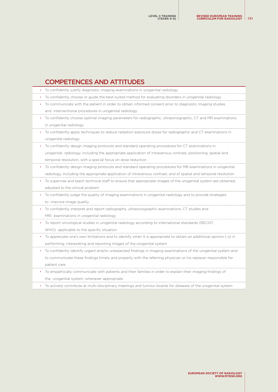# COMPETENCES AND ATTITUDES

• To confidently justify diagnostic imaging examinations in urogenital radiology • To confidently choose or guide the best-suited method for evaluating disorders in urogenital radiology • To communicate with the patient in order to obtain informed consent prior to diagnostic imaging studies and interventional procedures in urogenital radiology • To confidently choose optimal imaging parameters for radiographic, ultrasonographic, CT and MR examinations in urogenital radiology • To confidently apply techniques to reduce radiation exposure doses for radiographic and CT examinations in urogenital radiology • To confidently design imaging protocols and standard operating procedures for CT examinations in urogenital radiology, including the appropriate application of intravenous contrast, positioning, spatial and temporal resolution, with a special focus on dose reduction • To confidently design imaging protocols and standard operating procedures for MR examinations in urogenital radiology, including the appropriate application of intravenous contrast, and of spatial and temporal resolution • To supervise and teach technical staff to ensure that appropriate images of the urogenital system are obtained, adjusted to the clinical problem • To confidently judge the quality of imaging examinations in urogenital radiology and to provide strategies to improve image quality • To confidently interpret and report radiographs, ultrasonographic examinations, CT studies and MRI examinations in urogenital radiology • To report oncological studies in urogenital radiology according to international standards (RECIST, WHO) applicable to the specific situation • To appreciate one's own limitations and to identify when it is appropriate to obtain an additional opinion (-s) in performing, interpreting and reporting images of the urogenital system • To confidently identify urgent and/or unexpected findings in imaging examinations of the urogenital system and to communicate these findings timely and properly with the referring physician or his replacer responsible for patient care

- To empathically communicate with patients and their families in order to explain their imaging findings of the urogenital system, whenever appropriate
- To actively contribute at multi-disciplinary meetings and tumour boards for diseases of the urogenital system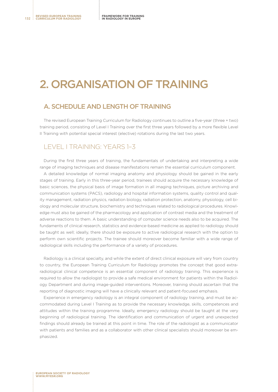# 2. ORGANISATION OF TRAINING

#### A. SCHEDULE AND LENGTH OF TRAINING

The revised European Training Curriculum for Radiology continues to outline a five-year (three + two) training period, consisting of Level I Training over the first three years followed by a more flexible Level II Training with potential special interest (elective) rotations during the last two years.

#### LEVEL I TRAINING: YEARS 1–3

During the first three years of training, the fundamentals of undertaking and interpreting a wide range of imaging techniques and disease manifestations remain the essential curriculum component.

A detailed knowledge of normal imaging anatomy and physiology should be gained in the early stages of training. Early in this three-year period, trainees should acquire the necessary knowledge of basic sciences, the physical basis of image formation in all imaging techniques, picture archiving and communication systems (PACS), radiology and hospital information systems, quality control and quality management, radiation physics, radiation biology, radiation protection, anatomy, physiology, cell biology and molecular structure, biochemistry and techniques related to radiological procedures. Knowledge must also be gained of the pharmacology and application of contrast media and the treatment of adverse reactions to them. A basic understanding of computer science needs also to be acquired. The fundaments of clinical research, statistics and evidence-based medicine as applied to radiology should be taught as well; ideally, there should be exposure to active radiological research with the option to perform own scientific projects. The trainee should moreover become familiar with a wide range of radiological skills including the performance of a variety of procedures.

Radiology is a clinical specialty, and while the extent of direct clinical exposure will vary from country to country, the European Training Curriculum for Radiology promotes the concept that good extraradiological clinical competence is an essential component of radiology training. This experience is required to allow the radiologist to provide a safe medical environment for patients within the Radiology Department and during image-guided interventions. Moreover, training should ascertain that the reporting of diagnostic imaging will have a clinically relevant and patient-focused emphasis.

Experience in emergency radiology is an integral component of radiology training, and must be accommodated during Level I Training as to provide the necessary knowledge, skills, competences and attitudes within the training programme. Ideally, emergency radiology should be taught at the very beginning of radiological training. The identification and communication of urgent and unexpected findings should already be trained at this point in time. The role of the radiologist as a communicator with patients and families and as a collaborator with other clinical specialists should moreover be emphasized.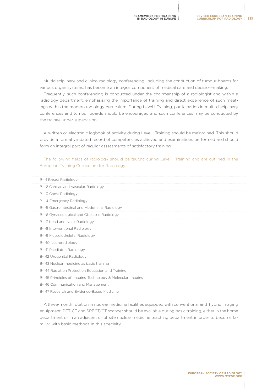Multidisciplinary and clinico-radiology conferencing, including the conduction of tumour boards for various organ systems, has become an integral component of medical care and decision-making.

Frequently, such conferencing is conducted under the chairmanship of a radiologist and within a radiology department, emphasising the importance of training and direct experience of such meetings within the modern radiology curriculum. During Level I Training, participation in multi-disciplinary conferences and tumour boards should be encouraged and such conferences may be conducted by the trainee under supervision.

A written or electronic logbook of activity during Level I Training should be maintained. This should provide a formal validated record of competencies achieved and examinations performed and should form an integral part of regular assessments of satisfactory training.

The following fields of radiology should be taught during Level I Training and are outlined in the European Training Curriculum for Radiology:

| B-I-1 Breast Radiology                                      |
|-------------------------------------------------------------|
| B-I-2 Cardiac and Vascular Radiology                        |
| B-I-3 Chest Radiology                                       |
| B-I-4 Emergency Radiology                                   |
| B-I-5 Gastrointestinal and Abdominal Radiology              |
| B-I-6 Gynaecological and Obstetric Radiology                |
| B-I-7 Head and Neck Radiology                               |
| B-I-8 Interventional Radiology                              |
| B-I-9 Musculoskeletal Radiology                             |
| B-I-10 Neuroradiology                                       |
| B-I-11 Paediatric Radiology                                 |
| B-I-12 Urogenital Radiology                                 |
| B-I-13 Nuclear medicine as basic training                   |
| B-I-14 Radiation Protection Education and Training          |
| B-I-15 Principles of Imaging Technology & Molecular Imaging |
| B-I-16 Communication and Management                         |
| B-I-17 Research and Evidence-Based Medicine                 |
|                                                             |

A three-month rotation in nuclear medicine facilities equipped with conventional and hybrid imaging equipment, PET-CT and SPECT/CT scanner should be available during basic training, either in the home department or in an adjacent or offsite nuclear medicine teaching department in order to become familiar with basic methods in this specialty.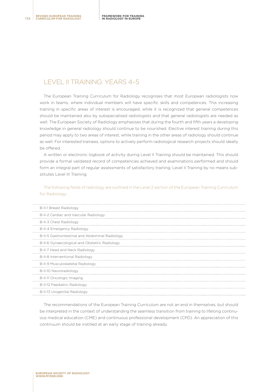### LEVEL II TRAINING: YEARS 4–5

The European Training Curriculum for Radiology recognises that most European radiologists now work in teams, where individual members will have specific skills and competences. This increasing training in specific areas of interest is encouraged, while it is recognized that general competences should be maintained also by subspecialised radiologists and that general radiologists are needed as well. The European Society of Radiology emphasises that during the fourth and fifth years a developing knowledge in general radiology should continue to be nourished. Elective interest training during this period may apply to two areas of interest, while training in the other areas of radiology should continue as well. For interested trainees, options to actively perform radiological research projects should ideally be offered.

A written or electronic logbook of activity during Level II Training should be maintained. This should provide a formal validated record of competencies achieved and examinations performed and should form an integral part of regular assessments of satisfactory training. Level II Training by no means substitutes Level III Training.

#### The following fields of radiology are outlined in the Level 2 section of the European Training Curriculum for Radiology:

| B-II-1 Breast Radiology                         |
|-------------------------------------------------|
| B-II-2 Cardiac and Vascular Radiology           |
| B-II-3 Chest Radiology                          |
| B-II-4 Emergency Radiology                      |
| B-II-5 Gastrointestinal and Abdominal Radiology |
| B-II-6 Gynaecological and Obstetric Radiology   |
| B-II-7 Head and Neck Radiology                  |
| B-II-8 Interventional Radiology                 |
| B-II-9 Musculoskeletal Radiology                |
| B-II-10 Neuroradiology                          |
| B-II-11 Oncologic Imaging                       |
| B-II-12 Paediatric Radiology                    |
| B-II-13 Urogenital Radiology                    |

The recommendations of the European Training Curriculum are not an end in themselves, but should be interpreted in the context of understanding the seamless transition from training to lifelong continuous medical education (CME) and continuous professional development (CPD). An appreciation of this continuum should be instilled at an early stage of training already.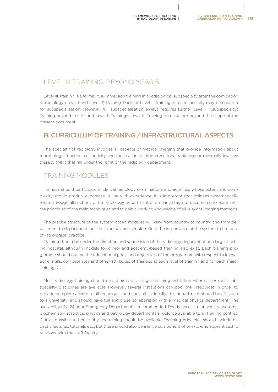# LEVEL III TRAINING: BEYOND YEAR 5

Level III Training is a formal, full-immersion training in a radiological subspecialty after the completion of radiology (Level I and Level II) training. Parts of Level II Training in a subspecialty may be counted for subspecialisation. However, full subspecialisation always requires further Level III (subspecialty) Training beyond Level I and Level II Trainings. Level III Training curricula are beyond the scope of the present document.

#### B. CURRICULUM OF TRAINING / INFRASTRUCTURAL ASPECTS

The specialty of radiology involves all aspects of medical imaging that provide information about morphology, function, cell activity and those aspects of interventional radiology or minimally invasive therapy (MIT) that fall under the remit of the radiology department.

## TRAINING MODULES

Trainees should participate in clinical radiology examinations and activities whose extent and complexity should gradually increase in line with experience. It is important that trainees systematically rotate through all sections of the radiology department at an early stage to become conversant with the principles of the main techniques and to gain a working knowledge of all relevant imaging methods.

The precise structure of the system-based modules will vary from country to country and from department to department, but the time balance should reflect the importance of the system to the core of radiological practice.

Training should be under the direction and supervision of the radiology department of a large teaching hospital, although models for clinic- and academy-based training also exist. Each training programme should outline the educational goals and objectives of the programme with respect to knowledge, skills, competences and other attributes of trainees at each level of training and for each major training task.

Most radiology training should be acquired at a single teaching institution where all or most subspecialty disciplines are available. However, several institutions can pool their resources in order to provide complete access to all techniques and specialties. Ideally, this department should be affiliated to a university, and should have full and close collaboration with a medical physics department. The availability of a 24 hour Emergency Department is recommended. Ready access to university anatomy, biochemistry, statistics, physics and pathology departments should be available to all training centres. If at all possible, in-house physics training should be available. Teaching principles should include didactic lectures, tutorials etc., but there should also be a large component of one-to-one apprenticeship relations with the staff faculty.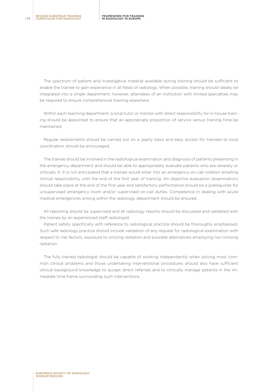The spectrum of patient and investigative material available during training should be sufficient to enable the trainee to gain experience in all fields of radiology. When possible, training should ideally be integrated into a single department; however, attendees of an institution with limited specialties may be required to ensure comprehensive training elsewhere.

Within each teaching department, a local tutor or mentor with direct responsibility for in-house training should be appointed to ensure that an appropriate proportion of service versus training time be maintained.

Regular assessments should be carried out on a yearly basis and easy access for trainees to local coordinators should be encouraged.

The trainee should be involved in the radiological examination and diagnosis of patients presenting in the emergency department and should be able to appropriately evaluate patients who are severely or critically ill. It is not anticipated that a trainee would enter into an emergency on-call rotation entailing clinical responsibility until the end of the first year of training. An objective evaluation (examination) should take place at the end of the first year and satisfactory performance should be a prerequisite for unsupervised emergency room and/or supervised on-call duties. Competence in dealing with acute medical emergencies arising within the radiology department should be ensured.

All reporting should be supervised and all radiology reports should be discussed and validated with the trainee by an experienced staff radiologist.

Patient safety specifically with reference to radiological practice should be thoroughly emphasised. Such safe radiology practice should include validation of any request for radiological examination with respect to risk factors, exposure to ionizing radiation and possible alternatives employing non-ionising radiation.

The fully trained radiologist should be capable of working independently when solving most common clinical problems and those undertaking interventional procedures should also have sufficient clinical background knowledge to accept direct referrals and to clinically manage patients in the immediate time frame surrounding such interventions.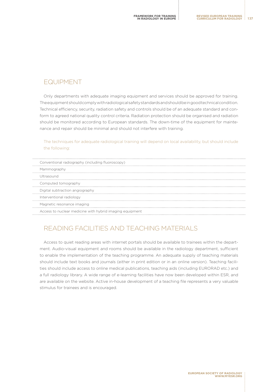#### EQUIPMENT

Only departments with adequate imaging equipment and services should be approved for training. The equipment should comply with radiological safety standards and should be in good technical condition. Technical efficiency, security, radiation safety and controls should be of an adequate standard and conform to agreed national quality control criteria. Radiation protection should be organised and radiation should be monitored according to European standards. The down-time of the equipment for maintenance and repair should be minimal and should not interfere with training.

#### The techniques for adequate radiological training will depend on local availability, but should include the following:

| Conventional radiography (including fluoroscopy)         |
|----------------------------------------------------------|
| Mammography                                              |
| Ultrasound                                               |
| Computed tomography                                      |
| Digital subtraction angiography                          |
| Interventional radiology                                 |
| Magnetic resonance imaging                               |
| Access to nuclear medicine with hybrid imaging equipment |
|                                                          |

# READING FACILITIES AND TEACHING MATERIALS

Access to quiet reading areas with internet portals should be available to trainees within the department. Audio-visual equipment and rooms should be available in the radiology department, sufficient to enable the implementation of the teaching programme. An adequate supply of teaching materials should include text books and journals (either in print edition or in an online version). Teaching facilities should include access to online medical publications, teaching aids (including EURORAD etc.) and a full radiology library. A wide range of e-learning facilities have now been developed within ESR, and are available on the website. Active in-house development of a teaching file represents a very valuable stimulus for trainees and is encouraged.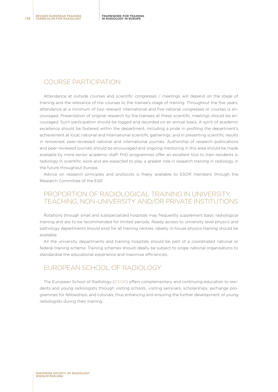#### COURSE PARTICIPATION

Attendance at outside courses and scientific congresses / meetings will depend on the stage of training and the relevance of the courses to the trainee's stage of training. Throughout the five years, attendance at a minimum of two relevant international and five national congresses or courses is encouraged. Presentation of original research by the trainees at these scientific meetings should be encouraged. Such participation should be logged and recorded on an annual basis. A spirit of academic excellence should be fostered within the department, including a pride in profiling the department's achievement at local, national and international scientific gatherings, and in presenting scientific results in renowned, peer-reviewed national and international journals. Authorship of research publications and peer-reviewed journals should be encouraged and ongoing mentoring in this area should be made available by more senior academic staff. PhD programmes offer an excellent tool to train residents in radiology in scientific work and are expected to play a greater role in research training in radiology in the future throughout Europe.

Advice on research principles and protocols is freely available to ESOR members through the Research Committee of the ESR.

#### PROPORTION OF RADIOLOGICAL TRAINING IN UNIVERSITY, TEACHING, NON-UNIVERSITY AND/OR PRIVATE INSTITUTIONS

Rotations through small and subspecialized hospitals may frequently supplement basic radiological training and are to be recommended for limited periods. Ready access to university level physics and pathology departments should exist for all training centres. Ideally, in-house physics training should be available.

All the university departments and training hospitals should be part of a coordinated national or federal training scheme. Training schemes should ideally be subject to single national organisations to standardise the educational experience and maximise efficiencies.

#### EUROPEAN SCHOOL OF RADIOLOGY

The European School of Radiology [\(ESOR\)](http://www.esor.org/cms/website.php) offers complementary and continuing education to residents and young radiologists through visiting schools, visiting seminars, scholarships, exchange programmes for fellowships, and tutorials, thus enhancing and ensuring the further development of young radiologists during their training.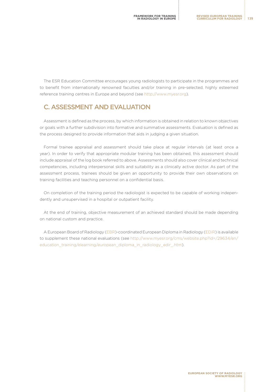The ESR Education Committee encourages young radiologists to participate in the programmes and to benefit from internationally renowned faculties and/or training in pre-selected, highly esteemed reference training centres in Europe and beyond (see<http://www.myesr.org>).

#### C. ASSESSMENT AND EVALUATION

Assessment is defined as the process, by which information is obtained in relation to known objectives or goals with a further subdivision into formative and summative assessments. Evaluation is defined as the process designed to provide information that aids in judging a given situation.

Formal trainee appraisal and assessment should take place at regular intervals (at least once a year). In order to verify that appropriate modular training has been obtained, this assessment should include appraisal of the log book referred to above. Assessments should also cover clinical and technical competencies, including interpersonal skills and suitability as a clinically active doctor. As part of the assessment process, trainees should be given an opportunity to provide their own observations on training facilities and teaching personnel on a confidential basis.

On completion of the training period the radiologist is expected to be capable of working independently and unsupervised in a hospital or outpatient facility.

At the end of training, objective measurement of an achieved standard should be made depending on national custom and practice.

A European Board of Radiology [\(EBR](http://myebr.org))-coordinated European Diploma in Radiology [\(EDiR\)](http://www.myesr.org/cms/website.php?id=/29634/en/education_training/elearning/european_diploma_in_radiology_edir_.htm) is available to supplement these national evaluations (see [http://www.myesr.org/cms/website.php?id=/29634/en/](http://www.myesr.org/cms/website.php?id=/29634/en/education_training/elearning/european_diploma_in_r) [education\\_training/elearning/european\\_diploma\\_in\\_radiology\\_edir\\_.htm](http://www.myesr.org/cms/website.php?id=/29634/en/education_training/elearning/european_diploma_in_r)).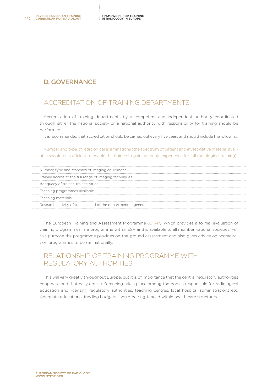#### D. GOVERNANCE

### ACCREDITATION OF TRAINING DEPARTMENTS

Accreditation of training departments by a competent and independent authority coordinated through either the national society or a national authority with responsibility for training should be performed.

It is recommended that accreditation should be carried out every five years and should include the following:

Number and type of radiological examinations (the spectrum of patient and investigative material available should be sufficient to enable the trainee to gain adequate experience for full radiological training)

| Number, type and standard of imaging equipment                 |
|----------------------------------------------------------------|
| Trainee access to the full range of imaging techniques         |
| Adequacy of trainer-trainee ratios                             |
| Teaching programmes available                                  |
| Teaching materials                                             |
| Research activity of trainees and of the department in general |

The European Training and Assessment Programme ([ETAP](http://www.myesr.org/cms/website.php?id=/en/education_training/european_training_assessment_programme_etap_.htm)), which provides a formal evaluation of training programmes, is a programme within ESR and is available to all member national societies. For this purpose the programme provides on-the-ground assessment and also gives advice on accreditation programmes to be run nationally.

## RELATIONSHIP OF TRAINING PROGRAMME WITH REGULATORY AUTHORITIES

This will vary greatly throughout Europe, but it is of importance that the central regulatory authorities cooperate and that easy cross-referencing takes place among the bodies responsible for radiological education and licensing regulatory authorities, teaching centres, local hospital administrations etc. Adequate educational funding budgets should be ring-fenced within health care structures.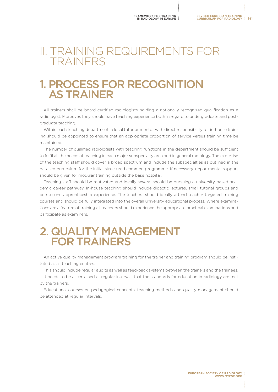# II. TRAINING REQUIREMENTS FOR TRAINERS

# 1. PROCESS FOR RECOGNITION AS TRAINER

All trainers shall be board-certified radiologists holding a nationally recognized qualification as a radiologist. Moreover, they should have teaching experience both in regard to undergraduate and postgraduate teaching.

Within each teaching department, a local tutor or mentor with direct responsibility for in-house training should be appointed to ensure that an appropriate proportion of service versus training time be maintained.

The number of qualified radiologists with teaching functions in the department should be sufficient to fulfil all the needs of teaching in each major subspecialty area and in general radiology. The expertise of the teaching staff should cover a broad spectrum and include the subspecialties as outlined in the detailed curriculum for the initial structured common programme. If necessary, departmental support should be given for modular training outside the base hospital.

Teaching staff should be motivated and ideally several should be pursuing a university-based academic career pathway. In-house teaching should include didactic lectures, small tutorial groups and one-to-one apprenticeship experience. The teachers should ideally attend teacher-targeted training courses and should be fully integrated into the overall university educational process. Where examinations are a feature of training all teachers should experience the appropriate practical examinations and participate as examiners.

# 2. QUALITY MANAGEMENT FOR TRAINERS

An active quality management program training for the trainer and training program should be instituted at all teaching centres.

This should include regular audits as well as feed-back systems between the trainers and the trainees. It needs to be ascertained at regular intervals that the standards for education in radiology are met by the trainers.

Educational courses on pedagogical concepts, teaching methods and quality management should be attended at regular intervals.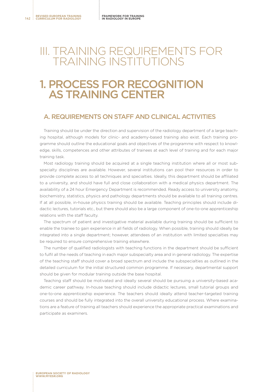# III. TRAINING REQUIREMENTS FOR TRAINING INSTITUTIONS

# 1. PROCESS FOR RECOGNITION AS TRAINING CENTER

#### A. REQUIREMENTS ON STAFF AND CLINICAL ACTIVITIES

Training should be under the direction and supervision of the radiology department of a large teaching hospital, although models for clinic- and academy-based training also exist. Each training programme should outline the educational goals and objectives of the programme with respect to knowledge, skills, competences and other attributes of trainees at each level of training and for each major training task.

Most radiology training should be acquired at a single teaching institution where all or most subspecialty disciplines are available. However, several institutions can pool their resources in order to provide complete access to all techniques and specialties. Ideally, this department should be affiliated to a university, and should have full and close collaboration with a medical physics department. The availability of a 24 hour Emergency Department is recommended. Ready access to university anatomy, biochemistry, statistics, physics and pathology departments should be available to all training centres. If at all possible, in-house physics training should be available. Teaching principles should include didactic lectures, tutorials etc., but there should also be a large component of one-to-one apprenticeship relations with the staff faculty.

The spectrum of patient and investigative material available during training should be sufficient to enable the trainee to gain experience in all fields of radiology. When possible, training should ideally be integrated into a single department; however, attendees of an institution with limited specialties may be required to ensure comprehensive training elsewhere.

The number of qualified radiologists with teaching functions in the department should be sufficient to fulfil all the needs of teaching in each major subspecialty area and in general radiology. The expertise of the teaching staff should cover a broad spectrum and include the subspecialties as outlined in the detailed curriculum for the initial structured common programme. If necessary, departmental support should be given for modular training outside the base hospital.

Teaching staff should be motivated and ideally several should be pursuing a university-based academic career pathway. In-house teaching should include didactic lectures, small tutorial groups and one-to-one apprenticeship experience. The teachers should ideally attend teacher-targeted training courses and should be fully integrated into the overall university educational process. Where examinations are a feature of training all teachers should experience the appropriate practical examinations and participate as examiners.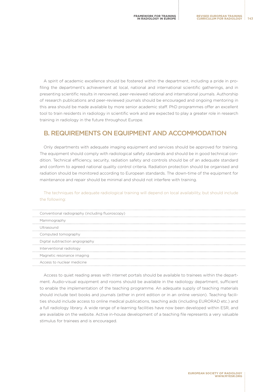A spirit of academic excellence should be fostered within the department, including a pride in profiling the department's achievement at local, national and international scientific gatherings, and in presenting scientific results in renowned, peer-reviewed national and international journals. Authorship of research publications and peer-reviewed journals should be encouraged and ongoing mentoring in this area should be made available by more senior academic staff. PhD programmes offer an excellent tool to train residents in radiology in scientific work and are expected to play a greater role in research training in radiology in the future throughout Europe.

#### B. REQUIREMENTS ON EQUIPMENT AND ACCOMMODATION

Only departments with adequate imaging equipment and services should be approved for training. The equipment should comply with radiological safety standards and should be in good technical condition. Technical efficiency, security, radiation safety and controls should be of an adequate standard and conform to agreed national quality control criteria. Radiation protection should be organised and radiation should be monitored according to European standards. The down-time of the equipment for maintenance and repair should be minimal and should not interfere with training.

The techniques for adequate radiological training will depend on local availability, but should include the following:

| Conventional radiography (including fluoroscopy) |
|--------------------------------------------------|
| Mammography                                      |
| Ultrasound                                       |
| Computed tomography                              |
| Digital subtraction angiography                  |
| Interventional radiology                         |
| Magnetic resonance imaging                       |
| Access to nuclear medicine                       |

Access to quiet reading areas with internet portals should be available to trainees within the department. Audio-visual equipment and rooms should be available in the radiology department, sufficient to enable the implementation of the teaching programme. An adequate supply of teaching materials should include text books and journals (either in print edition or in an online version). Teaching facilities should include access to online medical publications, teaching aids (including EURORAD etc.) and a full radiology library. A wide range of e-learning facilities have now been developed within ESR, and are available on the website. Active in-house development of a teaching file represents a very valuable stimulus for trainees and is encouraged.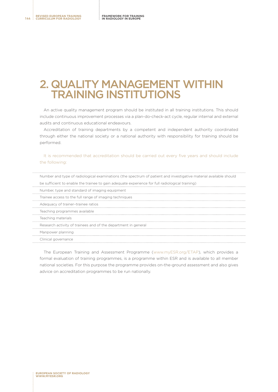# 2. QUALITY MANAGEMENT WITHIN TRAINING INSTITUTIONS

An active quality management program should be instituted in all training institutions. This should include continuous improvement processes via a plan-do-check-act cycle, regular internal and external audits and continuous educational endeavours.

Accreditation of training departments by a competent and independent authority coordinated through either the national society or a national authority with responsibility for training should be performed.

#### It is recommended that accreditation should be carried out every five years and should include the following:

| Number and type of radiological examinations (the spectrum of patient and investigative material available should |  |
|-------------------------------------------------------------------------------------------------------------------|--|
| be sufficient to enable the trainee to gain adequate experience for full radiological training)                   |  |
| Number, type and standard of imaging equipment                                                                    |  |
| Trainee access to the full range of imaging techniques                                                            |  |
| Adequacy of trainer-trainee ratios                                                                                |  |
| Teaching programmes available                                                                                     |  |
| Teaching materials                                                                                                |  |
| Research activity of trainees and of the department in general                                                    |  |
| Manpower planning                                                                                                 |  |
| Clinical governance                                                                                               |  |

The European Training and Assessment Programme ([www.myESR.org/ETAP](http://www.myESR.org/ETAP)), which provides a formal evaluation of training programmes, is a programme within ESR and is available to all member national societies. For this purpose the programme provides on-the-ground assessment and also gives advice on accreditation programmes to be run nationally.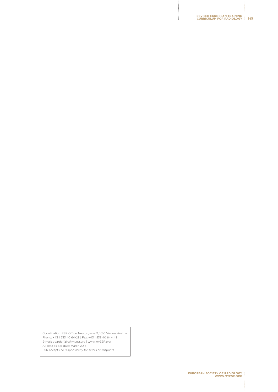**REVISED EUROPEAN TRAINING CURRICULUM FOR RADIOLOGY 145**

Coordination: ESR Office, Neutorgasse 9, 1010 Vienna, Austria Phone: +43 1 533 40 64-28 | Fax: +43 1 533 40 64-448 E-mail: boardaffairs@myesr.org | [www.myESR.org](http://www.myESR.org) All data as per date: March 2016

ESR accepts no responsibility for errors or misprints